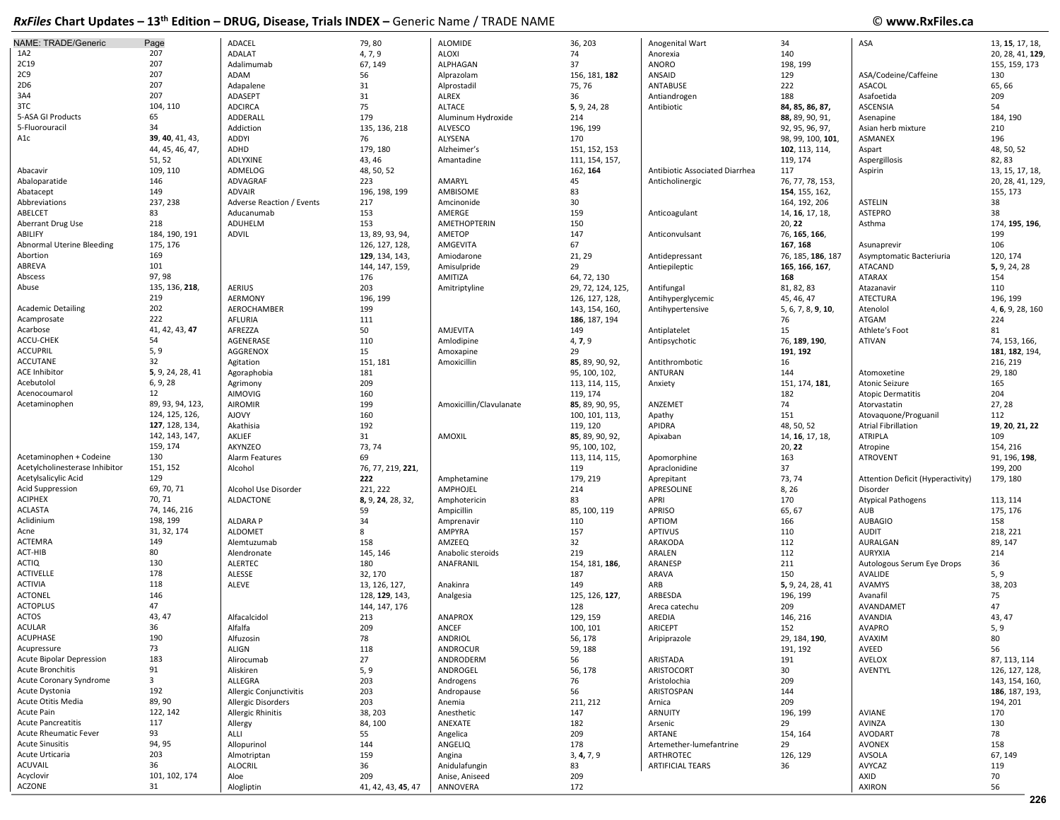| <b>NAME: TRADE/Generic</b>     | Page                    | ADACEL                    | 79,80              | <b>ALOMIDE</b>          | 36, 203           | Anogenital Wart                | 34                 | ASA                               | 13, 15, 17, 18,  |
|--------------------------------|-------------------------|---------------------------|--------------------|-------------------------|-------------------|--------------------------------|--------------------|-----------------------------------|------------------|
| 1A2                            | 207                     | <b>ADALAT</b>             | 4, 7, 9            | <b>ALOXI</b>            | 74                | Anorexia                       | 140                |                                   | 20, 28, 41, 129  |
| 2C19                           | 207                     | Adalimumab                | 67, 149            | ALPHAGAN                | 37                | ANORO                          | 198, 199           |                                   | 155, 159, 173    |
| 2C9                            | 207                     | ADAM                      | 56                 | Alprazolam              | 156, 181, 182     | ANSAID                         | 129                | ASA/Codeine/Caffeine              | 130              |
| 2D6                            | 207                     | Adapalene                 | 31                 | Alprostadil             | 75, 76            | ANTABUSE                       | 222                | ASACOL                            | 65,66            |
| 3A4                            | 207                     | ADASEPT                   | 31                 | <b>ALREX</b>            | 36                | Antiandrogen                   | 188                | Asafoetida                        | 209              |
| 3TC                            | 104, 110                | <b>ADCIRCA</b>            | 75                 | <b>ALTACE</b>           | 5, 9, 24, 28      | Antibiotic                     | 84, 85, 86, 87,    | <b>ASCENSIA</b>                   | 54               |
| 5-ASA GI Products              | 65                      | ADDERALL                  | 179                | Aluminum Hydroxide      | 214               |                                | 88, 89, 90, 91,    | Asenapine                         | 184, 190         |
| 5-Fluorouracil                 | 34                      | Addiction                 | 135, 136, 218      | <b>ALVESCO</b>          | 196, 199          |                                | 92, 95, 96, 97,    | Asian herb mixture                | 210              |
| A1c                            | 39, 40, 41, 43,         | <b>ADDYI</b>              | 76                 | ALYSENA                 | 170               |                                | 98, 99, 100, 101,  | ASMANEX                           | 196              |
|                                | 44, 45, 46, 47,         | ADHD                      | 179, 180           | Alzheimer's             | 151, 152, 153     |                                | 102, 113, 114,     | Aspart                            | 48, 50, 52       |
|                                | 51, 52                  | ADLYXINE                  | 43, 46             | Amantadine              | 111, 154, 157,    |                                | 119, 174           | Aspergillosis                     | 82,83            |
| Abacavir                       | 109, 110                | ADMELOG                   | 48, 50, 52         |                         | 162, 164          | Antibiotic Associated Diarrhea | 117                | Aspirin                           | 13, 15, 17, 18,  |
| Abaloparatide                  | 146                     | ADVAGRAF                  | 223                | AMARYL                  | 45                | Anticholinergic                | 76, 77, 78, 153,   |                                   | 20, 28, 41, 129, |
| Abatacept                      | 149                     | <b>ADVAIR</b>             | 196, 198, 199      | AMBISOME                | 83                |                                | 154, 155, 162,     |                                   | 155, 173         |
| Abbreviations                  | 237, 238                | Adverse Reaction / Events | 217                | Amcinonide              | 30                |                                | 164, 192, 206      | ASTELIN                           | 38               |
| ABELCET                        | 83                      | Aducanumab                | 153                | AMERGE                  | 159               | Anticoagulant                  | 14, 16, 17, 18,    | <b>ASTEPRO</b>                    | 38               |
| Aberrant Drug Use              | 218                     | ADUHELM                   | 153                | <b>AMETHOPTERIN</b>     | 150               |                                | 20, 22             | Asthma                            | 174, 195, 196,   |
| ABILIFY                        | 184, 190, 191           | ADVIL                     | 13, 89, 93, 94,    | AMETOP                  | 147               | Anticonvulsant                 | 76, 165, 166,      |                                   | 199              |
| Abnormal Uterine Bleeding      | 175, 176                |                           | 126, 127, 128,     | AMGEVITA                | 67                |                                | 167, 168           | Asunaprevir                       | 106              |
| Abortion                       | 169                     |                           | 129, 134, 143,     | Amiodarone              | 21, 29            | Antidepressant                 | 76, 185, 186, 187  | Asymptomatic Bacteriuria          | 120, 174         |
| ABREVA                         | 101                     |                           | 144, 147, 159,     | Amisulpride             | 29                | Antiepileptic                  | 165, 166, 167,     | <b>ATACAND</b>                    | 5, 9, 24, 28     |
| Abscess                        | 97, 98                  |                           | 176                | AMITIZA                 | 64, 72, 130       |                                | 168                | ATARAX                            | 154              |
| Abuse                          | 135, 136, 218,          | <b>AERIUS</b>             | 203                | Amitriptyline           | 29, 72, 124, 125, | Antifungal                     | 81, 82, 83         | Atazanavir                        | 110              |
|                                | 219                     | AERMONY                   | 196, 199           |                         | 126, 127, 128,    | Antihyperglycemic              | 45, 46, 47         | <b>ATECTURA</b>                   | 196, 199         |
| <b>Academic Detailing</b>      | 202                     | AEROCHAMBER               | 199                |                         | 143, 154, 160,    | Antihypertensive               | 5, 6, 7, 8, 9, 10, | Atenolol                          | 4, 6, 9, 28, 160 |
| Acamprosate                    | 222                     | AFLURIA                   | 111                |                         | 186, 187, 194     |                                | 76                 | ATGAM                             | 224              |
| Acarbose                       | 41, 42, 43, 47          | AFREZZA                   | 50                 | AMJEVITA                | 149               | Antiplatelet                   | 15                 | Athlete's Foot                    | 81               |
| ACCU-CHEK                      | 54                      | AGENERASE                 | 110                | Amlodipine              | 4, 7, 9           | Antipsychotic                  | 76, 189, 190,      | <b>ATIVAN</b>                     | 74, 153, 166,    |
| <b>ACCUPRIL</b>                | 5, 9                    | AGGRENOX                  | 15                 | Amoxapine               | 29                |                                | 191, 192           |                                   | 181, 182, 194,   |
| <b>ACCUTANE</b>                | 32                      | Agitation                 | 151, 181           | Amoxicillin             | 85, 89, 90, 92,   | Antithrombotic                 | 16                 |                                   | 216, 219         |
| <b>ACE Inhibitor</b>           | 5, 9, 24, 28, 41        | Agoraphobia               | 181                |                         | 95, 100, 102,     | <b>ANTURAN</b>                 | 144                | Atomoxetine                       | 29, 180          |
| Acebutolol                     | 6, 9, 28                | Agrimony                  | 209                |                         | 113, 114, 115,    | Anxiety                        | 151, 174, 181,     | Atonic Seizure                    | 165              |
| Acenocoumarol                  | 12                      | <b>AIMOVIG</b>            | 160                |                         | 119, 174          |                                | 182                | <b>Atopic Dermatitis</b>          | 204              |
| Acetaminophen                  | 89, 93, 94, 123,        | <b>AIROMIR</b>            | 199                | Amoxicillin/Clavulanate | 85, 89, 90, 95,   | ANZEMET                        | 74                 | Atorvastatin                      | 27, 28           |
|                                | 124, 125, 126,          | <b>AJOVY</b>              | 160                |                         | 100, 101, 113,    | Apathy                         | 151                | Atovaquone/Proguanil              | 112              |
|                                | 127, 128, 134,          | Akathisia                 | 192                |                         | 119, 120          | APIDRA                         | 48, 50, 52         | <b>Atrial Fibrillation</b>        | 19, 20, 21, 22   |
|                                | 142, 143, 147,          | AKLIEF                    | 31                 | AMOXIL                  | 85, 89, 90, 92,   | Apixaban                       | 14, 16, 17, 18,    | ATRIPLA                           | 109              |
|                                | 159, 174                | AKYNZEO                   | 73, 74             |                         | 95, 100, 102,     |                                | 20, 22             | Atropine                          | 154, 216         |
| Acetaminophen + Codeine        | 130                     | Alarm Features            | 69                 |                         | 113, 114, 115,    | Apomorphine                    | 163                | <b>ATROVENT</b>                   | 91, 196, 198,    |
| Acetylcholinesterase Inhibitor | 151, 152                | Alcohol                   | 76, 77, 219, 221,  |                         | 119               | Apraclonidine                  | 37                 |                                   | 199, 200         |
| Acetylsalicylic Acid           | 129                     |                           | 222                | Amphetamine             | 179, 219          | Aprepitant                     | 73, 74             | Attention Deficit (Hyperactivity) | 179, 180         |
| <b>Acid Suppression</b>        | 69, 70, 71              | Alcohol Use Disorder      | 221, 222           | AMPHOJEL                | 214               | APRESOLINE                     | 8, 26              | Disorder                          |                  |
| <b>ACIPHEX</b>                 | 70, 71                  | <b>ALDACTONE</b>          | 8, 9, 24, 28, 32,  | Amphotericin            | 83                | APRI                           | 170                | <b>Atypical Pathogens</b>         | 113, 114         |
| ACLASTA                        | 74, 146, 216            |                           | 59                 | Ampicillin              | 85, 100, 119      | <b>APRISO</b>                  | 65, 67             | AUB                               | 175, 176         |
| Aclidinium                     | 198, 199                | <b>ALDARA P</b>           | 34                 | Amprenavir              | 110               | APTIOM                         | 166                | <b>AUBAGIO</b>                    | 158              |
| Acne                           | 31, 32, 174             | <b>ALDOMET</b>            | 8                  | AMPYRA                  | 157               | <b>APTIVUS</b>                 | 110                | <b>AUDIT</b>                      | 218, 221         |
| <b>ACTEMRA</b>                 | 149                     | Alemtuzumab               | 158                | AMZEEQ                  | 32                | ARAKODA                        | 112                | AURALGAN                          | 89, 147          |
| ACT-HIB                        | 80                      | Alendronate               | 145, 146           | Anabolic steroids       | 219               | ARALEN                         | 112                | AURYXIA                           | 214              |
| <b>ACTIQ</b>                   | 130                     | <b>ALERTEC</b>            | 180                | ANAFRANIL               | 154, 181, 186,    | ARANESP                        | 211                | Autologous Serum Eye Drops        | 36               |
| <b>ACTIVELLE</b>               | 178                     | ALESSE                    | 32, 170            |                         | 187               | ARAVA                          | 150                | AVALIDE                           | 5, 9             |
| <b>ACTIVIA</b>                 | 118                     | ALEVE                     | 13, 126, 127,      | Anakinra                | 149               | ARB                            | 5, 9, 24, 28, 41   | <b>AVAMYS</b>                     | 38, 203          |
| <b>ACTONEL</b>                 | 146                     |                           | 128, 129, 143,     | Analgesia               | 125, 126, 127,    | ARBESDA                        | 196, 199           | Avanafil                          | 75               |
| <b>ACTOPLUS</b>                | 47                      |                           | 144, 147, 176      |                         | 128               | Areca catechu                  | 209                | AVANDAMET                         | 47               |
| <b>ACTOS</b>                   | 43, 47                  | Alfacalcidol              | 213                | <b>ANAPROX</b>          | 129, 159          | AREDIA                         | 146, 216           | AVANDIA                           | 43, 47           |
| <b>ACULAR</b>                  | 36                      | Alfalfa                   | 209                | ANCEF                   | 100, 101          | ARICEPT                        | 152                | AVAPRO                            | 5, 9             |
| ACUPHASE                       | 190                     | Alfuzosin                 | 78                 | ANDRIOL                 | 56, 178           | Aripiprazole                   | 29, 184, 190,      | AVAXIM                            | 80               |
| Acupressure                    | 73                      | ALIGN                     | 118                | ANDROCUR                | 59, 188           |                                | 191, 192           | AVEED                             | 56               |
| Acute Bipolar Depression       | 183                     | Alirocumab                | 27                 | ANDRODERM               | 56                | ARISTADA                       | 191                | AVELOX                            | 87, 113, 114     |
| Acute Bronchitis               | 91                      | Aliskiren                 | 5, 9               | ANDROGEL                | 56, 178           | ARISTOCORT                     | 30                 | AVENTYL                           | 126, 127, 128,   |
| Acute Coronary Syndrome        | $\overline{\mathbf{3}}$ | ALLEGRA                   | 203                | Androgens               | 76                | Aristolochia                   | 209                |                                   | 143, 154, 160,   |
| Acute Dystonia                 | 192                     | Allergic Conjunctivitis   | 203                | Andropause              | 56                | ARISTOSPAN                     | 144                |                                   | 186, 187, 193,   |
| Acute Otitis Media             | 89, 90                  | Allergic Disorders        | 203                | Anemia                  | 211, 212          | Arnica                         | 209                |                                   | 194, 201         |
| Acute Pain                     | 122, 142                | Allergic Rhinitis         | 38, 203            | Anesthetic              | 147               | ARNUITY                        | 196, 199           | AVIANE                            | 170              |
| <b>Acute Pancreatitis</b>      | 117                     | Allergy                   | 84, 100            | ANEXATE                 | 182               | Arsenic                        | 29                 | AVINZA                            | 130              |
| <b>Acute Rheumatic Fever</b>   | 93                      | ALLI                      | 55                 | Angelica                | 209               | ARTANE                         | 154, 164           | AVODART                           | 78               |
| Acute Sinusitis                | 94, 95                  | Allopurinol               | 144                | ANGELIQ                 | 178               | Artemether-lumefantrine        | 29                 | <b>AVONEX</b>                     | 158              |
| Acute Urticaria                | 203                     | Almotriptan               | 159                | Angina                  | 3, 4, 7, 9        | <b>ARTHROTEC</b>               | 126, 129           | AVSOLA                            | 67, 149          |
| <b>ACUVAIL</b>                 | 36                      | <b>ALOCRIL</b>            | 36                 | Anidulafungin           | 83                | <b>ARTIFICIAL TEARS</b>        | 36                 | AVYCAZ                            | 119              |
| Acyclovir                      | 101, 102, 174           | Aloe                      | 209                | Anise, Aniseed          | 209               |                                |                    | AXID                              | 70               |
| <b>ACZONE</b>                  | 31                      | Alogliptin                | 41, 42, 43, 45, 47 | ANNOVERA                | 172               |                                |                    | AXIRON                            | 56               |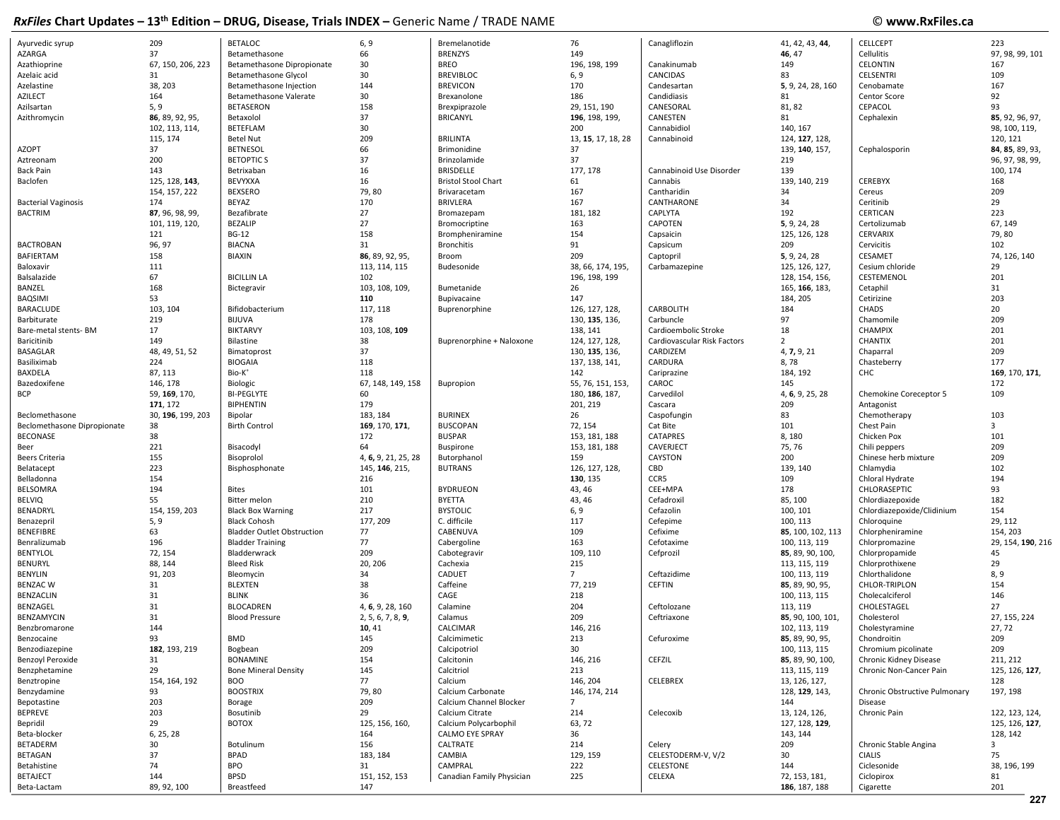| Ayurvedic syrup             | 209               | <b>BETALOC</b>                    | 6, 9                | Bremelanotide              | 76                 | Canagliflozin               | 41, 42, 43, 44,   | <b>CELLCEPT</b>               | 223               |
|-----------------------------|-------------------|-----------------------------------|---------------------|----------------------------|--------------------|-----------------------------|-------------------|-------------------------------|-------------------|
| AZARGA                      | 37                | Betamethasone                     | 66                  | <b>BRENZYS</b>             | 149                |                             | 46, 47            | Cellulitis                    | 97, 98, 99, 101   |
| Azathioprine                | 67, 150, 206, 223 | Betamethasone Dipropionate        | 30                  | <b>BREO</b>                | 196, 198, 199      | Canakinumab                 | 149               | <b>CELONTIN</b>               | 167               |
| Azelaic acid                | 31                | Betamethasone Glycol              | 30                  | <b>BREVIBLOC</b>           |                    | CANCIDAS                    | 83                | CELSENTRI                     | 109               |
|                             |                   |                                   |                     |                            | 6, 9               |                             |                   |                               |                   |
| Azelastine                  | 38, 203           | Betamethasone Injection           | 144                 | <b>BREVICON</b>            | 170                | Candesartan                 | 5, 9, 24, 28, 160 | Cenobamate                    | 167               |
| AZILECT                     | 164               | Betamethasone Valerate            | 30                  | Brexanolone                | 186                | Candidiasis                 | 81                | Centor Score                  | 92                |
| Azilsartan                  | 5, 9              | <b>BETASERON</b>                  | 158                 | Brexpiprazole              | 29, 151, 190       | CANESORAL                   | 81, 82            | CEPACOL                       | 93                |
| Azithromycin                | 86, 89, 92, 95,   | Betaxolol                         | 37                  | <b>BRICANYL</b>            | 196, 198, 199,     | CANESTEN                    | 81                | Cephalexin                    | 85, 92, 96, 97,   |
|                             | 102, 113, 114,    | BETEFLAM                          | 30                  |                            | 200                | Cannabidiol                 | 140, 167          |                               | 98, 100, 119,     |
|                             | 115, 174          | <b>Betel Nut</b>                  | 209                 | <b>BRILINTA</b>            | 13, 15, 17, 18, 28 | Cannabinoid                 | 124, 127, 128,    |                               | 120, 121          |
| AZOPT                       | 37                | <b>BETNESOL</b>                   | 66                  | Brimonidine                | 37                 |                             | 139, 140, 157,    | Cephalosporin                 | 84, 85, 89, 93,   |
| Aztreonam                   | 200               | <b>BETOPTICS</b>                  | 37                  | Brinzolamide               | 37                 |                             | 219               |                               | 96, 97, 98, 99,   |
| <b>Back Pain</b>            | 143               | Betrixaban                        | 16                  | <b>BRISDELLE</b>           | 177, 178           | Cannabinoid Use Disorder    | 139               |                               | 100, 174          |
| Baclofen                    | 125, 128, 143,    | BEVYXXA                           | 16                  | <b>Bristol Stool Chart</b> | 61                 | Cannabis                    | 139, 140, 219     | CEREBYX                       | 168               |
|                             | 154, 157, 222     | <b>BEXSERO</b>                    | 79,80               | Brivaracetam               | 167                | Cantharidin                 | 34                | Cereus                        | 209               |
|                             |                   |                                   |                     |                            |                    |                             |                   |                               |                   |
| <b>Bacterial Vaginosis</b>  | 174               | BEYAZ                             | 170                 | <b>BRIVLERA</b>            | 167                | CANTHARONE                  | 34                | Ceritinib                     | 29                |
| <b>BACTRIM</b>              | 87, 96, 98, 99,   | Bezafibrate                       | 27                  | Bromazepam                 | 181, 182           | CAPLYTA                     | 192               | CERTICAN                      | 223               |
|                             | 101, 119, 120,    | <b>BEZALIP</b>                    | 27                  | Bromocriptine              | 163                | CAPOTEN                     | 5, 9, 24, 28      | Certolizumab                  | 67, 149           |
|                             | 121               | <b>BG-12</b>                      | 158                 | Brompheniramine            | 154                | Capsaicin                   | 125, 126, 128     | <b>CERVARIX</b>               | 79,80             |
| <b>BACTROBAN</b>            | 96, 97            | <b>BIACNA</b>                     | 31                  | <b>Bronchitis</b>          | 91                 | Capsicum                    | 209               | Cervicitis                    | 102               |
| BAFIERTAM                   | 158               | <b>BIAXIN</b>                     | 86, 89, 92, 95,     | Broom                      | 209                | Captopril                   | 5, 9, 24, 28      | CESAMET                       | 74, 126, 140      |
| Baloxavir                   | 111               |                                   | 113, 114, 115       | Budesonide                 | 38, 66, 174, 195,  | Carbamazepine               | 125, 126, 127,    | Cesium chloride               | 29                |
| Balsalazide                 | 67                | <b>BICILLIN LA</b>                | 102                 |                            | 196, 198, 199      |                             | 128, 154, 156,    | CESTEMENOL                    | 201               |
| BANZEL                      | 168               | Bictegravir                       | 103, 108, 109,      | Bumetanide                 | 26                 |                             | 165, 166, 183,    | Cetaphil                      | 31                |
| BAQSIMI                     | 53                |                                   | 110                 | Bupivacaine                | 147                |                             | 184, 205          | Cetirizine                    | 203               |
| BARACLUDE                   | 103, 104          |                                   | 117, 118            |                            | 126, 127, 128,     | CARBOLITH                   | 184               | CHADS                         | 20                |
|                             |                   | Bifidobacterium                   |                     | Buprenorphine              |                    |                             |                   |                               |                   |
| Barbiturate                 | 219               | <b>BIJUVA</b>                     | 178                 |                            | 130, 135, 136,     | Carbuncle                   | 97                | Chamomile                     | 209               |
| Bare-metal stents- BM       | 17                | <b>BIKTARVY</b>                   | 103, 108, 109       |                            | 138, 141           | Cardioembolic Stroke        | 18                | <b>CHAMPIX</b>                | 201               |
| Baricitinib                 | 149               | Bilastine                         | 38                  | Buprenorphine + Naloxone   | 124, 127, 128,     | Cardiovascular Risk Factors | $\overline{2}$    | CHANTIX                       | 201               |
| <b>BASAGLAR</b>             | 48, 49, 51, 52    | Bimatoprost                       | 37                  |                            | 130, 135, 136,     | CARDIZEM                    | 4, 7, 9, 21       | Chaparral                     | 209               |
| Basiliximab                 | 224               | <b>BIOGAIA</b>                    | 118                 |                            | 137, 138, 141,     | CARDURA                     | 8,78              | Chasteberry                   | 177               |
| BAXDELA                     | 87, 113           | Bio-K <sup>+</sup>                | 118                 |                            | 142                | Cariprazine                 | 184, 192          | CHC                           | 169, 170, 171,    |
| Bazedoxifene                | 146, 178          | Biologic                          | 67, 148, 149, 158   | Bupropion                  | 55, 76, 151, 153   | CAROC                       | 145               |                               | 172               |
| <b>BCP</b>                  | 59, 169, 170,     | <b>BI-PEGLYTE</b>                 | 60                  |                            | 180, 186, 187,     | Carvedilol                  | 4, 6, 9, 25, 28   | Chemokine Coreceptor 5        | 109               |
|                             | 171, 172          | <b>BIPHENTIN</b>                  | 179                 |                            | 201, 219           | Cascara                     | 209               | Antagonist                    |                   |
|                             | 30, 196, 199, 203 |                                   | 183, 184            | <b>BURINEX</b>             | 26                 |                             | 83                | Chemotherapy                  | 103               |
| Beclomethasone              |                   | Bipolar                           |                     |                            |                    | Caspofungin                 |                   |                               |                   |
| Beclomethasone Dipropionate | 38                | <b>Birth Control</b>              | 169, 170, 171,      | <b>BUSCOPAN</b>            | 72, 154            | Cat Bite                    | 101               | Chest Pain                    | 3                 |
| BECONASE                    | 38                |                                   | 172                 | <b>BUSPAR</b>              | 153, 181, 188      | CATAPRES                    | 8,180             | Chicken Pox                   | 101               |
| Beer                        | 221               | Bisacodyl                         | 64                  | <b>Buspirone</b>           | 153, 181, 188      | CAVERJECT                   | 75, 76            | Chili peppers                 | 209               |
| Beers Criteria              | 155               | Bisoprolol                        | 4, 6, 9, 21, 25, 28 | Butorphanol                | 159                | CAYSTON                     | 200               | Chinese herb mixture          | 209               |
| Belatacept                  | 223               | Bisphosphonate                    | 145, 146, 215,      | <b>BUTRANS</b>             | 126, 127, 128,     | CBD                         | 139, 140          | Chlamydia                     | 102               |
| Belladonna                  | 154               |                                   | 216                 |                            | 130, 135           | CCR5                        | 109               | Chloral Hydrate               | 194               |
| <b>BELSOMRA</b>             | 194               | <b>Bites</b>                      | 101                 | <b>BYDRUEON</b>            | 43, 46             | CEE+MPA                     | 178               | CHLORASEPTIC                  | 93                |
| <b>BELVIQ</b>               | 55                | Bitter melon                      | 210                 | BYETTA                     | 43, 46             | Cefadroxil                  | 85, 100           | Chlordiazepoxide              | 182               |
| BENADRYL                    | 154, 159, 203     | <b>Black Box Warning</b>          | 217                 | <b>BYSTOLIC</b>            | 6, 9               | Cefazolin                   | 100, 101          | Chlordiazepoxide/Clidinium    | 154               |
| Benazepril                  | 5, 9              | <b>Black Cohosh</b>               | 177, 209            | C. difficile               | 117                | Cefepime                    | 100, 113          | Chloroquine                   | 29, 112           |
|                             |                   |                                   |                     |                            |                    |                             |                   |                               |                   |
| BENEFIBRE                   | 63                | <b>Bladder Outlet Obstruction</b> | 77                  | CABENUVA                   | 109                | Cefixime                    | 85, 100, 102, 113 | Chlorpheniramine              | 154, 203          |
| Benralizumab                | 196               | <b>Bladder Training</b>           | 77                  | Cabergoline                | 163                | Cefotaxime                  | 100, 113, 119     | Chlorpromazine                | 29, 154, 190, 216 |
| <b>BENTYLOL</b>             | 72, 154           | Bladderwrack                      | 209                 | Cabotegravir               | 109, 110           | Cefprozil                   | 85, 89, 90, 100,  | Chlorpropamide                | 45                |
| BENURYL                     | 88, 144           | <b>Bleed Risk</b>                 | 20, 206             | Cachexia                   | 215                |                             | 113, 115, 119     | Chlorprothixene               | 29                |
| BENYLIN                     | 91, 203           | Bleomycin                         | 34                  | CADUET                     | $\overline{7}$     | Ceftazidime                 | 100, 113, 119     | Chlorthalidone                | 8, 9              |
| <b>BENZAC W</b>             | 31                | <b>BLEXTEN</b>                    | 38                  | Caffeine                   | 77, 219            | <b>CEFTIN</b>               | 85, 89, 90, 95,   | CHLOR-TRIPLON                 | 154               |
| BENZACLIN                   | 31                | <b>BLINK</b>                      | 36                  | CAGE                       | 218                |                             | 100, 113, 115     | Cholecalciferol               | 146               |
| BENZAGEL                    | 31                | <b>BLOCADREN</b>                  | 4, 6, 9, 28, 160    | Calamine                   | 204                | Ceftolozane                 | 113, 119          | CHOLESTAGEL                   | 27                |
| BENZAMYCIN                  | 31                | <b>Blood Pressure</b>             | 2, 5, 6, 7, 8, 9,   | Calamus                    | 209                | Ceftriaxone                 | 85, 90, 100, 101, | Cholesterol                   | 27, 155, 224      |
| Benzbromarone               | 144               |                                   | 10, 41              | CALCIMAR                   | 146, 216           |                             | 102, 113, 119     | Cholestyramine                | 27,72             |
|                             |                   | <b>BMD</b>                        |                     |                            |                    |                             |                   |                               |                   |
| Benzocaine                  | 93                |                                   | 145                 | Calcimimetic               | 213                | Cefuroxime                  | 85, 89, 90, 95,   | Chondroitin                   | 209               |
| Benzodiazepine              | 182, 193, 219     | Bogbean                           | 209                 | Calcipotriol               | 30                 |                             | 100, 113, 115     | Chromium picolinate           | 209               |
| <b>Benzoyl Peroxide</b>     | 31                | <b>BONAMINE</b>                   | 154                 | Calcitonin                 | 146, 216           | <b>CEFZIL</b>               | 85, 89, 90, 100,  | Chronic Kidney Disease        | 211, 212          |
| Benzphetamine               | 29                | <b>Bone Mineral Density</b>       | 145                 | Calcitriol                 | 213                |                             | 113, 115, 119     | Chronic Non-Cancer Pain       | 125, 126, 127,    |
| Benztropine                 | 154, 164, 192     | <b>BOO</b>                        | 77                  | Calcium                    | 146, 204           | CELEBREX                    | 13, 126, 127,     |                               | 128               |
| Benzydamine                 | 93                | <b>BOOSTRIX</b>                   | 79,80               | Calcium Carbonate          | 146, 174, 214      |                             | 128, 129, 143,    | Chronic Obstructive Pulmonary | 197, 198          |
| Bepotastine                 | 203               | Borage                            | 209                 | Calcium Channel Blocker    | $\overline{7}$     |                             | 144               | Disease                       |                   |
| <b>BEPREVE</b>              | 203               | Bosutinib                         | 29                  | Calcium Citrate            | 214                | Celecoxib                   | 13, 124, 126,     | Chronic Pain                  | 122, 123, 124,    |
| Bepridil                    | 29                | <b>BOTOX</b>                      | 125, 156, 160,      | Calcium Polycarbophil      | 63, 72             |                             | 127, 128, 129,    |                               | 125, 126, 127,    |
| Beta-blocker                | 6, 25, 28         |                                   | 164                 | <b>CALMO EYE SPRAY</b>     | 36                 |                             | 143, 144          |                               | 128, 142          |
| <b>BETADERM</b>             |                   |                                   | 156                 | CALTRATE                   |                    |                             |                   | Chronic Stable Angina         | 3                 |
|                             | 30                | Botulinum                         |                     |                            | 214                | Celery                      | 209               |                               |                   |
| BETAGAN                     | 37                | <b>BPAD</b>                       | 183, 184            | CAMBIA                     | 129, 159           | CELESTODERM-V, V/2          | 30                | <b>CIALIS</b>                 | 75                |
| Betahistine                 | 74                | <b>BPO</b>                        | 31                  | CAMPRAL                    | 222                | CELESTONE                   | 144               | Ciclesonide                   | 38, 196, 199      |
| <b>BETAJECT</b>             | 144               | <b>BPSD</b>                       | 151, 152, 153       | Canadian Family Physician  | 225                | CELEXA                      | 72, 153, 181,     | Ciclopirox                    | 81                |
| Beta-Lactam                 | 89, 92, 100       | <b>Breastfeed</b>                 | 147                 |                            |                    |                             | 186, 187, 188     | Cigarette                     | 201               |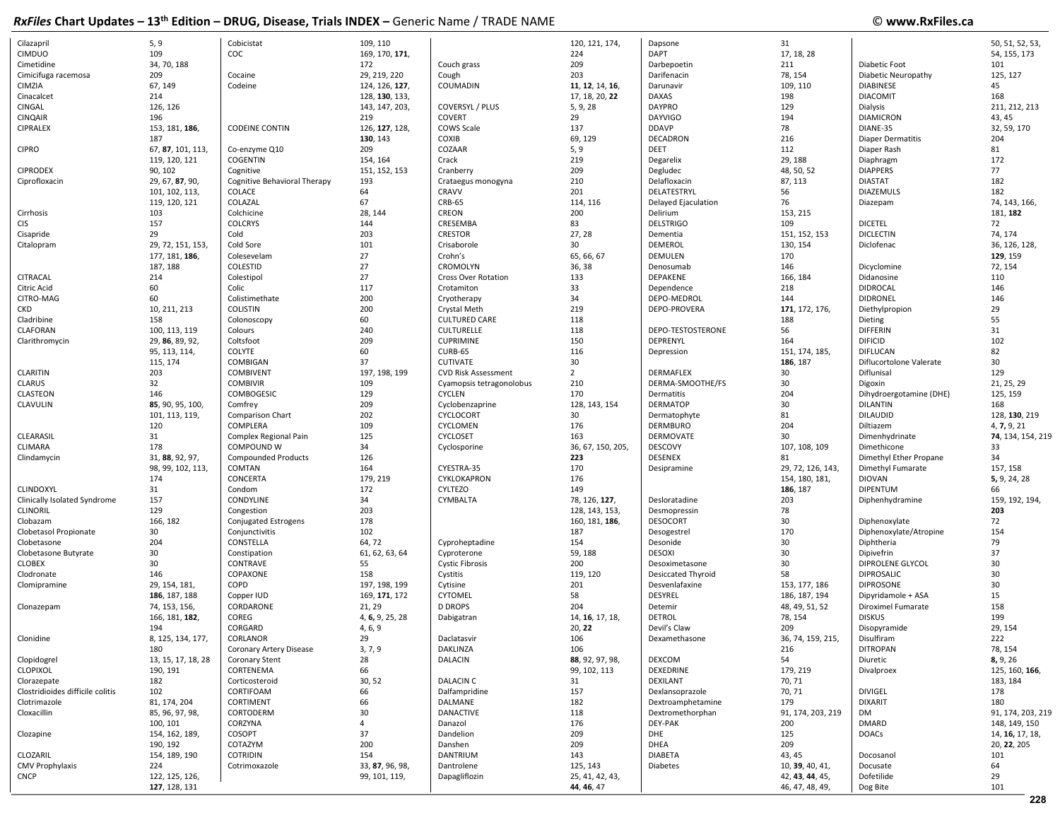| Cilazapril                       | 5, 9               | Cobicistat                   | 109, 110        |                            | 120, 121, 174,    | Dapsone             | 31                |                          | 50, 51, 52, 53,   |
|----------------------------------|--------------------|------------------------------|-----------------|----------------------------|-------------------|---------------------|-------------------|--------------------------|-------------------|
| <b>CIMDUO</b>                    | 109                | COC                          | 169, 170, 171,  |                            | 224               | <b>DAPT</b>         | 17, 18, 28        |                          | 54, 155, 173      |
| Cimetidine                       | 34, 70, 188        |                              | 172             | Couch grass                | 209               | Darbepoetin         | 211               | Diabetic Foot            | 101               |
| Cimicifuga racemosa              | 209                | Cocaine                      | 29, 219, 220    | Cough                      | 203               | Darifenacin         | 78, 154           | Diabetic Neuropathy      | 125, 127          |
| CIMZIA                           | 67, 149            | Codeine                      | 124, 126, 127,  | COUMADIN                   | 11, 12, 14, 16,   | Darunavir           | 109, 110          | <b>DIABINESE</b>         | 45                |
| Cinacalcet                       | 214                |                              | 128, 130, 133,  |                            | 17, 18, 20, 22    | DAXAS               | 198               | <b>DIACOMIT</b>          | 168               |
| CINGAL                           | 126, 126           |                              | 143, 147, 203,  | COVERSYL / PLUS            | 5, 9, 28          | <b>DAYPRO</b>       | 129               | Dialysis                 | 211, 212, 213     |
| <b>CINQAIR</b>                   | 196                |                              | 219             | <b>COVERT</b>              | 29                | <b>DAYVIGO</b>      | 194               | <b>DIAMICRON</b>         | 43, 45            |
| CIPRALEX                         |                    | <b>CODEINE CONTIN</b>        | 126, 127, 128,  | <b>COWS Scale</b>          | 137               | <b>DDAVP</b>        | 78                | DIANE-35                 | 32, 59, 170       |
|                                  | 153, 181, 186,     |                              |                 |                            |                   |                     |                   |                          |                   |
|                                  | 187                |                              | 130, 143        | COXIB                      | 69, 129           | DECADRON            | 216               | <b>Diaper Dermatitis</b> | 204               |
| <b>CIPRO</b>                     | 67, 87, 101, 113,  | Co-enzyme Q10                | 209             | COZAAR                     | 5, 9              | DEET                | 112               | Diaper Rash              | 81                |
|                                  | 119, 120, 121      | COGENTIN                     | 154, 164        | Crack                      | 219               | Degarelix           | 29, 188           | Diaphragm                | 172               |
| <b>CIPRODEX</b>                  | 90, 102            | Cognitive                    | 151, 152, 153   | Cranberry                  | 209               | Degludec            | 48, 50, 52        | <b>DIAPPERS</b>          | 77                |
| Ciprofloxacin                    | 29, 67, 87, 90,    | Cognitive Behavioral Therapy | 193             | Crataegus monogyna         | 210               | Delafloxacin        | 87, 113           | <b>DIASTAT</b>           | 182               |
|                                  | 101, 102, 113,     | COLACE                       | 64              | <b>CRAVV</b>               | 201               | DELATESTRYL         | 56                | <b>DIAZEMULS</b>         | 182               |
|                                  | 119, 120, 121      | COLAZAL                      | 67              | <b>CRB-65</b>              | 114, 116          | Delayed Ejaculation | 76                | Diazepam                 | 74, 143, 166,     |
| Cirrhosis                        | 103                | Colchicine                   | 28, 144         | CREON                      | 200               | Delirium            | 153, 215          |                          | 181, 182          |
| <b>CIS</b>                       | 157                | <b>COLCRYS</b>               | 144             | CRESEMBA                   | 83                | <b>DELSTRIGO</b>    | 109               | <b>DICETEL</b>           | 72                |
| Cisapride                        | 29                 | Cold                         | 203             | <b>CRESTOR</b>             | 27, 28            | Dementia            | 151, 152, 153     | <b>DICLECTIN</b>         | 74, 174           |
| Citalopram                       | 29, 72, 151, 153,  | Cold Sore                    | 101             | Crisaborole                | 30                | DEMEROL             | 130, 154          | Diclofenac               | 36, 126, 128,     |
|                                  | 177, 181, 186,     | Colesevelam                  | 27              | Crohn's                    | 65, 66, 67        | DEMULEN             | 170               |                          | 129, 159          |
|                                  | 187, 188           | COLESTID                     | 27              | CROMOLYN                   | 36, 38            | Denosumab           | 146               | Dicyclomine              | 72, 154           |
| CITRACAL                         | 214                | Colestipol                   | 27              | <b>Cross Over Rotation</b> | 133               | DEPAKENE            | 166, 184          | Didanosine               | 110               |
| Citric Acid                      | 60                 | Colic                        | 117             | Crotamiton                 | 33                | Dependence          | 218               | <b>DIDROCAL</b>          | 146               |
| CITRO-MAG                        | 60                 | Colistimethate               | 200             | Cryotherapy                | 34                | DEPO-MEDROL         | 144               | <b>DIDRONEL</b>          | 146               |
| <b>CKD</b>                       | 10, 211, 213       | <b>COLISTIN</b>              | 200             | Crystal Meth               | 219               | DEPO-PROVERA        | 171, 172, 176,    | Diethylpropion           | 29                |
| Cladribine                       | 158                | Colonoscopy                  | 60              | <b>CULTURED CARE</b>       | 118               |                     | 188               | Dieting                  | 55                |
| CLAFORAN                         | 100, 113, 119      | Colours                      | 240             | <b>CULTURELLE</b>          | 118               | DEPO-TESTOSTERONE   | 56                | <b>DIFFERIN</b>          | 31                |
|                                  |                    |                              | 209             |                            | 150               |                     | 164               |                          | 102               |
| Clarithromycin                   | 29, 86, 89, 92,    | Coltsfoot                    |                 | <b>CUPRIMINE</b>           |                   | DEPRENYL            |                   | <b>DIFICID</b>           |                   |
|                                  | 95, 113, 114,      | COLYTE                       | 60              | CURB-65                    | 116               | Depression          | 151, 174, 185,    | <b>DIFLUCAN</b>          | 82                |
|                                  | 115, 174           | COMBIGAN                     | 37              | <b>CUTIVATE</b>            | 30                |                     | 186, 187          | Diflucortolone Valerate  | 30                |
| <b>CLARITIN</b>                  | 203                | <b>COMBIVENT</b>             | 197, 198, 199   | <b>CVD Risk Assessment</b> | $\overline{2}$    | <b>DERMAFLEX</b>    | 30                | Diflunisal               | 129               |
| <b>CLARUS</b>                    | 32                 | <b>COMBIVIR</b>              | 109             | Cyamopsis tetragonolobus   | 210               | DERMA-SMOOTHE/FS    | 30                | Digoxin                  | 21, 25, 29        |
| CLASTEON                         | 146                | COMBOGESIC                   | 129             | <b>CYCLEN</b>              | 170               | Dermatitis          | 204               | Dihydroergotamine (DHE)  | 125, 159          |
| CLAVULIN                         | 85, 90, 95, 100,   | Comfrey                      | 209             | Cyclobenzaprine            | 128, 143, 154     | <b>DERMATOP</b>     | 30                | <b>DILANTIN</b>          | 168               |
|                                  | 101, 113, 119,     | Comparison Chart             | 202             | CYCLOCORT                  | 30                | Dermatophyte        | 81                | <b>DILAUDID</b>          | 128, 130, 219     |
|                                  | 120                | COMPLERA                     | 109             | CYCLOMEN                   | 176               | <b>DERMBURO</b>     | 204               | Diltiazem                | 4, 7, 9, 21       |
| CLEARASIL                        | 31                 | Complex Regional Pain        | 125             | CYCLOSET                   | 163               | DERMOVATE           | 30                | Dimenhydrinate           | 74, 134, 154, 219 |
| <b>CLIMARA</b>                   | 178                | COMPOUND W                   | 34              | Cyclosporine               | 36, 67, 150, 205, | DESCOVY             | 107, 108, 109     | Dimethicone              | 33                |
| Clindamycin                      | 31, 88, 92, 97,    | <b>Compounded Products</b>   | 126             |                            | 223               | <b>DESENEX</b>      | 81                | Dimethyl Ether Propane   | 34                |
|                                  | 98, 99, 102, 113,  | COMTAN                       | 164             | CYESTRA-35                 | 170               | Desipramine         | 29, 72, 126, 143, | Dimethyl Fumarate        | 157, 158          |
|                                  | 174                | CONCERTA                     | 179, 219        | CYKLOKAPRON                | 176               |                     | 154, 180, 181,    | <b>DIOVAN</b>            | 5, 9, 24, 28      |
| <b>CLINDOXYL</b>                 | 31                 | Condom                       | 172             | <b>CYLTEZO</b>             | 149               |                     | 186, 187          | <b>DIPENTUM</b>          | 66                |
| Clinically Isolated Syndrome     | 157                | CONDYLINE                    | 34              | CYMBALTA                   | 78, 126, 127,     | Desloratadine       | 203               | Diphenhydramine          | 159, 192, 194,    |
| <b>CLINORIL</b>                  | 129                | Congestion                   | 203             |                            | 128, 143, 153,    | Desmopressin        | 78                |                          | 203               |
| Clobazam                         | 166, 182           | Conjugated Estrogens         | 178             |                            | 160, 181, 186,    | <b>DESOCORT</b>     | 30                | Diphenoxylate            | 72                |
| Clobetasol Propionate            | 30                 | Conjunctivitis               | 102             |                            | 187               | Desogestrel         | 170               | Diphenoxylate/Atropine   | 154               |
| Clobetasone                      | 204                | CONSTELLA                    | 64,72           | Cyproheptadine             | 154               | Desonide            | 30                | Diphtheria               | 79                |
| Clobetasone Butyrate             | 30                 | Constipation                 | 61, 62, 63, 64  | Cyproterone                | 59, 188           | <b>DESOXI</b>       | 30                | Dipivefrin               | 37                |
| <b>CLOBEX</b>                    | 30                 |                              |                 |                            |                   |                     | 30                |                          | 30                |
|                                  |                    | CONTRAVE                     | 55              | <b>Cystic Fibrosis</b>     | 200               | Desoximetasone      |                   | <b>DIPROLENE GLYCOL</b>  |                   |
| Clodronate                       | 146                | COPAXONE                     | 158             | Cystitis                   | 119, 120          | Desiccated Thyroid  | 58                | <b>DIPROSALIC</b>        | 30                |
| Clomipramine                     | 29, 154, 181,      | COPD                         | 197, 198, 199   | Cytisine                   | 201               | Desvenlafaxine      | 153, 177, 186     | <b>DIPROSONE</b>         | 30                |
|                                  | 186, 187, 188      | Copper IUD                   | 169, 171, 172   | CYTOMEL                    | 58                | DESYREL             | 186, 187, 194     | Dipyridamole + ASA       | 15                |
| Clonazepam                       | 74, 153, 156,      | CORDARONE                    | 21, 29          | <b>D DROPS</b>             | 204               | Detemir             | 48, 49, 51, 52    | Diroximel Fumarate       | 158               |
|                                  | 166, 181, 182,     | COREG                        | 4, 6, 9, 25, 28 | Dabigatran                 | 14, 16, 17, 18,   | <b>DETROL</b>       | 78, 154           | <b>DISKUS</b>            | 199               |
|                                  | 194                | CORGARD                      | 4, 6, 9         |                            | 20, 22            | Devil's Claw        | 209               | Disopyramide             | 29, 154           |
| Clonidine                        | 8, 125, 134, 177,  | CORLANOR                     | 29              | Daclatasvir                | 106               | Dexamethasone       | 36, 74, 159, 215, | Disulfiram               | 222               |
|                                  | 180                | Coronary Artery Disease      | 3, 7, 9         | DAKLINZA                   | 106               |                     | 216               | <b>DITROPAN</b>          | 78, 154           |
| Clopidogrel                      | 13, 15, 17, 18, 28 | Coronary Stent               | 28              | DALACIN                    | 88, 92, 97, 98,   | DEXCOM              | 54                | Diuretic                 | 8, 9, 26          |
| <b>CLOPIXOL</b>                  | 190, 191           | CORTENEMA                    | 66              |                            | 99, 102, 113      | DEXEDRINE           | 179, 219          | Divalproex               | 125, 160, 166,    |
| Clorazepate                      | 182                | Corticosteroid               | 30, 52          | <b>DALACIN C</b>           | 31                | <b>DEXILANT</b>     | 70, 71            |                          | 183, 184          |
| Clostridioides difficile colitis | 102                | CORTIFOAM                    | 66              | Dalfampridine              | 157               | Dexlansoprazole     | 70, 71            | <b>DIVIGEL</b>           | 178               |
| Clotrimazole                     | 81, 174, 204       | CORTIMENT                    | 66              | DALMANE                    | 182               | Dextroamphetamine   | 179               | <b>DIXARIT</b>           | 180               |
| Cloxacillin                      | 85, 96, 97, 98,    | CORTODERM                    | 30              | <b>DANACTIVE</b>           | 118               | Dextromethorphan    | 91, 174, 203, 219 | DM                       | 91, 174, 203, 219 |
|                                  | 100, 101           | CORZYNA                      | $\overline{4}$  | Danazol                    | 176               | DEY-PAK             | 200               | <b>DMARD</b>             | 148, 149, 150     |
| Clozapine                        | 154, 162, 189,     | COSOPT                       | 37              | Dandelion                  | 209               | <b>DHE</b>          | 125               | <b>DOACs</b>             | 14, 16, 17, 18,   |
|                                  | 190, 192           | COTAZYM                      | 200             | Danshen                    | 209               | <b>DHEA</b>         | 209               |                          | 20, 22, 205       |
| CLOZARIL                         | 154, 189, 190      | COTRIDIN                     | 154             | DANTRIUM                   | 143               | <b>DIABETA</b>      | 43, 45            | Docosanol                | 101               |
| <b>CMV Prophylaxis</b>           | 224                | Cotrimoxazole                | 33, 87, 96, 98, | Dantrolene                 | 125, 143          | <b>Diabetes</b>     | 10, 39, 40, 41,   | Docusate                 | 64                |
| <b>CNCP</b>                      | 122, 125, 126,     |                              | 99, 101, 119,   | Dapagliflozin              | 25, 41, 42, 43,   |                     | 42, 43, 44, 45,   | Dofetilide               | 29                |
|                                  | 127, 128, 131      |                              |                 |                            | 44, 46, 47        |                     | 46, 47, 48, 49,   |                          | 101               |
|                                  |                    |                              |                 |                            |                   |                     |                   | Dog Bite                 |                   |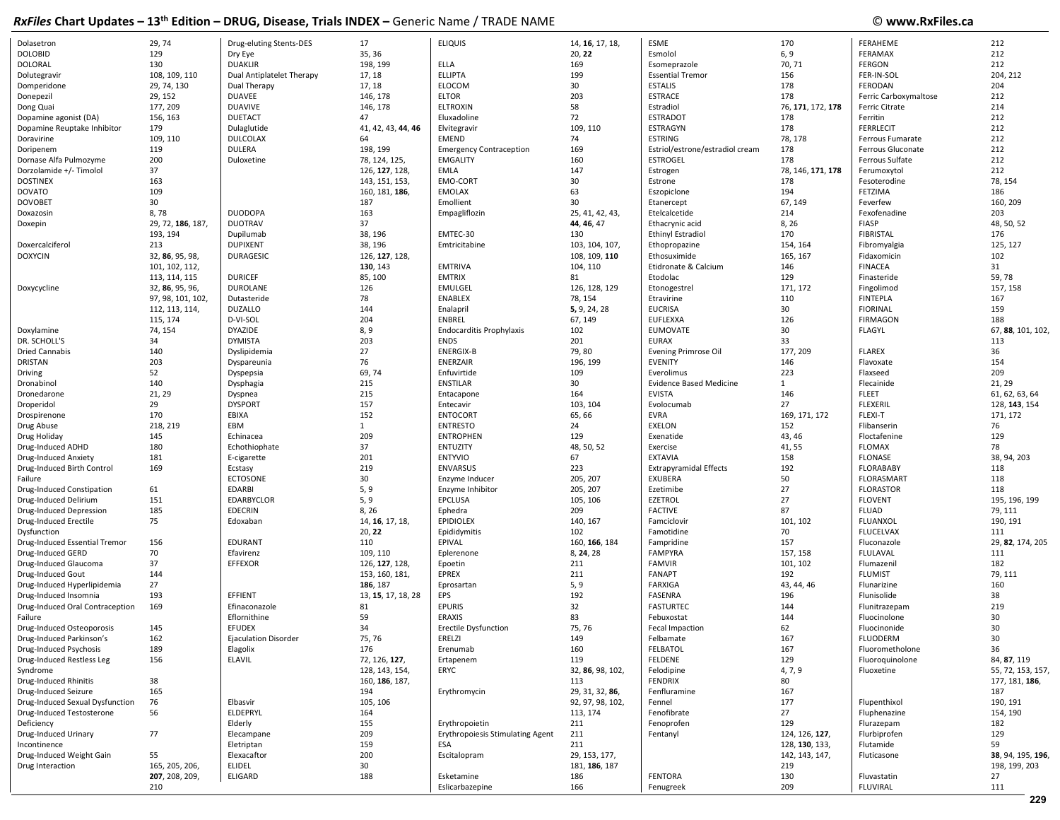| iwi ilaa silal u shaaraa        | -------           | <b>PROD, PROGRESS, THORS HADEA</b> |                    | $\sim$                                  |                  |                                 |                   | .                     |                   |
|---------------------------------|-------------------|------------------------------------|--------------------|-----------------------------------------|------------------|---------------------------------|-------------------|-----------------------|-------------------|
| Dolasetron                      | 29, 74            | Drug-eluting Stents-DES            | 17                 | <b>ELIQUIS</b>                          | 14, 16, 17, 18,  | ESME                            | 170               | FERAHEME              | 212               |
| <b>DOLOBID</b>                  | 129               | Dry Eye                            | 35, 36             |                                         | 20, 22           | Esmolol                         | 6, 9              | FERAMAX               | 212               |
| DOLORAL                         | 130               | <b>DUAKLIR</b>                     | 198, 199           | ELLA                                    | 169              | Esomeprazole                    | 70, 71            | <b>FERGON</b>         | 212               |
| Dolutegravir                    | 108, 109, 110     | Dual Antiplatelet Therapy          | 17, 18             | <b>ELLIPTA</b>                          | 199              | <b>Essential Tremor</b>         | 156               | FER-IN-SOL            | 204, 212          |
| Domperidone                     | 29, 74, 130       | Dual Therapy                       | 17, 18             | <b>ELOCOM</b>                           | 30               | <b>ESTALIS</b>                  | 178               | FERODAN               | 204               |
| Donepezil                       | 29, 152           | <b>DUAVEE</b>                      | 146, 178           | <b>ELTOR</b>                            | 203              | <b>ESTRACE</b>                  | 178               | Ferric Carboxymaltose | 212               |
| Dong Quai                       | 177, 209          | <b>DUAVIVE</b>                     | 146, 178           | <b>ELTROXIN</b>                         | 58               | Estradiol                       | 76, 171, 172, 178 | Ferric Citrate        | 214               |
|                                 | 156, 163          | <b>DUETACT</b>                     | 47                 | Eluxadoline                             | 72               | <b>ESTRADOT</b>                 | 178               | Ferritin              | 212               |
| Dopamine agonist (DA)           |                   |                                    |                    |                                         |                  |                                 |                   | <b>FERRLECIT</b>      | 212               |
| Dopamine Reuptake Inhibitor     | 179               | Dulaglutide                        | 41, 42, 43, 44, 46 | Elvitegravir                            | 109, 110         | <b>ESTRAGYN</b>                 | 178               |                       |                   |
| Doravirine                      | 109, 110          | <b>DULCOLAX</b>                    | 64                 | EMEND                                   | 74               | ESTRING                         | 78, 178           | Ferrous Fumarate      | 212               |
| Doripenem                       | 119               | <b>DULERA</b>                      | 198, 199           | <b>Emergency Contraception</b>          | 169              | Estriol/estrone/estradiol cream | 178               | Ferrous Gluconate     | 212               |
| Dornase Alfa Pulmozyme          | 200               | Duloxetine                         | 78, 124, 125,      | <b>EMGALITY</b>                         | 160              | <b>ESTROGEL</b>                 | 178               | Ferrous Sulfate       | 212               |
| Dorzolamide +/- Timolol         | 37                |                                    | 126, 127, 128,     | <b>EMLA</b>                             | 147              | Estrogen                        | 78, 146, 171, 178 | Ferumoxytol           | 212               |
| <b>DOSTINEX</b>                 | 163               |                                    | 143, 151, 153,     | EMO-CORT                                | 30               | Estrone                         | 178               | Fesoterodine          | 78, 154           |
| <b>DOVATO</b>                   | 109               |                                    | 160, 181, 186,     | <b>EMOLAX</b>                           | 63               | Eszopiclone                     | 194               | FETZIMA               | 186               |
| <b>DOVOBET</b>                  | 30                |                                    | 187                | Emollient                               | 30               | Etanercept                      | 67, 149           | Feverfew              | 160, 209          |
| Doxazosin                       | 8,78              | <b>DUODOPA</b>                     | 163                | Empagliflozin                           | 25, 41, 42, 43,  | Etelcalcetide                   | 214               | Fexofenadine          | 203               |
| Doxepin                         | 29, 72, 186, 187, | <b>DUOTRAV</b>                     | 37                 |                                         | 44, 46, 47       | Ethacrynic acid                 | 8, 26             | <b>FIASP</b>          | 48, 50, 52        |
|                                 | 193, 194          | Dupilumab                          | 38, 196            | EMTEC-30                                | 130              | <b>Ethinyl Estradiol</b>        | 170               | <b>FIBRISTAL</b>      | 176               |
| Doxercalciferol                 | 213               | <b>DUPIXENT</b>                    | 38, 196            | Emtricitabine                           | 103, 104, 107,   | Ethopropazine                   | 154, 164          | Fibromyalgia          | 125, 127          |
| <b>DOXYCIN</b>                  | 32, 86, 95, 98,   | <b>DURAGESIC</b>                   | 126, 127, 128,     |                                         | 108, 109, 110    | Ethosuximide                    | 165, 167          | Fidaxomicir           | 102               |
|                                 | 101, 102, 112,    |                                    | 130, 143           | <b>EMTRIVA</b>                          | 104, 110         | Etidronate & Calcium            | 146               | <b>FINACEA</b>        | 31                |
|                                 | 113, 114, 115     | <b>DURICEF</b>                     | 85, 100            | <b>EMTRIX</b>                           | 81               | Etodolac                        | 129               | Finasteride           | 59,78             |
| Doxycycline                     | 32, 86, 95, 96,   | DUROLANE                           | 126                | EMULGEL                                 | 126, 128, 129    | Etonogestrel                    | 171, 172          | Fingolimod            | 157, 158          |
|                                 | 97, 98, 101, 102, | Dutasteride                        | 78                 | <b>ENABLEX</b>                          | 78, 154          | Etravirine                      | 110               | <b>FINTEPLA</b>       | 167               |
|                                 | 112, 113, 114,    | <b>DUZALLO</b>                     | 144                | Enalapril                               | 5, 9, 24, 28     | <b>EUCRISA</b>                  | 30                | <b>FIORINAL</b>       | 159               |
|                                 | 115, 174          | D-VI-SOL                           | 204                | ENBREL                                  | 67, 149          | <b>EUFLEXXA</b>                 | 126               | <b>FIRMAGON</b>       | 188               |
| Doxylamine                      | 74, 154           | DYAZIDE                            | 8,9                | <b>Endocarditis Prophylaxis</b>         | 102              | <b>EUMOVATE</b>                 | 30                | <b>FLAGYL</b>         | 67, 88, 101, 102, |
| DR. SCHOLL'S                    | 34                | <b>DYMISTA</b>                     | 203                | <b>ENDS</b>                             | 201              | <b>EURAX</b>                    | 33                |                       | 113               |
| <b>Dried Cannabis</b>           | 140               | Dyslipidemia                       | 27                 | <b>ENERGIX-B</b>                        | 79,80            | Evening Primrose Oil            | 177, 209          | <b>FLAREX</b>         | 36                |
| DRISTAN                         | 203               | Dyspareunia                        | 76                 | ENERZAIR                                | 196, 199         | <b>EVENITY</b>                  | 146               | Flavoxate             | 154               |
| Driving                         | 52                | Dyspepsia                          | 69,74              | Enfuvirtide                             | 109              | Everolimus                      | 223               | Flaxseed              | 209               |
| Dronabinol                      | 140               | Dysphagia                          | 215                | <b>ENSTILAR</b>                         | 30               | <b>Evidence Based Medicine</b>  | $\mathbf{1}$      | Flecainide            | 21, 29            |
| Dronedarone                     | 21, 29            |                                    | 215                |                                         | 164              | <b>EVISTA</b>                   | 146               | <b>FLEET</b>          | 61, 62, 63, 64    |
|                                 |                   | Dyspnea                            |                    | Entacapone                              |                  |                                 | 27                |                       |                   |
| Droperidol                      | 29                | <b>DYSPORT</b>                     | 157                | Entecavir                               | 103, 104         | Evolocumab                      |                   | <b>FLEXERIL</b>       | 128, 143, 154     |
| Drospirenone                    | 170               | EBIXA                              | 152                | <b>ENTOCORT</b>                         | 65,66            | <b>EVRA</b>                     | 169, 171, 172     | <b>FLEXI-T</b>        | 171, 172          |
| Drug Abuse                      | 218, 219          | EBM                                | $\mathbf{1}$       | <b>ENTRESTO</b>                         | 24               | <b>EXELON</b>                   | 152               | Flibanserin           | 76                |
| Drug Holiday                    | 145               | Echinacea                          | 209                | <b>ENTROPHEN</b>                        | 129              | Exenatide                       | 43, 46            | Floctafenine          | 129               |
| Drug-Induced ADHD               | 180               | Echothiophate                      | 37                 | ENTUZITY                                | 48, 50, 52       | Exercise                        | 41, 55            | <b>FLOMAX</b>         | 78                |
| Drug-Induced Anxiety            | 181               | E-cigarette                        | 201                | <b>ENTYVIO</b>                          | 67               | <b>EXTAVIA</b>                  | 158               | <b>FLONASE</b>        | 38, 94, 203       |
| Drug-Induced Birth Control      | 169               | Ecstasy                            | 219                | <b>ENVARSUS</b>                         | 223              | <b>Extrapyramidal Effects</b>   | 192               | <b>FLORABABY</b>      | 118               |
| Failure                         |                   | <b>ECTOSONE</b>                    | 30                 | Enzyme Inducer                          | 205, 207         | EXUBERA                         | 50                | FLORASMART            | 118               |
| Drug-Induced Constipation       | 61                | <b>EDARBI</b>                      | 5, 9               | Enzyme Inhibitor                        | 205, 207         | Ezetimibe                       | 27                | <b>FLORASTOR</b>      | 118               |
| Drug-Induced Delirium           | 151               | <b>EDARBYCLOR</b>                  | 5, 9               | EPCLUSA                                 | 105, 106         | <b>EZETROL</b>                  | 27                | <b>FLOVENT</b>        | 195, 196, 199     |
| Drug-Induced Depression         | 185               | <b>EDECRIN</b>                     | 8, 26              | Ephedra                                 | 209              | <b>FACTIVE</b>                  | 87                | <b>FLUAD</b>          | 79, 111           |
| Drug-Induced Erectile           | 75                | Edoxaban                           | 14, 16, 17, 18,    | <b>EPIDIOLEX</b>                        | 140, 167         | Famciclovir                     | 101, 102          | FLUANXOL              | 190, 191          |
| Dysfunction                     |                   |                                    | 20, 22             | Epididymitis                            | 102              | Famotidine                      | 70                | <b>FLUCELVAX</b>      | 111               |
| Drug-Induced Essential Tremor   | 156               | EDURANT                            | 110                | EPIVAL                                  | 160, 166, 184    | Fampridine                      | 157               | Fluconazole           | 29, 82, 174, 205  |
| Drug-Induced GERD               | 70                | Efavirenz                          | 109, 110           | Eplerenone                              | 8, 24, 28        | <b>FAMPYRA</b>                  | 157, 158          | FLULAVAL              | 111               |
| Drug-Induced Glaucoma           | 37                | <b>EFFEXOR</b>                     | 126, 127, 128,     | Epoetin                                 | 211              | <b>FAMVIR</b>                   | 101, 102          | Flumazenil            | 182               |
| Drug-Induced Gout               | 144               |                                    | 153, 160, 181,     | <b>EPREX</b>                            | 211              | <b>FANAPT</b>                   | 192               | <b>FLUMIST</b>        | 79, 111           |
| Drug-Induced Hyperlipidemia     | 27                |                                    | 186, 187           | Eprosartan                              | 5, 9             | FARXIGA                         | 43, 44, 46        | Flunarizine           | 160               |
| Drug-Induced Insomnia           | 193               | EFFIENT                            | 13, 15, 17, 18, 28 | <b>EPS</b>                              | 192              | <b>FASENRA</b>                  | 196               | Flunisolide           | 38                |
| Drug-Induced Oral Contraception | 169               | Efinaconazole                      | 81                 | <b>EPURIS</b>                           | 32               | <b>FASTURTEC</b>                | 144               | Flunitrazepam         | 219               |
| Failure                         |                   | Eflornithine                       | 59                 | <b>ERAXIS</b>                           | 83               | Febuxostat                      | 144               | Fluocinolone          | 30                |
| Drug-Induced Osteoporosis       | 145               | <b>EFUDEX</b>                      | 34                 | Erectile Dysfunction                    | 75, 76           | Fecal Impaction                 | 62                | Fluocinonide          | 30                |
| Drug-Induced Parkinson's        | 162               | <b>Ejaculation Disorder</b>        | 75, 76             | ERELZI                                  | 149              | Felbamate                       | 167               | <b>FLUODERM</b>       | 30                |
| Drug-Induced Psychosis          | 189               | Elagolix                           | 176                | Erenumab                                | 160              | <b>FELBATOL</b>                 | 167               | Fluorometholone       | 36                |
| Drug-Induced Restless Leg       | 156               | ELAVIL                             | 72, 126, 127,      | Ertapenem                               | 119              | <b>FELDENE</b>                  | 129               | Fluoroquinolone       | 84, 87, 119       |
| Syndrome                        |                   |                                    | 128, 143, 154,     | ERYC                                    | 32, 86, 98, 102, | Felodipine                      | 4, 7, 9           | Fluoxetine            | 55, 72, 153, 157, |
| Drug-Induced Rhinitis           | 38                |                                    | 160, 186, 187,     |                                         | 113              | <b>FENDRIX</b>                  | 80                |                       | 177, 181, 186,    |
| Drug-Induced Seizure            | 165               |                                    | 194                | Erythromycin                            | 29, 31, 32, 86,  | Fenfluramine                    | 167               |                       | 187               |
| Drug-Induced Sexual Dysfunction | 76                | Elbasvir                           | 105, 106           |                                         | 92, 97, 98, 102, | Fennel                          | 177               | Flupenthixol          | 190, 191          |
| Drug-Induced Testosterone       | 56                | ELDEPRYL                           | 164                |                                         | 113, 174         | Fenofibrate                     | 27                | Fluphenazine          | 154, 190          |
| Deficiency                      |                   |                                    | 155                | Erythropoietin                          | 211              | Fenoprofen                      | 129               | Flurazepam            | 182               |
|                                 |                   | Elderly                            |                    |                                         |                  |                                 |                   |                       |                   |
| Drug-Induced Urinary            | 77                | Elecampane                         | 209                | <b>Erythropoiesis Stimulating Agent</b> | 211              | Fentanyl                        | 124, 126, 127,    | Flurbiprofen          | 129               |
| Incontinence                    |                   | Eletriptan                         | 159                | ESA                                     | 211              |                                 | 128, 130, 133,    | Flutamide             | 59                |
| Drug-Induced Weight Gain        | 55                | Elexacaftor                        | 200                | Escitalopram                            | 29, 153, 177,    |                                 | 142, 143, 147,    | Fluticasone           | 38, 94, 195, 196, |
| Drug Interaction                | 165, 205, 206,    | <b>ELIDEL</b>                      | 30                 |                                         | 181, 186, 187    |                                 | 219               |                       | 198, 199, 203     |
|                                 | 207, 208, 209,    | ELIGARD                            | 188                | Esketamine                              | 186              | FENTORA                         | 130               | Fluvastatin           | 27                |
|                                 | 210               |                                    |                    | Eslicarbazepine                         | 166              | Fenugreek                       | 209               | <b>FLUVIRAL</b>       | 111               |
|                                 |                   |                                    |                    |                                         |                  |                                 |                   |                       | 229               |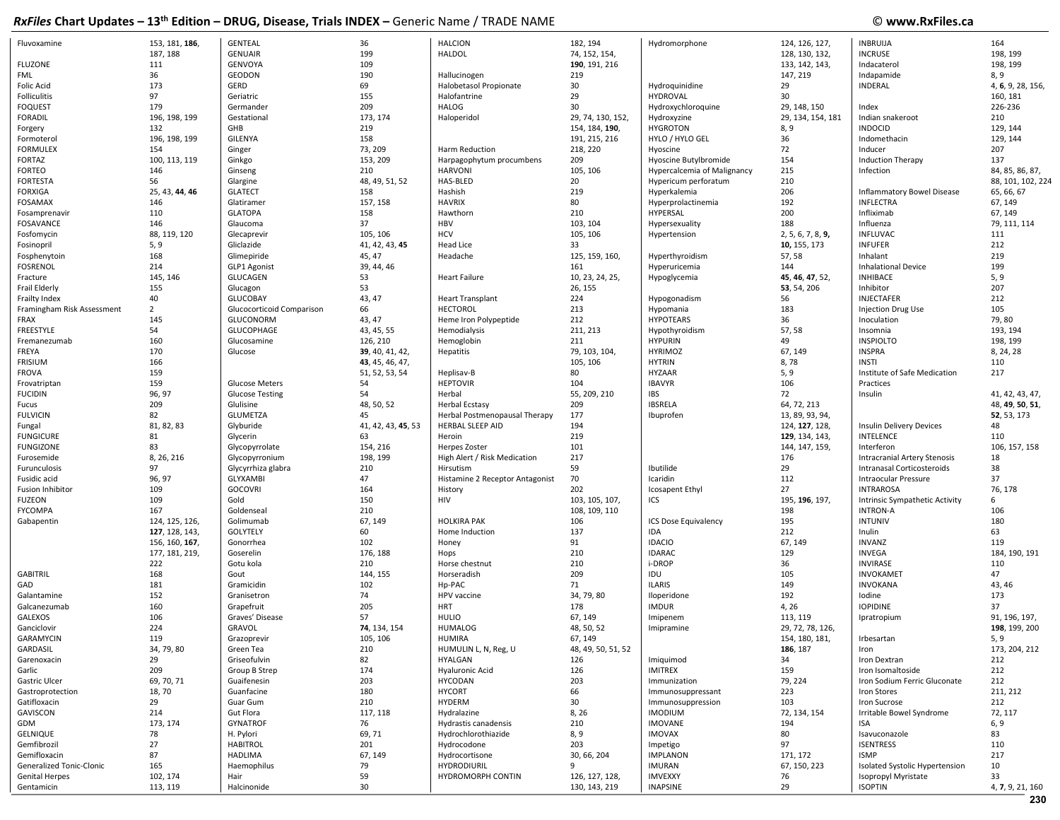## © www.RxFiles.ca

| Fluvoxamine                | 153, 181, 186, | <b>GENTEAL</b>            | 36                 | <b>HALCION</b>                  | 182, 194           | Hydromorphone               | 124, 126, 127,    | <b>INBRUIJA</b>                   | 164               |
|----------------------------|----------------|---------------------------|--------------------|---------------------------------|--------------------|-----------------------------|-------------------|-----------------------------------|-------------------|
|                            | 187, 188       | <b>GENUAIR</b>            | 199                | <b>HALDOL</b>                   | 74, 152, 154,      |                             | 128, 130, 132,    | <b>INCRUSE</b>                    | 198, 199          |
| <b>FLUZONE</b>             | 111            | GENVOYA                   | 109                |                                 | 190, 191, 216      |                             | 133, 142, 143,    | Indacaterol                       | 198, 199          |
| FML                        | 36             | <b>GEODON</b>             | 190                | Hallucinogen                    | 219                |                             | 147, 219          | Indapamide                        | 8, 9              |
| <b>Folic Acid</b>          | 173            | GERD                      | 69                 | Halobetasol Propionate          | 30                 | Hydroquinidine              | 29                | INDERAL                           | 4, 6, 9, 28, 156, |
| Folliculitis               | 97             | Geriatric                 | 155                | Halofantrine                    | 29                 | <b>HYDROVAL</b>             | 30                |                                   | 160, 181          |
|                            | 179            | Germander                 | 209                | <b>HALOG</b>                    | 30                 |                             |                   |                                   | 226-236           |
| <b>FOQUEST</b>             |                |                           |                    |                                 |                    | Hydroxychloroquine          | 29, 148, 150      | Index                             |                   |
| <b>FORADIL</b>             | 196, 198, 199  | Gestational               | 173, 174           | Haloperidol                     | 29, 74, 130, 152,  | Hydroxyzine                 | 29, 134, 154, 181 | Indian snakeroot                  | 210               |
| Forgery                    | 132            | GHB                       | 219                |                                 | 154, 184, 190,     | <b>HYGROTON</b>             | 8, 9              | <b>INDOCID</b>                    | 129, 144          |
| Formoterol                 | 196, 198, 199  | <b>GILENYA</b>            | 158                |                                 | 191, 215, 216      | HYLO / HYLO GEL             | 36                | Indomethacin                      | 129, 144          |
| <b>FORMULEX</b>            | 154            | Ginger                    | 73, 209            | Harm Reduction                  | 218, 220           | Hyoscine                    | 72                | Inducer                           | 207               |
| <b>FORTAZ</b>              | 100, 113, 119  | Ginkgo                    | 153, 209           | Harpagophytum procumbens        | 209                | Hyoscine Butylbromide       | 154               | <b>Induction Therapy</b>          | 137               |
| <b>FORTEO</b>              | 146            | Ginseng                   | 210                | <b>HARVONI</b>                  | 105, 106           | Hypercalcemia of Malignancy | 215               | Infection                         | 84, 85, 86, 87,   |
| <b>FORTESTA</b>            | 56             | Glargine                  | 48, 49, 51, 52     | HAS-BLED                        | 20                 | Hypericum perforatum        | 210               |                                   | 88, 101, 102, 224 |
| <b>FORXIGA</b>             | 25, 43, 44, 46 | <b>GLATECT</b>            | 158                | Hashish                         | 219                | Hyperkalemia                | 206               | <b>Inflammatory Bowel Disease</b> | 65, 66, 67        |
| <b>FOSAMAX</b>             | 146            | Glatiramer                | 157, 158           | <b>HAVRIX</b>                   | 80                 | Hyperprolactinemia          | 192               | <b>INFLECTRA</b>                  | 67, 149           |
| Fosamprenavir              | 110            | <b>GLATOPA</b>            | 158                | Hawthorn                        | 210                | HYPERSAL                    | 200               | Infliximab                        | 67, 149           |
| FOSAVANCE                  | 146            | Glaucoma                  | 37                 | <b>HBV</b>                      | 103, 104           | Hypersexuality              | 188               | Influenza                         | 79, 111, 114      |
|                            |                |                           |                    | <b>HCV</b>                      |                    |                             |                   |                                   | 111               |
| Fosfomycin                 | 88, 119, 120   | Glecaprevir               | 105, 106           |                                 | 105, 106           | Hypertension                | 2, 5, 6, 7, 8, 9, | <b>INFLUVAC</b>                   |                   |
| Fosinopril                 | 5, 9           | Gliclazide                | 41, 42, 43, 45     | <b>Head Lice</b>                | 33                 |                             | 10, 155, 173      | <b>INFUFER</b>                    | 212               |
| Fosphenytoin               | 168            | Glimepiride               | 45, 47             | Headache                        | 125, 159, 160,     | Hyperthyroidism             | 57,58             | Inhalant                          | 219               |
| <b>FOSRENOL</b>            | 214            | GLP1 Agonist              | 39, 44, 46         |                                 | 161                | Hyperuricemia               | 144               | <b>Inhalational Device</b>        | 199               |
| Fracture                   | 145, 146       | <b>GLUCAGEN</b>           | 53                 | <b>Heart Failure</b>            | 10, 23, 24, 25,    | Hypoglycemia                | 45, 46, 47, 52,   | <b>INHIBACE</b>                   | 5, 9              |
| Frail Elderly              | 155            | Glucagon                  | 53                 |                                 | 26, 155            |                             | 53, 54, 206       | Inhibitor                         | 207               |
| Frailty Index              | 40             | <b>GLUCOBAY</b>           | 43, 47             | <b>Heart Transplant</b>         | 224                | Hypogonadism                | 56                | INJECTAFER                        | 212               |
| Framingham Risk Assessment | $\overline{2}$ | Glucocorticoid Comparison | 66                 | HECTOROL                        | 213                | Hypomania                   | 183               | <b>Injection Drug Use</b>         | 105               |
| <b>FRAX</b>                | 145            | GLUCONORM                 | 43, 47             | Heme Iron Polypeptide           | 212                | <b>HYPOTEARS</b>            | 36                | Inoculation                       | 79,80             |
| FREESTYLE                  | 54             | GLUCOPHAGE                | 43, 45, 55         | Hemodialysis                    | 211, 213           | Hypothyroidism              | 57,58             | Insomnia                          | 193, 194          |
| Fremanezumab               | 160            | Glucosamine               | 126, 210           | Hemoglobin                      | 211                | <b>HYPURIN</b>              | 49                | <b>INSPIOLTO</b>                  | 198, 199          |
|                            |                |                           |                    |                                 |                    |                             |                   |                                   |                   |
| FREYA                      | 170            | Glucose                   | 39, 40, 41, 42,    | Hepatitis                       | 79, 103, 104,      | <b>HYRIMOZ</b>              | 67, 149           | <b>INSPRA</b>                     | 8, 24, 28         |
| FRISIUM                    | 166            |                           | 43, 45, 46, 47,    |                                 | 105, 106           | <b>HYTRIN</b>               | 8,78              | <b>INSTI</b>                      | 110               |
| <b>FROVA</b>               | 159            |                           | 51, 52, 53, 54     | Heplisav-B                      | 80                 | <b>HYZAAR</b>               | 5, 9              | Institute of Safe Medication      | 217               |
| Frovatriptan               | 159            | Glucose Meters            | 54                 | <b>HEPTOVIR</b>                 | 104                | <b>IBAVYR</b>               | 106               | Practices                         |                   |
| <b>FUCIDIN</b>             | 96, 97         | <b>Glucose Testing</b>    | 54                 | Herbal                          | 55, 209, 210       | IBS                         | 72                | Insulin                           | 41, 42, 43, 47,   |
| Fucus                      | 209            | Glulisine                 | 48, 50, 52         | <b>Herbal Ecstasy</b>           | 209                | <b>IBSRELA</b>              | 64, 72, 213       |                                   | 48, 49, 50, 51,   |
| <b>FULVICIN</b>            | 82             | <b>GLUMETZA</b>           | 45                 | Herbal Postmenopausal Therapy   | 177                | Ibuprofen                   | 13, 89, 93, 94,   |                                   | 52, 53, 173       |
| Fungal                     | 81, 82, 83     | Glyburide                 | 41, 42, 43, 45, 53 | HERBAL SLEEP AID                | 194                |                             | 124, 127, 128,    | <b>Insulin Delivery Devices</b>   | 48                |
| <b>FUNGICURE</b>           | 81             | Glycerin                  | 63                 | Heroin                          | 219                |                             | 129, 134, 143,    | <b>INTELENCE</b>                  | 110               |
| <b>FUNGIZONE</b>           | 83             | Glycopyrrolate            | 154, 216           | Herpes Zoster                   | 101                |                             | 144, 147, 159,    | Interferon                        | 106, 157, 158     |
|                            | 8, 26, 216     |                           | 198, 199           |                                 | 217                |                             | 176               |                                   | 18                |
| Furosemide                 |                | Glycopyrronium            |                    | High Alert / Risk Medication    |                    |                             |                   | Intracranial Artery Stenosis      |                   |
| Furunculosis               | 97             | Glycyrrhiza glabra        | 210                | Hirsutism                       | 59                 | Ibutilide                   | 29                | Intranasal Corticosteroids        | 38                |
| Fusidic acid               | 96, 97         | <b>GLYXAMBI</b>           | 47                 | Histamine 2 Receptor Antagonist | 70                 | Icaridin                    | 112               | Intraocular Pressure              | 37                |
| Fusion Inhibitor           | 109            | <b>GOCOVRI</b>            | 164                | History                         | 202                | Icosapent Ethyl             | 27                | <b>INTRAROSA</b>                  | 76, 178           |
| <b>FUZEON</b>              | 109            | Gold                      | 150                | <b>HIV</b>                      | 103, 105, 107,     | ICS                         | 195, 196, 197,    | Intrinsic Sympathetic Activity    | 6                 |
| <b>FYCOMPA</b>             | 167            | Goldenseal                | 210                |                                 | 108, 109, 110      |                             | 198               | <b>INTRON-A</b>                   | 106               |
| Gabapentin                 | 124, 125, 126, | Golimumab                 | 67, 149            | <b>HOLKIRA PAK</b>              | 106                | ICS Dose Equivalency        | 195               | <b>INTUNIV</b>                    | 180               |
|                            | 127, 128, 143, | <b>GOLYTELY</b>           | 60                 | Home Induction                  | 137                | IDA                         | 212               | Inulin                            | 63                |
|                            | 156, 160, 167, | Gonorrhea                 | 102                | Honey                           | 91                 | <b>IDACIO</b>               | 67, 149           | <b>INVANZ</b>                     | 119               |
|                            | 177, 181, 219, | Goserelin                 | 176, 188           | Hops                            | 210                | <b>IDARAC</b>               | 129               | INVEGA                            | 184, 190, 191     |
|                            |                |                           |                    |                                 |                    |                             |                   |                                   |                   |
|                            | 222            | Gotu kola                 | 210                | Horse chestnut                  | 210                | i-DROP                      | 36                | <b>INVIRASE</b>                   | 110               |
| <b>GABITRIL</b>            | 168            | Gout                      | 144, 155           | Horseradish                     | 209                | IDU                         | 105               | <b>INVOKAMET</b>                  | 47                |
| GAD                        | 181            | Gramicidin                | 102                | Hp-PAC                          | 71                 | <b>ILARIS</b>               | 149               | <b>INVOKANA</b>                   | 43, 46            |
| Galantamine                | 152            | Granisetron               | 74                 | HPV vaccine                     | 34, 79, 80         | Iloperidone                 | 192               | lodine                            | 173               |
| Galcanezumab               | 160            | Grapefruit                | 205                | <b>HRT</b>                      | 178                | <b>IMDUR</b>                | 4, 26             | <b>IOPIDINE</b>                   | 37                |
| <b>GALEXOS</b>             | 106            | Graves' Disease           | 57                 | <b>HULIO</b>                    | 67, 149            | Imipenem                    | 113, 119          | Ipratropium                       | 91, 196, 197,     |
| Ganciclovir                | 224            | GRAVOL                    | 74, 134, 154       | <b>HUMALOG</b>                  | 48, 50, 52         | Imipramine                  | 29, 72, 78, 126,  |                                   | 198, 199, 200     |
| GARAMYCIN                  | 119            | Grazoprevir               | 105, 106           | HUMIRA                          | 67, 149            |                             | 154, 180, 181,    | Irbesartan                        | 5, 9              |
| GARDASIL                   | 34, 79, 80     | Green Tea                 | 210                | HUMULIN L, N, Reg, U            | 48, 49, 50, 51, 52 |                             | 186, 187          | Iron                              | 173, 204, 212     |
| Garenoxacin                | 29             | Griseofulvin              | 82                 | HYALGAN                         | 126                | Imiquimod                   | 34                | Iron Dextran                      | 212               |
| Garlic                     | 209            | Group B Strep             | 174                | Hyaluronic Acid                 | 126                | <b>IMITREX</b>              | 159               | Iron Isomaltoside                 | 212               |
|                            |                |                           |                    |                                 |                    |                             |                   |                                   |                   |
| Gastric Ulcer              | 69, 70, 71     | Guaifenesin               | 203                | <b>HYCODAN</b>                  | 203                | Immunization                | 79, 224           | Iron Sodium Ferric Gluconate      | 212               |
| Gastroprotection           | 18, 70         | Guanfacine                | 180                | <b>HYCORT</b>                   | 66                 | Immunosuppressant           | 223               | Iron Stores                       | 211, 212          |
| Gatifloxacin               | 29             | Guar Gum                  | 210                | HYDERM                          | 30                 | Immunosuppression           | 103               | Iron Sucrose                      | 212               |
| GAVISCON                   | 214            | Gut Flora                 | 117, 118           | Hydralazine                     | 8, 26              | <b>IMODIUM</b>              | 72, 134, 154      | Irritable Bowel Syndrome          | 72, 117           |
| GDM                        | 173, 174       | <b>GYNATROF</b>           | 76                 | Hydrastis canadensis            | 210                | <b>IMOVANE</b>              | 194               | ISA                               | 6, 9              |
| GELNIQUE                   | 78             | H. Pylori                 | 69, 71             | Hydrochlorothiazide             | 8, 9               | <b>IMOVAX</b>               | 80                | Isavuconazole                     | 83                |
| Gemfibrozil                | 27             | <b>HABITROL</b>           | 201                | Hydrocodone                     | 203                | Impetigo                    | 97                | <b>ISENTRESS</b>                  | 110               |
| Gemifloxacin               | 87             | HADLIMA                   | 67, 149            | Hydrocortisone                  | 30, 66, 204        | <b>IMPLANON</b>             | 171, 172          | <b>ISMP</b>                       | 217               |
| Generalized Tonic-Clonic   | 165            | Haemophilus               | 79                 | <b>HYDRODIURIL</b>              | 9                  | <b>IMURAN</b>               | 67, 150, 223      | Isolated Systolic Hypertension    | 10                |
| <b>Genital Herpes</b>      | 102, 174       | Hair                      | 59                 | HYDROMORPH CONTIN               |                    | <b>IMVEXXY</b>              | 76                |                                   | 33                |
|                            |                |                           |                    |                                 | 126, 127, 128,     |                             |                   | Isopropyl Myristate               |                   |
| Gentamicin                 | 113, 119       | Halcinonide               | 30                 |                                 | 130, 143, 219      | <b>INAPSINE</b>             | 29                | <b>ISOPTIN</b>                    | 4, 7, 9, 21, 160  |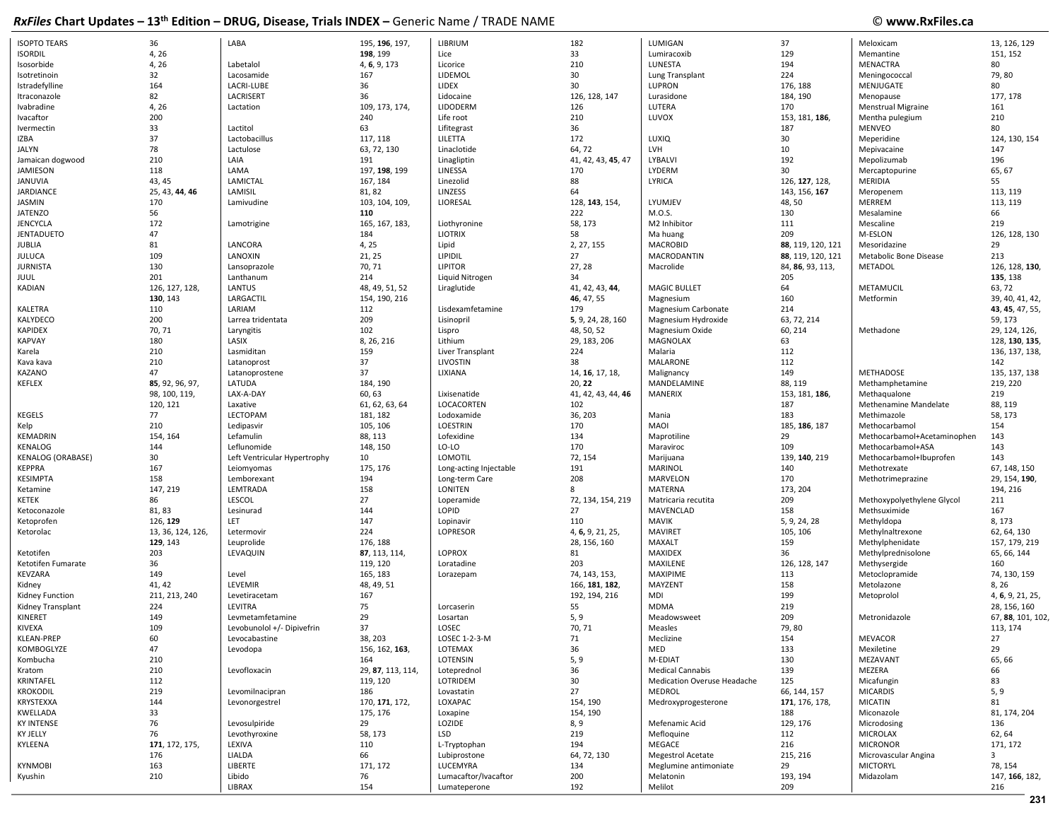| <b>ISOPTO TEARS</b>      | 36                | LABA                         | 195, 196, 197,    | LIBRIUM                | 182                | LUMIGAN                     | 37                | Meloxicam                   | 13, 126, 129      |
|--------------------------|-------------------|------------------------------|-------------------|------------------------|--------------------|-----------------------------|-------------------|-----------------------------|-------------------|
| <b>ISORDIL</b>           | 4, 26             |                              | 198, 199          | Lice                   | 33                 | Lumiracoxib                 | 129               | Memantine                   | 151, 152          |
|                          | 4, 26             | Labetalol                    | 4, 6, 9, 173      |                        | 210                | LUNESTA                     | 194               | <b>MENACTRA</b>             | 80                |
| Isosorbide               |                   |                              |                   | Licorice               |                    |                             |                   |                             |                   |
| Isotretinoin             | 32                | Lacosamide                   | 167               | LIDEMOL                | 30                 | Lung Transplant             | 224               | Meningococcal               | 79,80             |
| Istradefylline           | 164               | LACRI-LUBE                   | 36                | LIDEX                  | 30                 | LUPRON                      | 176, 188          | MENJUGATE                   | 80                |
| Itraconazole             | 82                | LACRISERT                    | 36                | Lidocaine              | 126, 128, 147      | Lurasidone                  | 184, 190          | Menopause                   | 177, 178          |
| Ivabradine               | 4, 26             | Lactation                    | 109, 173, 174,    | LIDODERM               | 126                | LUTERA                      | 170               | <b>Menstrual Migraine</b>   | 161               |
| Ivacaftor                | 200               |                              | 240               | Life root              | 210                | LUVOX                       | 153, 181, 186,    | Mentha pulegium             | 210               |
|                          | 33                | Lactitol                     | 63                |                        | 36                 |                             | 187               | <b>MENVEO</b>               | 80                |
| Ivermectin               |                   |                              |                   | Lifitegrast            |                    |                             |                   |                             |                   |
| <b>IZBA</b>              | 37                | Lactobacillus                | 117, 118          | LILETTA                | 172                | LUXIQ                       | 30                | Meperidine                  | 124, 130, 154     |
| <b>JALYN</b>             | 78                | Lactulose                    | 63, 72, 130       | Linaclotide            | 64, 72             | LVH                         | 10                | Mepivacaine                 | 147               |
| Jamaican dogwood         | 210               | LAIA                         | 191               | Linagliptin            | 41, 42, 43, 45, 47 | LYBALVI                     | 192               | Mepolizumab                 | 196               |
| JAMIESON                 | 118               | LAMA                         | 197, 198, 199     | LINESSA                | 170                | LYDERM                      | 30                | Mercaptopurine              | 65, 67            |
| <b>JANUVIA</b>           | 43, 45            | LAMICTAL                     | 167, 184          | Linezolid              | 88                 | LYRICA                      | 126, 127, 128,    | MERIDIA                     | 55                |
| <b>JARDIANCE</b>         | 25, 43, 44, 46    | LAMISIL                      | 81, 82            | LINZESS                | 64                 |                             | 143, 156, 167     | Meropenem                   | 113, 119          |
|                          |                   |                              |                   |                        |                    |                             |                   |                             |                   |
| JASMIN                   | 170               | Lamivudine                   | 103, 104, 109,    | LIORESAL               | 128, 143, 154,     | LYUMJEV                     | 48,50             | MERREM                      | 113, 119          |
| <b>JATENZO</b>           | 56                |                              | 110               |                        | 222                | M.O.S.                      | 130               | Mesalamine                  | 66                |
| <b>JENCYCLA</b>          | 172               | Lamotrigine                  | 165, 167, 183,    | Liothyronine           | 58, 173            | M2 Inhibitor                | 111               | Mescaline                   | 219               |
| <b>JENTADUETO</b>        | 47                |                              | 184               | <b>LIOTRIX</b>         | 58                 | Ma huang                    | 209               | M-ESLON                     | 126, 128, 130     |
| <b>JUBLIA</b>            | 81                | LANCORA                      | 4, 25             | Lipid                  | 2, 27, 155         | <b>MACROBID</b>             | 88, 119, 120, 121 | Mesoridazine                | 29                |
| <b>JULUCA</b>            | 109               | LANOXIN                      | 21, 25            | LIPIDIL                | 27                 | MACRODANTIN                 | 88, 119, 120, 121 | Metabolic Bone Disease      | 213               |
|                          |                   |                              |                   |                        |                    |                             |                   |                             |                   |
| <b>JURNISTA</b>          | 130               | Lansoprazole                 | 70, 71            | <b>LIPITOR</b>         | 27, 28             | Macrolide                   | 84, 86, 93, 113,  | METADOL                     | 126, 128, 130,    |
| <b>JUUL</b>              | 201               | Lanthanum                    | 214               | Liquid Nitrogen        | 34                 |                             | 205               |                             | 135, 138          |
| <b>KADIAN</b>            | 126, 127, 128,    | LANTUS                       | 48, 49, 51, 52    | Liraglutide            | 41, 42, 43, 44,    | <b>MAGIC BULLET</b>         | 64                | METAMUCIL                   | 63, 72            |
|                          | 130, 143          | LARGACTIL                    | 154, 190, 216     |                        | 46, 47, 55         | Magnesium                   | 160               | Metformin                   | 39, 40, 41, 42,   |
| KALETRA                  | 110               | LARIAM                       | 112               | Lisdexamfetamine       | 179                | Magnesium Carbonate         | 214               |                             | 43, 45, 47, 55,   |
| KALYDECO                 | 200               | Larrea tridentata            | 209               | Lisinopril             | 5, 9, 24, 28, 160  | Magnesium Hydroxide         | 63, 72, 214       |                             | 59, 173           |
| <b>KAPIDEX</b>           | 70, 71            |                              | 102               | Lispro                 | 48, 50, 52         | Magnesium Oxide             | 60, 214           | Methadone                   | 29, 124, 126,     |
|                          |                   | Laryngitis                   |                   |                        |                    |                             |                   |                             |                   |
| <b>KAPVAY</b>            | 180               | LASIX                        | 8, 26, 216        | Lithium                | 29, 183, 206       | MAGNOLAX                    | 63                |                             | 128, 130, 135,    |
| Karela                   | 210               | Lasmiditan                   | 159               | Liver Transplant       | 224                | Malaria                     | 112               |                             | 136, 137, 138,    |
| Kava kava                | 210               | Latanoprost                  | 37                | LIVOSTIN               | 38                 | <b>MALARONE</b>             | 112               |                             | 142               |
| KAZANO                   | 47                | Latanoprostene               | 37                | LIXIANA                | 14, 16, 17, 18,    | Malignancy                  | 149               | METHADOSE                   | 135, 137, 138     |
| <b>KEFLEX</b>            | 85, 92, 96, 97,   | LATUDA                       | 184, 190          |                        | 20, 22             | MANDELAMINE                 | 88, 119           | Methamphetamine             | 219, 220          |
|                          |                   | LAX-A-DAY                    | 60, 63            | Lixisenatide           | 41, 42, 43, 44, 46 | <b>MANERIX</b>              | 153, 181, 186,    |                             | 219               |
|                          | 98, 100, 119,     |                              |                   |                        |                    |                             |                   | Methaqualone                |                   |
|                          | 120, 121          | Laxative                     | 61, 62, 63, 64    | LOCACORTEN             | 102                |                             | 187               | Methenamine Mandelate       | 88, 119           |
| <b>KEGELS</b>            | 77                | LECTOPAM                     | 181, 182          | Lodoxamide             | 36, 203            | Mania                       | 183               | Methimazole                 | 58, 173           |
| Kelp                     | 210               | Ledipasvir                   | 105, 106          | <b>LOESTRIN</b>        | 170                | MAOI                        | 185, 186, 187     | Methocarbamol               | 154               |
| <b>KEMADRIN</b>          | 154, 164          | Lefamulin                    | 88, 113           | Lofexidine             | 134                | Maprotiline                 | 29                | Methocarbamol+Acetaminophen | 143               |
| KENALOG                  | 144               | Leflunomide                  | 148, 150          | LO-LO                  | 170                | Maraviroc                   | 109               | Methocarbamol+ASA           | 143               |
| <b>KENALOG (ORABASE)</b> |                   |                              |                   | LOMOTIL                | 72, 154            |                             | 139, 140, 219     |                             | 143               |
|                          | 30                | Left Ventricular Hypertrophy | 10                |                        |                    | Marijuana                   |                   | Methocarbamol+Ibuprofen     |                   |
| <b>KEPPRA</b>            | 167               | Leiomyomas                   | 175, 176          | Long-acting Injectable | 191                | <b>MARINOL</b>              | 140               | Methotrexate                | 67, 148, 150      |
| <b>KESIMPTA</b>          | 158               | Lemborexant                  | 194               | Long-term Care         | 208                | MARVELON                    | 170               | Methotrimeprazine           | 29, 154, 190,     |
| Ketamine                 | 147, 219          | LEMTRADA                     | 158               | <b>LONITEN</b>         | 8                  | MATERNA                     | 173, 204          |                             | 194, 216          |
| <b>KETEK</b>             | 86                | LESCOL                       | 27                | Loperamide             | 72, 134, 154, 219  | Matricaria recutita         | 209               | Methoxypolyethylene Glycol  | 211               |
| Ketoconazole             | 81, 83            | Lesinurad                    | 144               | LOPID                  | 27                 | MAVENCLAD                   | 158               | Methsuximide                | 167               |
| Ketoprofen               | 126, 129          | LET                          | 147               | Lopinavir              | 110                | <b>MAVIK</b>                | 5, 9, 24, 28      | Methyldopa                  | 8, 173            |
|                          |                   |                              |                   |                        |                    |                             |                   |                             |                   |
| Ketorolac                | 13, 36, 124, 126, | Letermovir                   | 224               | LOPRESOR               | 4, 6, 9, 21, 25,   | <b>MAVIRET</b>              | 105, 106          | Methylnaltrexone            | 62, 64, 130       |
|                          | 129, 143          | Leuprolide                   | 176, 188          |                        | 28, 156, 160       | MAXALT                      | 159               | Methylphenidate             | 157, 179, 219     |
| Ketotifen                | 203               | LEVAQUIN                     | 87, 113, 114,     | LOPROX                 | 81                 | <b>MAXIDEX</b>              | 36                | Methylprednisolone          | 65, 66, 144       |
| Ketotifen Fumarate       | 36                |                              | 119, 120          | Loratadine             | 203                | MAXILENE                    | 126, 128, 147     | Methysergide                | 160               |
| KEVZARA                  | 149               | Level                        | 165, 183          | Lorazepam              | 74, 143, 153,      | <b>MAXIPIME</b>             | 113               | Metoclopramide              | 74, 130, 159      |
| Kidney                   | 41, 42            | LEVEMIR                      | 48, 49, 51        |                        | 166, 181, 182,     | MAYZENT                     | 158               | Metolazone                  | 8, 26             |
|                          |                   |                              |                   |                        |                    |                             | 199               |                             |                   |
| Kidney Function          | 211, 213, 240     | Levetiracetam                | 167               |                        | 192, 194, 216      | MDI                         |                   | Metoprolol                  | 4, 6, 9, 21, 25,  |
| Kidney Transplant        | 224               | LEVITRA                      | 75                | Lorcaserin             | 55                 | <b>MDMA</b>                 | 219               |                             | 28, 156, 160      |
| KINERET                  | 149               | Levmetamfetamine             | 29                | Losartan               | 5, 9               | Meadowsweet                 | 209               | Metronidazole               | 67, 88, 101, 102, |
| <b>KIVEXA</b>            | 109               | Levobunolol +/- Dipivefrin   | 37                | LOSEC                  | 70, 71             | Measles                     | 79,80             |                             | 113, 174          |
| KLEAN-PREP               | 60                | Levocabastine                | 38, 203           | LOSEC 1-2-3-M          | 71                 | Meclizine                   | 154               | <b>MEVACOR</b>              | 27                |
| KOMBOGLYZE               | 47                | Levodopa                     | 156, 162, 163,    | LOTEMAX                | 36                 | MED                         | 133               | Mexiletine                  | 29                |
|                          |                   |                              |                   |                        |                    |                             |                   |                             |                   |
| Kombucha                 | 210               |                              | 164               | LOTENSIN               | 5, 9               | M-EDIAT                     | 130               | MEZAVANT                    | 65, 66            |
| Kratom                   | 210               | Levofloxacin                 | 29, 87, 113, 114, | Loteprednol            | 36                 | <b>Medical Cannabis</b>     | 139               | MEZERA                      | 66                |
| KRINTAFEL                | 112               |                              | 119, 120          | LOTRIDEM               | 30                 | Medication Overuse Headache | 125               | Micafungin                  | 83                |
| <b>KROKODIL</b>          | 219               | Levomilnacipran              | 186               | Lovastatin             | 27                 | MEDROL                      | 66, 144, 157      | <b>MICARDIS</b>             | 5, 9              |
| KRYSTEXXA                | 144               | Levonorgestrel               | 170, 171, 172,    | LOXAPAC                | 154, 190           | Medroxyprogesterone         | 171, 176, 178,    | <b>MICATIN</b>              | 81                |
| KWELLADA                 | 33                |                              | 175, 176          | Loxapine               | 154, 190           |                             | 188               | Miconazole                  | 81, 174, 204      |
|                          |                   |                              |                   |                        |                    |                             |                   |                             |                   |
| <b>KY INTENSE</b>        | 76                | Levosulpiride                | 29                | LOZIDE                 | 8, 9               | Mefenamic Acid              | 129, 176          | Microdosing                 | 136               |
| <b>KY JELLY</b>          | 76                | Levothyroxine                | 58, 173           | LSD                    | 219                | Mefloquine                  | 112               | MICROLAX                    | 62, 64            |
| KYLEENA                  | 171, 172, 175,    | LEXIVA                       | 110               | L-Tryptophan           | 194                | MEGACE                      | 216               | <b>MICRONOR</b>             | 171, 172          |
|                          | 176               | LIALDA                       | 66                | Lubiprostone           | 64, 72, 130        | <b>Megestrol Acetate</b>    | 215, 216          | Microvascular Angina        | 3                 |
| <b>KYNMOBI</b>           | 163               | LIBERTE                      | 171, 172          | LUCEMYRA               | 134                | Meglumine antimoniate       | 29                | <b>MICTORYL</b>             | 78, 154           |
| Kyushin                  | 210               | Libido                       | 76                | Lumacaftor/Ivacaftor   | 200                | Melatonin                   | 193, 194          | Midazolam                   | 147, 166, 182,    |
|                          |                   |                              |                   |                        |                    |                             |                   |                             |                   |
|                          |                   | LIBRAX                       | 154               | Lumateperone           | 192                | Melilot                     | 209               |                             | 216               |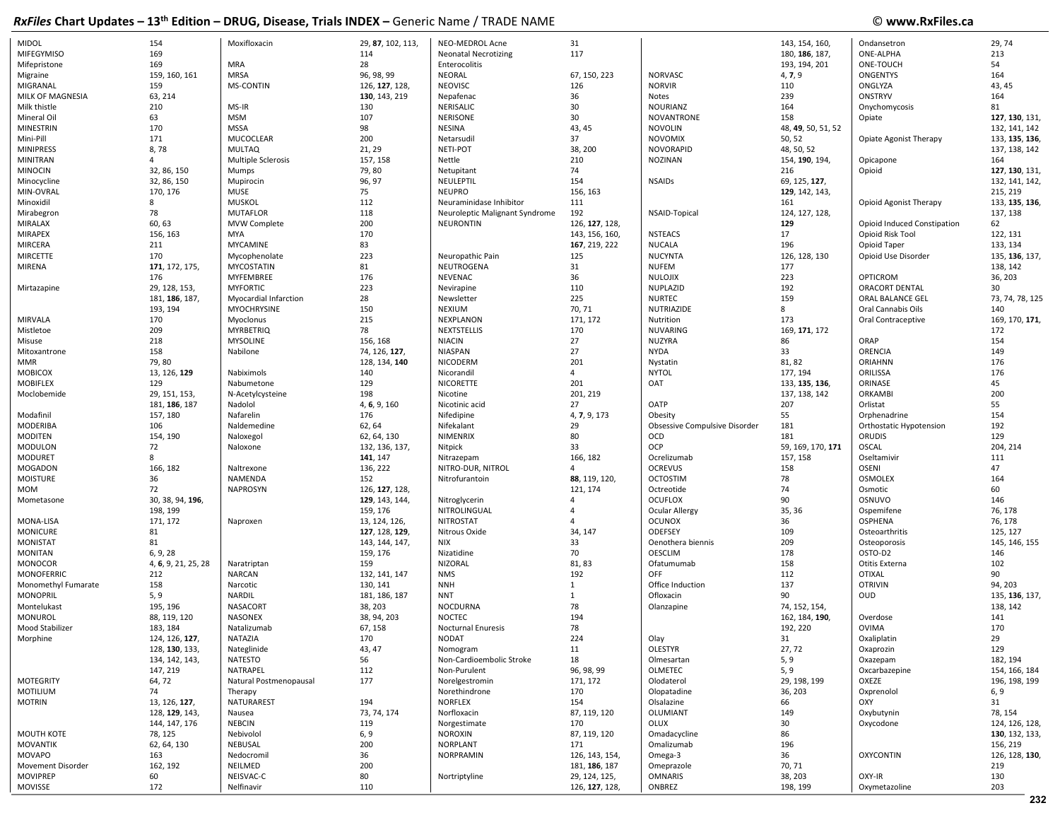| <b>MIDOL</b>               | 154                 | Moxifloxacin            | 29, 87, 102, 113, | NEO-MEDROL Acne                | 31                              |                               | 143, 154, 160,      | Ondansetron                 | 29,74           |
|----------------------------|---------------------|-------------------------|-------------------|--------------------------------|---------------------------------|-------------------------------|---------------------|-----------------------------|-----------------|
| <b>MIFEGYMISO</b>          | 169                 |                         | 114               | <b>Neonatal Necrotizing</b>    | 117                             |                               | 180, 186, 187,      | <b>ONE-ALPHA</b>            | 213             |
| Mifepristone               | 169                 | <b>MRA</b>              | 28                | Enterocolitis                  |                                 |                               | 193, 194, 201       | ONE-TOUCH                   | 54              |
|                            |                     |                         |                   |                                |                                 |                               |                     |                             | 164             |
| Migraine                   | 159, 160, 161       | MRSA                    | 96, 98, 99        | NEORAL                         | 67, 150, 223                    | <b>NORVASC</b>                | 4, 7, 9             | <b>ONGENTYS</b>             |                 |
| MIGRANAL                   | 159                 | <b>MS-CONTIN</b>        | 126, 127, 128,    | <b>NEOVISC</b>                 | 126                             | <b>NORVIR</b>                 | 110                 | ONGLYZA                     | 43, 45          |
| MILK OF MAGNESIA           | 63, 214             |                         | 130, 143, 219     | Nepafenac                      | 36                              | Notes                         | 239                 | ONSTRYV                     | 164             |
| Milk thistle               | 210                 | MS-IR                   | 130               | NERISALIC                      | 30                              | NOURIANZ                      | 164                 | Onychomycosis               | 81              |
| Mineral Oil                | 63                  | <b>MSM</b>              | 107               | <b>NERISONE</b>                | 30                              | NOVANTRONE                    | 158                 | Opiate                      | 127, 130, 131,  |
| <b>MINESTRIN</b>           | 170                 | <b>MSSA</b>             | 98                | <b>NESINA</b>                  | 43, 45                          | <b>NOVOLIN</b>                | 48, 49, 50, 51, 52  |                             | 132, 141, 142   |
| Mini-Pill                  | 171                 | MUCOCLEAR               | 200               | Netarsudil                     | 37                              | <b>NOVOMIX</b>                | 50, 52              | Opiate Agonist Therapy      | 133, 135, 136,  |
| <b>MINIPRESS</b>           | 8,78                | <b>MULTAQ</b>           | 21, 29            | <b>NETI-POT</b>                | 38, 200                         | NOVORAPID                     | 48, 50, 52          |                             | 137, 138, 142   |
| <b>MINITRAN</b>            |                     | Multiple Sclerosis      | 157, 158          | Nettle                         | 210                             | NOZINAN                       | 154, 190, 194,      | Opicapone                   | 164             |
| <b>MINOCIN</b>             | 32, 86, 150         | Mumps                   | 79,80             | Netupitant                     | 74                              |                               | 216                 | Opioid                      | 127, 130, 131,  |
|                            |                     |                         |                   |                                | 154                             |                               |                     |                             |                 |
| Minocycline                | 32, 86, 150         | Mupirocin               | 96, 97            | NEULEPTIL                      |                                 | <b>NSAIDs</b>                 | 69, 125, 127,       |                             | 132, 141, 142,  |
| MIN-OVRAL                  | 170, 176            | MUSE                    | 75                | <b>NEUPRO</b>                  | 156, 163                        |                               | 129, 142, 143,      |                             | 215, 219        |
| Minoxidil                  | 8                   | <b>MUSKOL</b>           | 112               | Neuraminidase Inhibitor        | 111                             |                               | 161                 | Opioid Agonist Therapy      | 133, 135, 136,  |
| Mirabegron                 | 78                  | <b>MUTAFLOR</b>         | 118               | Neuroleptic Malignant Syndrome | 192                             | NSAID-Topical                 | 124, 127, 128,      |                             | 137, 138        |
| MIRALAX                    | 60, 63              | MVW Complete            | 200               | <b>NEURONTIN</b>               | 126.127.128.                    |                               | 129                 | Opioid Induced Constipation | 62              |
| <b>MIRAPEX</b>             | 156, 163            | MYA                     | 170               |                                | 143, 156, 160,                  | <b>NSTEACS</b>                | 17                  | Opioid Risk Tool            | 122, 131        |
| <b>MIRCERA</b>             | 211                 | <b>MYCAMINE</b>         | 83                |                                | 167, 219, 222                   | <b>NUCALA</b>                 | 196                 | Opioid Taper                | 133, 134        |
| <b>MIRCETTE</b>            | 170                 | Mycophenolate           | 223               | Neuropathic Pain               | 125                             | <b>NUCYNTA</b>                | 126, 128, 130       | Opioid Use Disorder         | 135, 136, 137,  |
| MIRENA                     | 171, 172, 175,      | <b>MYCOSTATIN</b>       | 81                | NEUTROGENA                     | 31                              | <b>NUFEM</b>                  | 177                 |                             | 138, 142        |
|                            | 176                 | <b>MYFEMBREE</b>        | 176               | NEVENAC                        | 36                              | NULOJIX                       | 223                 | OPTICROM                    | 36, 203         |
|                            |                     |                         |                   |                                |                                 |                               |                     |                             |                 |
| Mirtazapine                | 29, 128, 153,       | <b>MYFORTIC</b>         | 223               | Nevirapine                     | 110                             | NUPLAZID                      | 192                 | ORACORT DENTAL              | 30              |
|                            | 181, 186, 187,      | Myocardial Infarction   | 28                | Newsletter                     | 225                             | <b>NURTEC</b>                 | 159                 | ORAL BALANCE GEL            | 73, 74, 78, 125 |
|                            | 193, 194            | <b>MYOCHRYSINE</b>      | 150               | <b>NEXIUM</b>                  | 70, 71                          | NUTRIAZIDE                    | 8                   | Oral Cannabis Oils          | 140             |
| <b>MIRVALA</b>             | 170                 | Myoclonus               | 215               | NEXPLANON                      | 171, 172                        | Nutrition                     | 173                 | Oral Contraceptive          | 169, 170, 171,  |
| Mistletoe                  | 209                 | <b>MYRBETRIQ</b>        | 78                | NEXTSTELLIS                    | 170                             | <b>NUVARING</b>               | 169, 171, 172       |                             | 172             |
| Misuse                     | 218                 | <b>MYSOLINE</b>         | 156, 168          | <b>NIACIN</b>                  | 27                              | <b>NUZYRA</b>                 | 86                  | ORAP                        | 154             |
| Mitoxantrone               | 158                 | Nabilone                | 74, 126, 127,     | NIASPAN                        | 27                              | <b>NYDA</b>                   | 33                  | ORENCIA                     | 149             |
| <b>MMR</b>                 | 79,80               |                         | 128, 134, 140     | NICODERM                       | 201                             | Nystatin                      | 81, 82              | <b>ORIAHNN</b>              | 176             |
| <b>MOBICOX</b>             | 13, 126, 129        | Nabiximols              | 140               | Nicorandil                     | $\overline{4}$                  | <b>NYTOL</b>                  | 177, 194            | ORILISSA                    | 176             |
|                            |                     |                         |                   |                                |                                 |                               |                     |                             | 45              |
| <b>MOBIFLEX</b>            | 129                 | Nabumetone              | 129               | <b>NICORETTE</b>               | 201                             | <b>OAT</b>                    | 133, 135, 136,      | ORINASE                     |                 |
| Moclobemide                | 29, 151, 153,       | N-Acetylcysteine        | 198               | Nicotine                       | 201, 219                        |                               | 137, 138, 142       | ORKAMBI                     | 200             |
|                            | 181, 186, 187       | Nadolol                 | 4, 6, 9, 160      | Nicotinic acid                 | 27                              | OATP                          | 207                 | Orlistat                    | 55              |
| Modafinil                  | 157, 180            | Nafarelin               | 176               | Nifedipine                     | 4, 7, 9, 173                    | Obesity                       | 55                  | Orphenadrine                | 154             |
| <b>MODERIBA</b>            | 106                 | Naldemedine             | 62, 64            | Nifekalant                     | 29                              | Obsessive Compulsive Disorder | 181                 | Orthostatic Hypotension     | 192             |
| <b>MODITEN</b>             | 154, 190            | Naloxegol               | 62, 64, 130       | NIMENRIX                       | 80                              | OCD                           | 181                 | <b>ORUDIS</b>               | 129             |
| <b>MODULON</b>             | 72                  | Naloxone                | 132, 136, 137,    | Nitpick                        | 33                              | OCP                           | 59, 169, 170, 171   | <b>OSCAL</b>                | 204, 214        |
| <b>MODURET</b>             | 8                   |                         | 141, 147          | Nitrazepam                     | 166, 182                        | Ocrelizumab                   | 157, 158            | Oseltamivir                 | 111             |
| <b>MOGADON</b>             | 166, 182            | Naltrexone              | 136, 222          | NITRO-DUR, NITROL              | $\overline{a}$                  | <b>OCREVUS</b>                | 158                 | <b>OSENI</b>                | 47              |
| <b>MOISTURE</b>            | 36                  | NAMENDA                 | 152               | Nitrofurantoin                 | 88, 119, 120,                   | <b>OCTOSTIM</b>               | 78                  | <b>OSMOLEX</b>              | 164             |
|                            |                     |                         |                   |                                |                                 |                               |                     |                             |                 |
| <b>MOM</b>                 | 72                  | <b>NAPROSYN</b>         | 126, 127, 128,    |                                | 121, 174                        | Octreotide                    | 74                  | Osmotic                     | 60              |
| Mometasone                 | 30, 38, 94, 196,    |                         | 129, 143, 144,    | Nitroglycerin                  |                                 | <b>OCUFLOX</b>                | 90                  | OSNUVO                      | 146             |
|                            | 198, 199            |                         | 159, 176          | NITROLINGUAL                   |                                 | Ocular Allergy                | 35, 36              | Ospemifene                  | 76, 178         |
| MONA-LISA                  | 171, 172            | Naproxen                | 13, 124, 126,     | <b>NITROSTAT</b>               |                                 | <b>OCUNOX</b>                 | 36                  | <b>OSPHENA</b>              | 76, 178         |
| <b>MONICURE</b>            | 81                  |                         | 127, 128, 129,    | Nitrous Oxide                  | 34, 147                         | ODEFSEY                       | 109                 | Osteoarthritis              | 125, 127        |
| <b>MONISTAT</b>            | 81                  |                         | 143, 144, 147,    | <b>NIX</b>                     | 33                              | Oenothera biennis             | 209                 | Osteoporosis                | 145, 146, 155   |
| <b>MONITAN</b>             | 6, 9, 28            |                         | 159, 176          | Nizatidine                     | 70                              | <b>OESCLIM</b>                | 178                 | OSTO-D2                     | 146             |
| <b>MONOCOR</b>             | 4, 6, 9, 21, 25, 28 | Naratriptan             | 159               | NIZORAL                        | 81, 83                          | Ofatumumab                    | 158                 | Otitis Externa              | 102             |
| <b>MONOFERRIC</b>          | 212                 | <b>NARCAN</b>           | 132, 141, 147     | <b>NMS</b>                     | 192                             | <b>OFF</b>                    | 112                 | <b>OTIXAL</b>               | 90              |
| Monomethyl Fumarate        | 158                 | Narcotic                | 130, 141          | <b>NNH</b>                     | $\mathbf{1}$                    | Office Induction              | 137                 | <b>OTRIVIN</b>              | 94, 203         |
|                            |                     |                         |                   |                                |                                 |                               | 90                  |                             |                 |
| <b>MONOPRIL</b>            | 5, 9                | <b>NARDIL</b>           | 181, 186, 187     | <b>NNT</b>                     | 1                               | Ofloxacin                     |                     | <b>OUD</b>                  | 135, 136, 137,  |
| Montelukast                | 195, 196            | NASACORT                | 38, 203           | NOCDURNA                       | 78                              | Olanzapine                    | 74, 152, 154,       |                             | 138, 142        |
| <b>MONUROL</b>             | 88, 119, 120        | <b>NASONEX</b>          | 38, 94, 203       | <b>NOCTEC</b>                  | 194                             |                               | 162, 184, 190,      | Overdose                    | 141             |
| Mood Stabilizer            | 183, 184            | Natalizumab             | 67, 158           | <b>Nocturnal Enuresis</b>      | 78                              |                               | 192, 220            | <b>OVIMA</b>                | 170             |
| Morphine                   | 124, 126, 127,      | NATAZIA                 | 170               | NODAT                          | 224                             | Olay                          | 31                  | Oxaliplatin                 | 29              |
|                            | 128, 130, 133,      | Nateglinide             | 43, 47            | Nomogram                       | 11                              | <b>OLESTYR</b>                | 27, 72              | Oxaprozin                   | 129             |
|                            | 134, 142, 143,      | <b>NATESTO</b>          | 56                | Non-Cardioembolic Stroke       | 18                              | Olmesartan                    | 5, 9                | Oxazepam                    | 182, 194        |
|                            | 147, 219            | NATRAPEL                | 112               | Non-Purulent                   | 96, 98, 99                      | OLMETEC                       | 5, 9                | Oxcarbazepine               | 154, 166, 184   |
|                            |                     |                         | 177               |                                |                                 |                               |                     | OXEZE                       |                 |
| <b>MOTEGRITY</b>           | 64, 72              | Natural Postmenopausal  |                   | Norelgestromin                 | 171, 172                        | Olodaterol                    | 29, 198, 199        |                             | 196, 198, 199   |
| MOTILIUM                   | 74                  | Therapy                 |                   | Norethindrone                  | 170                             | Olopatadine                   | 36, 203             | Oxprenolol                  | 6, 9            |
| <b>MOTRIN</b>              | 13, 126, 127,       | NATURAREST              | 194               | <b>NORFLEX</b>                 | 154                             | Olsalazine                    | 66                  | OXY                         | 31              |
|                            | 128, 129, 143,      | Nausea                  | 73, 74, 174       | Norfloxacin                    | 87, 119, 120                    | OLUMIANT                      | 149                 | Oxybutynin                  | 78, 154         |
|                            |                     | <b>NEBCIN</b>           | 119               | Norgestimate                   | 170                             | OLUX                          | 30                  | Oxycodone                   | 124, 126, 128,  |
| <b>MOUTH KOTE</b>          | 144, 147, 176       |                         |                   |                                |                                 |                               |                     |                             |                 |
|                            | 78, 125             | Nebivolol               |                   | <b>NOROXIN</b>                 | 87, 119, 120                    | Omadacycline                  | 86                  |                             | 130, 132, 133,  |
|                            |                     |                         | 6, 9              |                                |                                 |                               |                     |                             |                 |
| <b>MOVANTIK</b>            | 62, 64, 130         | NEBUSAL                 | 200               | <b>NORPLANT</b>                | 171                             | Omalizumab                    | 196                 |                             | 156, 219        |
| MOVAPO                     | 163                 | Nedocromil              | 36                | NORPRAMIN                      | 126, 143, 154,                  | Omega-3                       | 36                  | <b>OXYCONTIN</b>            | 126, 128, 130,  |
| Movement Disorder          | 162, 192            | NEILMED                 | 200               |                                | 181, 186, 187                   | Omeprazole                    | 70, 71              |                             | 219             |
| <b>MOVIPREP</b><br>MOVISSE | 60<br>172           | NEISVAC-C<br>Nelfinavir | 80<br>110         | Nortriptyline                  | 29, 124, 125,<br>126, 127, 128, | <b>OMNARIS</b><br>ONBREZ      | 38, 203<br>198, 199 | OXY-IR<br>Oxymetazoline     | 130<br>203      |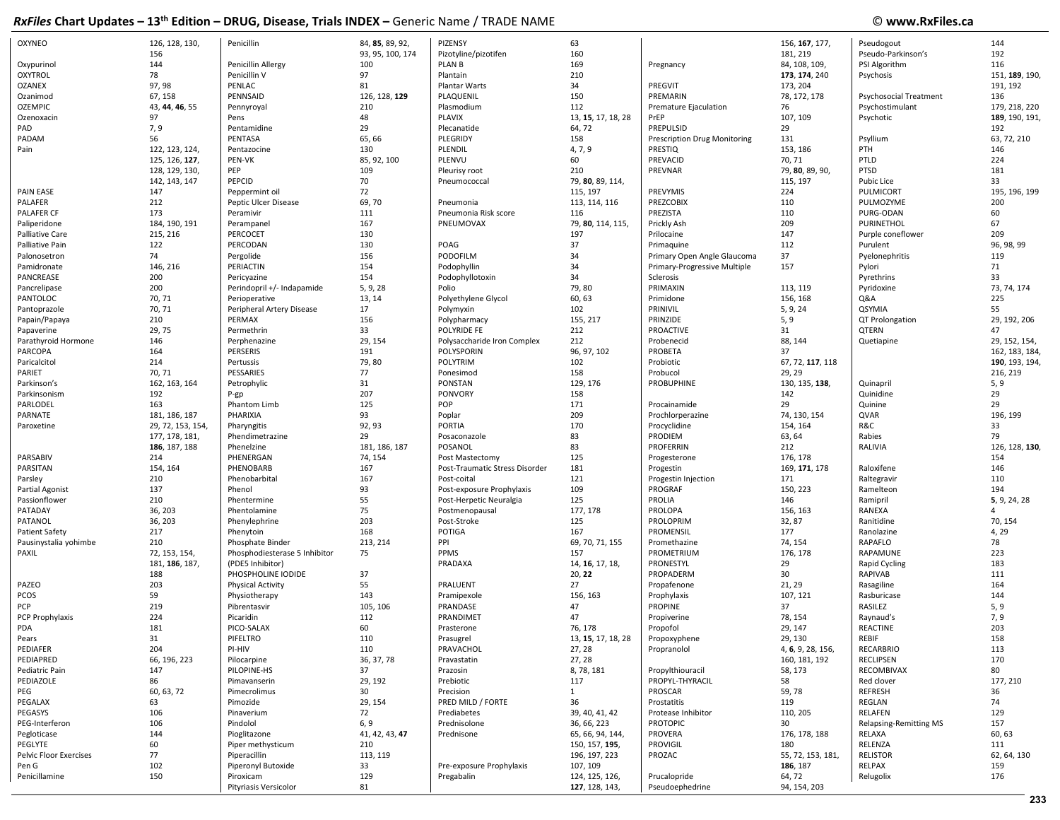## © www.RxFiles.ca

| 160<br>192<br>156<br>93, 95, 100, 174<br>Pizotyline/pizotifen<br>181, 219<br>Pseudo-Parkinson's<br>144<br>169<br>Penicillin Allergy<br>100<br>PLAN B<br>84, 108, 109,<br>PSI Algorithm<br>116<br>Oxypurinol<br>Pregnancy<br><b>OXYTROL</b><br>78<br>97<br>210<br>Penicillin V<br>Plantain<br>173, 174, 240<br>Psychosis<br>151, 189, 190,<br>97, 98<br>34<br><b>OZANEX</b><br>PENLAC<br>81<br>Plantar Warts<br>PREGVIT<br>173, 204<br>191, 192<br>126, 128, 129<br>150<br>Ozanimod<br>67, 158<br>PENNSAID<br>PLAQUENIL<br>PREMARIN<br>78, 172, 178<br>136<br><b>Psychosocial Treatment</b><br><b>OZEMPIC</b><br>43, 44, 46, 55<br>210<br>Plasmodium<br>112<br>Psychostimulant<br>179, 218, 220<br>Pennyroyal<br>Premature Ejaculation<br>76<br>48<br>97<br>PLAVIX<br>13, 15, 17, 18, 28<br>107, 109<br>189, 190, 191,<br>Ozenoxacin<br>Pens<br>PrEP<br>Psychotic<br>29<br>PAD<br>7, 9<br>64,72<br>PREPULSID<br>29<br>192<br>Pentamidine<br>Plecanatide<br>65, 66<br>PADAM<br>56<br>PENTASA<br>PLEGRIDY<br>158<br>131<br>Psyllium<br>63, 72, 210<br><b>Prescription Drug Monitoring</b><br>4, 7, 9<br>Pain<br>122, 123, 124,<br>130<br>PLENDIL<br>PRESTIQ<br>153, 186<br>PTH<br>146<br>Pentazocine<br>85, 92, 100<br>60<br>PTLD<br>125, 126, 127,<br>PEN-VK<br>PLENVU<br>PREVACID<br>70, 71<br>224<br>PTSD<br>128, 129, 130,<br>PEP<br>109<br>Pleurisy root<br>210<br>PREVNAR<br>79, 80, 89, 90,<br>181<br>70<br>33<br>142, 143, 147<br>PEPCID<br>79, 80, 89, 114,<br>115, 197<br><b>Pubic Lice</b><br>Pneumococcal<br>72<br><b>PAIN EASE</b><br>147<br>115, 197<br>PREVYMIS<br>224<br>PULMICORT<br>195, 196, 199<br>Peppermint oil<br>PALAFER<br>69,70<br>PREZCOBIX<br>212<br>Peptic Ulcer Disease<br>113, 114, 116<br>110<br>PULMOZYME<br>200<br>Pneumonia<br>110<br>PALAFER CF<br>173<br>111<br>PREZISTA<br>PURG-ODAN<br>60<br>Peramivir<br>Pneumonia Risk score<br>116<br>167<br>209<br>67<br>Paliperidone<br>184, 190, 191<br>PNEUMOVAX<br>79, 80, 114, 115,<br>Prickly Ash<br>PURINETHOL<br>Perampanel<br>215, 216<br>PERCOCET<br>130<br>197<br>147<br>209<br>Palliative Care<br>Prilocaine<br>Purple coneflower<br>130<br>37<br>112<br>122<br>PERCODAN<br>POAG<br>96, 98, 99<br>Palliative Pain<br>Primaquine<br>Purulent<br>156<br>PODOFILM<br>34<br>74<br>Pergolide<br>37<br>Pyelonephritis<br>119<br>Palonosetron<br>Primary Open Angle Glaucoma<br>154<br>34<br>Pamidronate<br>146, 216<br>PERIACTIN<br>Podophyllin<br>157<br>71<br>Primary-Progressive Multiple<br>Pylori<br>154<br>34<br>33<br>PANCREASE<br>200<br>Podophyllotoxin<br>Pyrethrins<br>Pericyazine<br>Sclerosis<br>200<br>79,80<br>73, 74, 174<br>Pancrelipase<br>Perindopril +/- Indapamide<br>5, 9, 28<br>PRIMAXIN<br>113, 119<br>Pyridoxine<br>Polio<br>60, 63<br>PANTOLOC<br>70, 71<br>13, 14<br>Primidone<br>156, 168<br>Q&A<br>225<br>Perioperative<br>Polyethylene Glycol<br>Pantoprazole<br>70, 71<br>17<br>102<br>PRINIVIL<br>5, 9, 24<br>QSYMIA<br>55<br>Peripheral Artery Disease<br>Polymyxin<br>156<br>29, 192, 206<br>Papain/Papaya<br>210<br>PERMAX<br>155, 217<br>PRINZIDE<br>5, 9<br>QT Prolongation<br>Polypharmacy<br>33<br>29, 75<br>POLYRIDE FE<br>212<br>PROACTIVE<br>31<br><b>QTERN</b><br>47<br>Papaverine<br>Permethrin<br>146<br>29, 154<br>Polysaccharide Iron Complex<br>212<br>Probenecid<br>88, 144<br>29, 152, 154,<br>Parathyroid Hormone<br>Perphenazine<br>Quetiapine<br>PARCOPA<br>164<br>PERSERIS<br>191<br>POLYSPORIN<br>96, 97, 102<br>PROBETA<br>37<br>162, 183, 184,<br>79,80<br>Paricalcitol<br>214<br><b>POLYTRIM</b><br>102<br>Probiotic<br>67, 72, 117, 118<br>Pertussis<br>190, 193, 194,<br>PESSARIES<br>77<br>158<br>PARIET<br>70, 71<br>Ponesimod<br>Probucol<br>29, 29<br>216, 219<br>31<br>129, 176<br>PROBUPHINE<br>162, 163, 164<br>Petrophylic<br>PONSTAN<br>130, 135, 138,<br>Quinapril<br>5, 9<br>Parkinson's<br>207<br>158<br>29<br>Parkinsonism<br>192<br><b>PONVORY</b><br>142<br>Quinidine<br>$P-gp$<br>125<br>POP<br>171<br>29<br>PARLODEL<br>163<br>29<br>Quinine<br>Phantom Limb<br>Procainamide<br>93<br>209<br>196, 199<br>PARNATE<br>181, 186, 187<br>PHARIXIA<br>Poplar<br>74, 130, 154<br>QVAR<br>Prochlorperazine<br>92, 93<br>170<br>R&C<br>33<br>29, 72, 153, 154<br><b>PORTIA</b><br>154, 164<br>Paroxetine<br>Pharyngitis<br>Procyclidine<br>83<br>79<br>177, 178, 181,<br>Phendimetrazine<br>29<br>PRODIEM<br>63, 64<br>Rabies<br>Posaconazole<br>83<br>186, 187, 188<br>181, 186, 187<br>POSANOL<br>PROFERRIN<br>RALIVIA<br>126, 128, 130,<br>Phenelzine<br>212<br>PARSABIV<br>214<br>PHENERGAN<br>74, 154<br>125<br>176, 178<br>154<br>Post Mastectomy<br>Progesterone<br>PARSITAN<br>167<br>181<br>154, 164<br>PHENOBARB<br>169, 171, 178<br>Raloxifene<br>146<br>Post-Traumatic Stress Disorder<br>Progestin<br>167<br>121<br>110<br>210<br>171<br>Raltegravir<br>Parsley<br>Phenobarbital<br>Post-coital<br>Progestin Injection<br>93<br>137<br>Phenol<br>109<br>PROGRAF<br>150, 223<br>194<br>Partial Agonist<br>Post-exposure Prophylaxis<br>Ramelteon<br>55<br>125<br>Passionflower<br>210<br>PROLIA<br>146<br>5, 9, 24, 28<br>Phentermine<br>Post-Herpetic Neuralgia<br>Ramipril<br>75<br>177, 178<br>PATADAY<br>36, 203<br>Phentolamine<br>PROLOPA<br>156, 163<br>RANEXA<br>Postmenopausal<br>$\Delta$<br>203<br>125<br>70, 154<br>PATANOL<br>36, 203<br>Post-Stroke<br>PROLOPRIM<br>32, 87<br>Phenylephrine<br>Ranitidine<br>168<br><b>POTIGA</b><br>177<br>4,29<br><b>Patient Safety</b><br>217<br>167<br>PROMENSIL<br>Ranolazine<br>Phenytoin<br>PPI<br>78<br>Phosphate Binder<br>213, 214<br>69, 70, 71, 155<br>74, 154<br>RAPAFLO<br>Pausinystalia yohimbe<br>210<br>Promethazine<br>223<br>PAXIL<br>72, 153, 154,<br>75<br>PPMS<br>157<br>PROMETRIUM<br>176, 178<br>RAPAMUNE<br>Phosphodiesterase 5 Inhibitor<br>181, 186, 187,<br>PRADAXA<br>14, 16, 17, 18,<br>PRONESTYL<br>29<br>183<br>(PDE5 Inhibitor)<br>Rapid Cycling<br>37<br>188<br>PHOSPHOLINE IODIDE<br>20, 22<br>PROPADERM<br>30<br><b>RAPIVAB</b><br>111<br>PAZEO<br>55<br>27<br>164<br>203<br>PRALUENT<br>21, 29<br>Physical Activity<br>Propafenone<br>Rasagiline<br>143<br>144<br>PCOS<br>59<br>156, 163<br>Prophylaxis<br>Physiotherapy<br>Pramipexole<br>107, 121<br>Rasburicase<br>47<br>PROPINE<br>5, 9<br>PCP<br>219<br>105, 106<br>PRANDASE<br>37<br>RASILEZ<br>Pibrentasvir<br>PCP Prophylaxis<br>112<br>47<br>7,9<br>224<br>PRANDIMET<br>78, 154<br>Picaridin<br>Propiverine<br>Raynaud's<br>60<br>76, 178<br>203<br>PDA<br>181<br>Propofol<br><b>REACTINE</b><br>PICO-SALAX<br>Prasterone<br>29, 147<br>13, 15, 17, 18, 28<br>PIFELTRO<br>110<br>29, 130<br>158<br>REBIF<br>31<br>Pears<br>Prasugrel<br>Propoxyphene<br>PEDIAFER<br>204<br>PI-HIV<br>PRAVACHOL<br>27, 28<br><b>RECARBRIO</b><br>113<br>110<br>Propranolol<br>4, 6, 9, 28, 156,<br>PEDIAPRED<br>66, 196, 223<br>36, 37, 78<br>27, 28<br>160, 181, 192<br><b>RECLIPSEN</b><br>170<br>Pilocarpine<br>Pravastatin<br>8, 78, 181<br>80<br>Pediatric Pain<br>147<br>PILOPINE-HS<br>37<br>Propylthiouracil<br>58, 173<br>RECOMBIVAX<br>Prazosin<br>177, 210<br>PEDIAZOLE<br>86<br>Pimavanserin<br>29, 192<br>Prebiotic<br>117<br>PROPYL-THYRACIL<br>58<br>Red clover<br>PEG<br>60, 63, 72<br>30<br>Precision<br>PROSCAR<br><b>REFRESH</b><br>36<br>Pimecrolimus<br>$\mathbf{1}$<br>59, 78<br>REGLAN<br>PEGALAX<br>29, 154<br>PRED MILD / FORTE<br>36<br>Prostatitis<br>119<br>74<br>63<br>Pimozide<br>PEGASYS<br>106<br>72<br>Prediabetes<br>39, 40, 41, 42<br>110, 205<br>RELAFEN<br>129<br>Pinaverium<br>Protease Inhibitor<br>PEG-Interferon<br>106<br>Pindolol<br>6, 9<br>Prednisolone<br>36, 66, 223<br><b>PROTOPIC</b><br>30 <sup>°</sup><br>157<br>Relapsing-Remitting MS<br>Pegloticase<br>144<br>41, 42, 43, 47<br>Prednisone<br>65, 66, 94, 144,<br>PROVERA<br>176, 178, 188<br>RELAXA<br>60, 63<br>Pioglitazone<br>PEGLYTE<br>60<br>210<br>150, 157, 195,<br>PROVIGIL<br>RELENZA<br>111<br>Piper methysticum<br>180<br>Pelvic Floor Exercises<br>77<br>Piperacillin<br>113, 119<br>196, 197, 223<br>PROZAC<br>55, 72, 153, 181,<br><b>RELISTOR</b><br>62, 64, 130<br>102<br>Piperonyl Butoxide<br>33<br>107, 109<br>186, 187<br>RELPAX<br>Pen G<br>Pre-exposure Prophylaxis<br>159<br>Penicillamine<br>150<br>129<br>124, 125, 126,<br>176<br>Piroxicam<br>Pregabalin<br>Prucalopride<br>64, 72<br>Relugolix<br>Pityriasis Versicolor<br>81<br>127, 128, 143,<br>Pseudoephedrine<br>94, 154, 203 | <b>OXYNEO</b> | 126, 128, 130, | Penicillin | 84, 85, 89, 92, | PIZENSY | 63 | 156, 167, 177, | Pseudogout | 144 |
|-----------------------------------------------------------------------------------------------------------------------------------------------------------------------------------------------------------------------------------------------------------------------------------------------------------------------------------------------------------------------------------------------------------------------------------------------------------------------------------------------------------------------------------------------------------------------------------------------------------------------------------------------------------------------------------------------------------------------------------------------------------------------------------------------------------------------------------------------------------------------------------------------------------------------------------------------------------------------------------------------------------------------------------------------------------------------------------------------------------------------------------------------------------------------------------------------------------------------------------------------------------------------------------------------------------------------------------------------------------------------------------------------------------------------------------------------------------------------------------------------------------------------------------------------------------------------------------------------------------------------------------------------------------------------------------------------------------------------------------------------------------------------------------------------------------------------------------------------------------------------------------------------------------------------------------------------------------------------------------------------------------------------------------------------------------------------------------------------------------------------------------------------------------------------------------------------------------------------------------------------------------------------------------------------------------------------------------------------------------------------------------------------------------------------------------------------------------------------------------------------------------------------------------------------------------------------------------------------------------------------------------------------------------------------------------------------------------------------------------------------------------------------------------------------------------------------------------------------------------------------------------------------------------------------------------------------------------------------------------------------------------------------------------------------------------------------------------------------------------------------------------------------------------------------------------------------------------------------------------------------------------------------------------------------------------------------------------------------------------------------------------------------------------------------------------------------------------------------------------------------------------------------------------------------------------------------------------------------------------------------------------------------------------------------------------------------------------------------------------------------------------------------------------------------------------------------------------------------------------------------------------------------------------------------------------------------------------------------------------------------------------------------------------------------------------------------------------------------------------------------------------------------------------------------------------------------------------------------------------------------------------------------------------------------------------------------------------------------------------------------------------------------------------------------------------------------------------------------------------------------------------------------------------------------------------------------------------------------------------------------------------------------------------------------------------------------------------------------------------------------------------------------------------------------------------------------------------------------------------------------------------------------------------------------------------------------------------------------------------------------------------------------------------------------------------------------------------------------------------------------------------------------------------------------------------------------------------------------------------------------------------------------------------------------------------------------------------------------------------------------------------------------------------------------------------------------------------------------------------------------------------------------------------------------------------------------------------------------------------------------------------------------------------------------------------------------------------------------------------------------------------------------------------------------------------------------------------------------------------------------------------------------------------------------------------------------------------------------------------------------------------------------------------------------------------------------------------------------------------------------------------------------------------------------------------------------------------------------------------------------------------------------------------------------------------------------------------------------------------------------------------------------------------------------------------------------------------------------------------------------------------------------------------------------------------------------------------------------------------------------------------------------------------------------------------------------------------------------------------------------------------------------------------------------------------------------------------------------------------------------------------------------------------------------------------------------------------------------------------------------------------------------------------------------------------------------------------------------------------------------------------------------------------------------------------------------------------------------------------------------------------------------------------------------------------------------------------------------------------------------------------------------------------------------------------------------------------------------------------------------------------------------------------------------------------------------------------------------------------------------------------------------------------------------------------------------------------------------------------------------------------------------------------------------------------------------------------------------------------------------------------------------------------------------------------------------------------------------------------------------------------------------------------------------------------------------------------------------------------------------------------------------------------------------------------------------------------------------------------------------------------------------------------------------------------------------------------------------------------------------------------------------------------------|---------------|----------------|------------|-----------------|---------|----|----------------|------------|-----|
|                                                                                                                                                                                                                                                                                                                                                                                                                                                                                                                                                                                                                                                                                                                                                                                                                                                                                                                                                                                                                                                                                                                                                                                                                                                                                                                                                                                                                                                                                                                                                                                                                                                                                                                                                                                                                                                                                                                                                                                                                                                                                                                                                                                                                                                                                                                                                                                                                                                                                                                                                                                                                                                                                                                                                                                                                                                                                                                                                                                                                                                                                                                                                                                                                                                                                                                                                                                                                                                                                                                                                                                                                                                                                                                                                                                                                                                                                                                                                                                                                                                                                                                                                                                                                                                                                                                                                                                                                                                                                                                                                                                                                                                                                                                                                                                                                                                                                                                                                                                                                                                                                                                                                                                                                                                                                                                                                                                                                                                                                                                                                                                                                                                                                                                                                                                                                                                                                                                                                                                                                                                                                                                                                                                                                                                                                                                                                                                                                                                                                                                                                                                                                                                                                                                                                                                                                                                                                                                                                                                                                                                                                                                                                                                                                                                                                                                                                                                                                                                                                                                                                                                                                                                                                                                                                                                                                                                                                                                                                                                                                                                                                                                                                                                                                                                                                                                                                                                                                 |               |                |            |                 |         |    |                |            |     |
|                                                                                                                                                                                                                                                                                                                                                                                                                                                                                                                                                                                                                                                                                                                                                                                                                                                                                                                                                                                                                                                                                                                                                                                                                                                                                                                                                                                                                                                                                                                                                                                                                                                                                                                                                                                                                                                                                                                                                                                                                                                                                                                                                                                                                                                                                                                                                                                                                                                                                                                                                                                                                                                                                                                                                                                                                                                                                                                                                                                                                                                                                                                                                                                                                                                                                                                                                                                                                                                                                                                                                                                                                                                                                                                                                                                                                                                                                                                                                                                                                                                                                                                                                                                                                                                                                                                                                                                                                                                                                                                                                                                                                                                                                                                                                                                                                                                                                                                                                                                                                                                                                                                                                                                                                                                                                                                                                                                                                                                                                                                                                                                                                                                                                                                                                                                                                                                                                                                                                                                                                                                                                                                                                                                                                                                                                                                                                                                                                                                                                                                                                                                                                                                                                                                                                                                                                                                                                                                                                                                                                                                                                                                                                                                                                                                                                                                                                                                                                                                                                                                                                                                                                                                                                                                                                                                                                                                                                                                                                                                                                                                                                                                                                                                                                                                                                                                                                                                                                 |               |                |            |                 |         |    |                |            |     |
|                                                                                                                                                                                                                                                                                                                                                                                                                                                                                                                                                                                                                                                                                                                                                                                                                                                                                                                                                                                                                                                                                                                                                                                                                                                                                                                                                                                                                                                                                                                                                                                                                                                                                                                                                                                                                                                                                                                                                                                                                                                                                                                                                                                                                                                                                                                                                                                                                                                                                                                                                                                                                                                                                                                                                                                                                                                                                                                                                                                                                                                                                                                                                                                                                                                                                                                                                                                                                                                                                                                                                                                                                                                                                                                                                                                                                                                                                                                                                                                                                                                                                                                                                                                                                                                                                                                                                                                                                                                                                                                                                                                                                                                                                                                                                                                                                                                                                                                                                                                                                                                                                                                                                                                                                                                                                                                                                                                                                                                                                                                                                                                                                                                                                                                                                                                                                                                                                                                                                                                                                                                                                                                                                                                                                                                                                                                                                                                                                                                                                                                                                                                                                                                                                                                                                                                                                                                                                                                                                                                                                                                                                                                                                                                                                                                                                                                                                                                                                                                                                                                                                                                                                                                                                                                                                                                                                                                                                                                                                                                                                                                                                                                                                                                                                                                                                                                                                                                                                 |               |                |            |                 |         |    |                |            |     |
|                                                                                                                                                                                                                                                                                                                                                                                                                                                                                                                                                                                                                                                                                                                                                                                                                                                                                                                                                                                                                                                                                                                                                                                                                                                                                                                                                                                                                                                                                                                                                                                                                                                                                                                                                                                                                                                                                                                                                                                                                                                                                                                                                                                                                                                                                                                                                                                                                                                                                                                                                                                                                                                                                                                                                                                                                                                                                                                                                                                                                                                                                                                                                                                                                                                                                                                                                                                                                                                                                                                                                                                                                                                                                                                                                                                                                                                                                                                                                                                                                                                                                                                                                                                                                                                                                                                                                                                                                                                                                                                                                                                                                                                                                                                                                                                                                                                                                                                                                                                                                                                                                                                                                                                                                                                                                                                                                                                                                                                                                                                                                                                                                                                                                                                                                                                                                                                                                                                                                                                                                                                                                                                                                                                                                                                                                                                                                                                                                                                                                                                                                                                                                                                                                                                                                                                                                                                                                                                                                                                                                                                                                                                                                                                                                                                                                                                                                                                                                                                                                                                                                                                                                                                                                                                                                                                                                                                                                                                                                                                                                                                                                                                                                                                                                                                                                                                                                                                                                 |               |                |            |                 |         |    |                |            |     |
|                                                                                                                                                                                                                                                                                                                                                                                                                                                                                                                                                                                                                                                                                                                                                                                                                                                                                                                                                                                                                                                                                                                                                                                                                                                                                                                                                                                                                                                                                                                                                                                                                                                                                                                                                                                                                                                                                                                                                                                                                                                                                                                                                                                                                                                                                                                                                                                                                                                                                                                                                                                                                                                                                                                                                                                                                                                                                                                                                                                                                                                                                                                                                                                                                                                                                                                                                                                                                                                                                                                                                                                                                                                                                                                                                                                                                                                                                                                                                                                                                                                                                                                                                                                                                                                                                                                                                                                                                                                                                                                                                                                                                                                                                                                                                                                                                                                                                                                                                                                                                                                                                                                                                                                                                                                                                                                                                                                                                                                                                                                                                                                                                                                                                                                                                                                                                                                                                                                                                                                                                                                                                                                                                                                                                                                                                                                                                                                                                                                                                                                                                                                                                                                                                                                                                                                                                                                                                                                                                                                                                                                                                                                                                                                                                                                                                                                                                                                                                                                                                                                                                                                                                                                                                                                                                                                                                                                                                                                                                                                                                                                                                                                                                                                                                                                                                                                                                                                                                 |               |                |            |                 |         |    |                |            |     |
|                                                                                                                                                                                                                                                                                                                                                                                                                                                                                                                                                                                                                                                                                                                                                                                                                                                                                                                                                                                                                                                                                                                                                                                                                                                                                                                                                                                                                                                                                                                                                                                                                                                                                                                                                                                                                                                                                                                                                                                                                                                                                                                                                                                                                                                                                                                                                                                                                                                                                                                                                                                                                                                                                                                                                                                                                                                                                                                                                                                                                                                                                                                                                                                                                                                                                                                                                                                                                                                                                                                                                                                                                                                                                                                                                                                                                                                                                                                                                                                                                                                                                                                                                                                                                                                                                                                                                                                                                                                                                                                                                                                                                                                                                                                                                                                                                                                                                                                                                                                                                                                                                                                                                                                                                                                                                                                                                                                                                                                                                                                                                                                                                                                                                                                                                                                                                                                                                                                                                                                                                                                                                                                                                                                                                                                                                                                                                                                                                                                                                                                                                                                                                                                                                                                                                                                                                                                                                                                                                                                                                                                                                                                                                                                                                                                                                                                                                                                                                                                                                                                                                                                                                                                                                                                                                                                                                                                                                                                                                                                                                                                                                                                                                                                                                                                                                                                                                                                                                 |               |                |            |                 |         |    |                |            |     |
|                                                                                                                                                                                                                                                                                                                                                                                                                                                                                                                                                                                                                                                                                                                                                                                                                                                                                                                                                                                                                                                                                                                                                                                                                                                                                                                                                                                                                                                                                                                                                                                                                                                                                                                                                                                                                                                                                                                                                                                                                                                                                                                                                                                                                                                                                                                                                                                                                                                                                                                                                                                                                                                                                                                                                                                                                                                                                                                                                                                                                                                                                                                                                                                                                                                                                                                                                                                                                                                                                                                                                                                                                                                                                                                                                                                                                                                                                                                                                                                                                                                                                                                                                                                                                                                                                                                                                                                                                                                                                                                                                                                                                                                                                                                                                                                                                                                                                                                                                                                                                                                                                                                                                                                                                                                                                                                                                                                                                                                                                                                                                                                                                                                                                                                                                                                                                                                                                                                                                                                                                                                                                                                                                                                                                                                                                                                                                                                                                                                                                                                                                                                                                                                                                                                                                                                                                                                                                                                                                                                                                                                                                                                                                                                                                                                                                                                                                                                                                                                                                                                                                                                                                                                                                                                                                                                                                                                                                                                                                                                                                                                                                                                                                                                                                                                                                                                                                                                                                 |               |                |            |                 |         |    |                |            |     |
|                                                                                                                                                                                                                                                                                                                                                                                                                                                                                                                                                                                                                                                                                                                                                                                                                                                                                                                                                                                                                                                                                                                                                                                                                                                                                                                                                                                                                                                                                                                                                                                                                                                                                                                                                                                                                                                                                                                                                                                                                                                                                                                                                                                                                                                                                                                                                                                                                                                                                                                                                                                                                                                                                                                                                                                                                                                                                                                                                                                                                                                                                                                                                                                                                                                                                                                                                                                                                                                                                                                                                                                                                                                                                                                                                                                                                                                                                                                                                                                                                                                                                                                                                                                                                                                                                                                                                                                                                                                                                                                                                                                                                                                                                                                                                                                                                                                                                                                                                                                                                                                                                                                                                                                                                                                                                                                                                                                                                                                                                                                                                                                                                                                                                                                                                                                                                                                                                                                                                                                                                                                                                                                                                                                                                                                                                                                                                                                                                                                                                                                                                                                                                                                                                                                                                                                                                                                                                                                                                                                                                                                                                                                                                                                                                                                                                                                                                                                                                                                                                                                                                                                                                                                                                                                                                                                                                                                                                                                                                                                                                                                                                                                                                                                                                                                                                                                                                                                                                 |               |                |            |                 |         |    |                |            |     |
|                                                                                                                                                                                                                                                                                                                                                                                                                                                                                                                                                                                                                                                                                                                                                                                                                                                                                                                                                                                                                                                                                                                                                                                                                                                                                                                                                                                                                                                                                                                                                                                                                                                                                                                                                                                                                                                                                                                                                                                                                                                                                                                                                                                                                                                                                                                                                                                                                                                                                                                                                                                                                                                                                                                                                                                                                                                                                                                                                                                                                                                                                                                                                                                                                                                                                                                                                                                                                                                                                                                                                                                                                                                                                                                                                                                                                                                                                                                                                                                                                                                                                                                                                                                                                                                                                                                                                                                                                                                                                                                                                                                                                                                                                                                                                                                                                                                                                                                                                                                                                                                                                                                                                                                                                                                                                                                                                                                                                                                                                                                                                                                                                                                                                                                                                                                                                                                                                                                                                                                                                                                                                                                                                                                                                                                                                                                                                                                                                                                                                                                                                                                                                                                                                                                                                                                                                                                                                                                                                                                                                                                                                                                                                                                                                                                                                                                                                                                                                                                                                                                                                                                                                                                                                                                                                                                                                                                                                                                                                                                                                                                                                                                                                                                                                                                                                                                                                                                                                 |               |                |            |                 |         |    |                |            |     |
|                                                                                                                                                                                                                                                                                                                                                                                                                                                                                                                                                                                                                                                                                                                                                                                                                                                                                                                                                                                                                                                                                                                                                                                                                                                                                                                                                                                                                                                                                                                                                                                                                                                                                                                                                                                                                                                                                                                                                                                                                                                                                                                                                                                                                                                                                                                                                                                                                                                                                                                                                                                                                                                                                                                                                                                                                                                                                                                                                                                                                                                                                                                                                                                                                                                                                                                                                                                                                                                                                                                                                                                                                                                                                                                                                                                                                                                                                                                                                                                                                                                                                                                                                                                                                                                                                                                                                                                                                                                                                                                                                                                                                                                                                                                                                                                                                                                                                                                                                                                                                                                                                                                                                                                                                                                                                                                                                                                                                                                                                                                                                                                                                                                                                                                                                                                                                                                                                                                                                                                                                                                                                                                                                                                                                                                                                                                                                                                                                                                                                                                                                                                                                                                                                                                                                                                                                                                                                                                                                                                                                                                                                                                                                                                                                                                                                                                                                                                                                                                                                                                                                                                                                                                                                                                                                                                                                                                                                                                                                                                                                                                                                                                                                                                                                                                                                                                                                                                                                 |               |                |            |                 |         |    |                |            |     |
|                                                                                                                                                                                                                                                                                                                                                                                                                                                                                                                                                                                                                                                                                                                                                                                                                                                                                                                                                                                                                                                                                                                                                                                                                                                                                                                                                                                                                                                                                                                                                                                                                                                                                                                                                                                                                                                                                                                                                                                                                                                                                                                                                                                                                                                                                                                                                                                                                                                                                                                                                                                                                                                                                                                                                                                                                                                                                                                                                                                                                                                                                                                                                                                                                                                                                                                                                                                                                                                                                                                                                                                                                                                                                                                                                                                                                                                                                                                                                                                                                                                                                                                                                                                                                                                                                                                                                                                                                                                                                                                                                                                                                                                                                                                                                                                                                                                                                                                                                                                                                                                                                                                                                                                                                                                                                                                                                                                                                                                                                                                                                                                                                                                                                                                                                                                                                                                                                                                                                                                                                                                                                                                                                                                                                                                                                                                                                                                                                                                                                                                                                                                                                                                                                                                                                                                                                                                                                                                                                                                                                                                                                                                                                                                                                                                                                                                                                                                                                                                                                                                                                                                                                                                                                                                                                                                                                                                                                                                                                                                                                                                                                                                                                                                                                                                                                                                                                                                                                 |               |                |            |                 |         |    |                |            |     |
|                                                                                                                                                                                                                                                                                                                                                                                                                                                                                                                                                                                                                                                                                                                                                                                                                                                                                                                                                                                                                                                                                                                                                                                                                                                                                                                                                                                                                                                                                                                                                                                                                                                                                                                                                                                                                                                                                                                                                                                                                                                                                                                                                                                                                                                                                                                                                                                                                                                                                                                                                                                                                                                                                                                                                                                                                                                                                                                                                                                                                                                                                                                                                                                                                                                                                                                                                                                                                                                                                                                                                                                                                                                                                                                                                                                                                                                                                                                                                                                                                                                                                                                                                                                                                                                                                                                                                                                                                                                                                                                                                                                                                                                                                                                                                                                                                                                                                                                                                                                                                                                                                                                                                                                                                                                                                                                                                                                                                                                                                                                                                                                                                                                                                                                                                                                                                                                                                                                                                                                                                                                                                                                                                                                                                                                                                                                                                                                                                                                                                                                                                                                                                                                                                                                                                                                                                                                                                                                                                                                                                                                                                                                                                                                                                                                                                                                                                                                                                                                                                                                                                                                                                                                                                                                                                                                                                                                                                                                                                                                                                                                                                                                                                                                                                                                                                                                                                                                                                 |               |                |            |                 |         |    |                |            |     |
|                                                                                                                                                                                                                                                                                                                                                                                                                                                                                                                                                                                                                                                                                                                                                                                                                                                                                                                                                                                                                                                                                                                                                                                                                                                                                                                                                                                                                                                                                                                                                                                                                                                                                                                                                                                                                                                                                                                                                                                                                                                                                                                                                                                                                                                                                                                                                                                                                                                                                                                                                                                                                                                                                                                                                                                                                                                                                                                                                                                                                                                                                                                                                                                                                                                                                                                                                                                                                                                                                                                                                                                                                                                                                                                                                                                                                                                                                                                                                                                                                                                                                                                                                                                                                                                                                                                                                                                                                                                                                                                                                                                                                                                                                                                                                                                                                                                                                                                                                                                                                                                                                                                                                                                                                                                                                                                                                                                                                                                                                                                                                                                                                                                                                                                                                                                                                                                                                                                                                                                                                                                                                                                                                                                                                                                                                                                                                                                                                                                                                                                                                                                                                                                                                                                                                                                                                                                                                                                                                                                                                                                                                                                                                                                                                                                                                                                                                                                                                                                                                                                                                                                                                                                                                                                                                                                                                                                                                                                                                                                                                                                                                                                                                                                                                                                                                                                                                                                                                 |               |                |            |                 |         |    |                |            |     |
|                                                                                                                                                                                                                                                                                                                                                                                                                                                                                                                                                                                                                                                                                                                                                                                                                                                                                                                                                                                                                                                                                                                                                                                                                                                                                                                                                                                                                                                                                                                                                                                                                                                                                                                                                                                                                                                                                                                                                                                                                                                                                                                                                                                                                                                                                                                                                                                                                                                                                                                                                                                                                                                                                                                                                                                                                                                                                                                                                                                                                                                                                                                                                                                                                                                                                                                                                                                                                                                                                                                                                                                                                                                                                                                                                                                                                                                                                                                                                                                                                                                                                                                                                                                                                                                                                                                                                                                                                                                                                                                                                                                                                                                                                                                                                                                                                                                                                                                                                                                                                                                                                                                                                                                                                                                                                                                                                                                                                                                                                                                                                                                                                                                                                                                                                                                                                                                                                                                                                                                                                                                                                                                                                                                                                                                                                                                                                                                                                                                                                                                                                                                                                                                                                                                                                                                                                                                                                                                                                                                                                                                                                                                                                                                                                                                                                                                                                                                                                                                                                                                                                                                                                                                                                                                                                                                                                                                                                                                                                                                                                                                                                                                                                                                                                                                                                                                                                                                                                 |               |                |            |                 |         |    |                |            |     |
|                                                                                                                                                                                                                                                                                                                                                                                                                                                                                                                                                                                                                                                                                                                                                                                                                                                                                                                                                                                                                                                                                                                                                                                                                                                                                                                                                                                                                                                                                                                                                                                                                                                                                                                                                                                                                                                                                                                                                                                                                                                                                                                                                                                                                                                                                                                                                                                                                                                                                                                                                                                                                                                                                                                                                                                                                                                                                                                                                                                                                                                                                                                                                                                                                                                                                                                                                                                                                                                                                                                                                                                                                                                                                                                                                                                                                                                                                                                                                                                                                                                                                                                                                                                                                                                                                                                                                                                                                                                                                                                                                                                                                                                                                                                                                                                                                                                                                                                                                                                                                                                                                                                                                                                                                                                                                                                                                                                                                                                                                                                                                                                                                                                                                                                                                                                                                                                                                                                                                                                                                                                                                                                                                                                                                                                                                                                                                                                                                                                                                                                                                                                                                                                                                                                                                                                                                                                                                                                                                                                                                                                                                                                                                                                                                                                                                                                                                                                                                                                                                                                                                                                                                                                                                                                                                                                                                                                                                                                                                                                                                                                                                                                                                                                                                                                                                                                                                                                                                 |               |                |            |                 |         |    |                |            |     |
|                                                                                                                                                                                                                                                                                                                                                                                                                                                                                                                                                                                                                                                                                                                                                                                                                                                                                                                                                                                                                                                                                                                                                                                                                                                                                                                                                                                                                                                                                                                                                                                                                                                                                                                                                                                                                                                                                                                                                                                                                                                                                                                                                                                                                                                                                                                                                                                                                                                                                                                                                                                                                                                                                                                                                                                                                                                                                                                                                                                                                                                                                                                                                                                                                                                                                                                                                                                                                                                                                                                                                                                                                                                                                                                                                                                                                                                                                                                                                                                                                                                                                                                                                                                                                                                                                                                                                                                                                                                                                                                                                                                                                                                                                                                                                                                                                                                                                                                                                                                                                                                                                                                                                                                                                                                                                                                                                                                                                                                                                                                                                                                                                                                                                                                                                                                                                                                                                                                                                                                                                                                                                                                                                                                                                                                                                                                                                                                                                                                                                                                                                                                                                                                                                                                                                                                                                                                                                                                                                                                                                                                                                                                                                                                                                                                                                                                                                                                                                                                                                                                                                                                                                                                                                                                                                                                                                                                                                                                                                                                                                                                                                                                                                                                                                                                                                                                                                                                                                 |               |                |            |                 |         |    |                |            |     |
|                                                                                                                                                                                                                                                                                                                                                                                                                                                                                                                                                                                                                                                                                                                                                                                                                                                                                                                                                                                                                                                                                                                                                                                                                                                                                                                                                                                                                                                                                                                                                                                                                                                                                                                                                                                                                                                                                                                                                                                                                                                                                                                                                                                                                                                                                                                                                                                                                                                                                                                                                                                                                                                                                                                                                                                                                                                                                                                                                                                                                                                                                                                                                                                                                                                                                                                                                                                                                                                                                                                                                                                                                                                                                                                                                                                                                                                                                                                                                                                                                                                                                                                                                                                                                                                                                                                                                                                                                                                                                                                                                                                                                                                                                                                                                                                                                                                                                                                                                                                                                                                                                                                                                                                                                                                                                                                                                                                                                                                                                                                                                                                                                                                                                                                                                                                                                                                                                                                                                                                                                                                                                                                                                                                                                                                                                                                                                                                                                                                                                                                                                                                                                                                                                                                                                                                                                                                                                                                                                                                                                                                                                                                                                                                                                                                                                                                                                                                                                                                                                                                                                                                                                                                                                                                                                                                                                                                                                                                                                                                                                                                                                                                                                                                                                                                                                                                                                                                                                 |               |                |            |                 |         |    |                |            |     |
|                                                                                                                                                                                                                                                                                                                                                                                                                                                                                                                                                                                                                                                                                                                                                                                                                                                                                                                                                                                                                                                                                                                                                                                                                                                                                                                                                                                                                                                                                                                                                                                                                                                                                                                                                                                                                                                                                                                                                                                                                                                                                                                                                                                                                                                                                                                                                                                                                                                                                                                                                                                                                                                                                                                                                                                                                                                                                                                                                                                                                                                                                                                                                                                                                                                                                                                                                                                                                                                                                                                                                                                                                                                                                                                                                                                                                                                                                                                                                                                                                                                                                                                                                                                                                                                                                                                                                                                                                                                                                                                                                                                                                                                                                                                                                                                                                                                                                                                                                                                                                                                                                                                                                                                                                                                                                                                                                                                                                                                                                                                                                                                                                                                                                                                                                                                                                                                                                                                                                                                                                                                                                                                                                                                                                                                                                                                                                                                                                                                                                                                                                                                                                                                                                                                                                                                                                                                                                                                                                                                                                                                                                                                                                                                                                                                                                                                                                                                                                                                                                                                                                                                                                                                                                                                                                                                                                                                                                                                                                                                                                                                                                                                                                                                                                                                                                                                                                                                                                 |               |                |            |                 |         |    |                |            |     |
|                                                                                                                                                                                                                                                                                                                                                                                                                                                                                                                                                                                                                                                                                                                                                                                                                                                                                                                                                                                                                                                                                                                                                                                                                                                                                                                                                                                                                                                                                                                                                                                                                                                                                                                                                                                                                                                                                                                                                                                                                                                                                                                                                                                                                                                                                                                                                                                                                                                                                                                                                                                                                                                                                                                                                                                                                                                                                                                                                                                                                                                                                                                                                                                                                                                                                                                                                                                                                                                                                                                                                                                                                                                                                                                                                                                                                                                                                                                                                                                                                                                                                                                                                                                                                                                                                                                                                                                                                                                                                                                                                                                                                                                                                                                                                                                                                                                                                                                                                                                                                                                                                                                                                                                                                                                                                                                                                                                                                                                                                                                                                                                                                                                                                                                                                                                                                                                                                                                                                                                                                                                                                                                                                                                                                                                                                                                                                                                                                                                                                                                                                                                                                                                                                                                                                                                                                                                                                                                                                                                                                                                                                                                                                                                                                                                                                                                                                                                                                                                                                                                                                                                                                                                                                                                                                                                                                                                                                                                                                                                                                                                                                                                                                                                                                                                                                                                                                                                                                 |               |                |            |                 |         |    |                |            |     |
|                                                                                                                                                                                                                                                                                                                                                                                                                                                                                                                                                                                                                                                                                                                                                                                                                                                                                                                                                                                                                                                                                                                                                                                                                                                                                                                                                                                                                                                                                                                                                                                                                                                                                                                                                                                                                                                                                                                                                                                                                                                                                                                                                                                                                                                                                                                                                                                                                                                                                                                                                                                                                                                                                                                                                                                                                                                                                                                                                                                                                                                                                                                                                                                                                                                                                                                                                                                                                                                                                                                                                                                                                                                                                                                                                                                                                                                                                                                                                                                                                                                                                                                                                                                                                                                                                                                                                                                                                                                                                                                                                                                                                                                                                                                                                                                                                                                                                                                                                                                                                                                                                                                                                                                                                                                                                                                                                                                                                                                                                                                                                                                                                                                                                                                                                                                                                                                                                                                                                                                                                                                                                                                                                                                                                                                                                                                                                                                                                                                                                                                                                                                                                                                                                                                                                                                                                                                                                                                                                                                                                                                                                                                                                                                                                                                                                                                                                                                                                                                                                                                                                                                                                                                                                                                                                                                                                                                                                                                                                                                                                                                                                                                                                                                                                                                                                                                                                                                                                 |               |                |            |                 |         |    |                |            |     |
|                                                                                                                                                                                                                                                                                                                                                                                                                                                                                                                                                                                                                                                                                                                                                                                                                                                                                                                                                                                                                                                                                                                                                                                                                                                                                                                                                                                                                                                                                                                                                                                                                                                                                                                                                                                                                                                                                                                                                                                                                                                                                                                                                                                                                                                                                                                                                                                                                                                                                                                                                                                                                                                                                                                                                                                                                                                                                                                                                                                                                                                                                                                                                                                                                                                                                                                                                                                                                                                                                                                                                                                                                                                                                                                                                                                                                                                                                                                                                                                                                                                                                                                                                                                                                                                                                                                                                                                                                                                                                                                                                                                                                                                                                                                                                                                                                                                                                                                                                                                                                                                                                                                                                                                                                                                                                                                                                                                                                                                                                                                                                                                                                                                                                                                                                                                                                                                                                                                                                                                                                                                                                                                                                                                                                                                                                                                                                                                                                                                                                                                                                                                                                                                                                                                                                                                                                                                                                                                                                                                                                                                                                                                                                                                                                                                                                                                                                                                                                                                                                                                                                                                                                                                                                                                                                                                                                                                                                                                                                                                                                                                                                                                                                                                                                                                                                                                                                                                                                 |               |                |            |                 |         |    |                |            |     |
|                                                                                                                                                                                                                                                                                                                                                                                                                                                                                                                                                                                                                                                                                                                                                                                                                                                                                                                                                                                                                                                                                                                                                                                                                                                                                                                                                                                                                                                                                                                                                                                                                                                                                                                                                                                                                                                                                                                                                                                                                                                                                                                                                                                                                                                                                                                                                                                                                                                                                                                                                                                                                                                                                                                                                                                                                                                                                                                                                                                                                                                                                                                                                                                                                                                                                                                                                                                                                                                                                                                                                                                                                                                                                                                                                                                                                                                                                                                                                                                                                                                                                                                                                                                                                                                                                                                                                                                                                                                                                                                                                                                                                                                                                                                                                                                                                                                                                                                                                                                                                                                                                                                                                                                                                                                                                                                                                                                                                                                                                                                                                                                                                                                                                                                                                                                                                                                                                                                                                                                                                                                                                                                                                                                                                                                                                                                                                                                                                                                                                                                                                                                                                                                                                                                                                                                                                                                                                                                                                                                                                                                                                                                                                                                                                                                                                                                                                                                                                                                                                                                                                                                                                                                                                                                                                                                                                                                                                                                                                                                                                                                                                                                                                                                                                                                                                                                                                                                                                 |               |                |            |                 |         |    |                |            |     |
|                                                                                                                                                                                                                                                                                                                                                                                                                                                                                                                                                                                                                                                                                                                                                                                                                                                                                                                                                                                                                                                                                                                                                                                                                                                                                                                                                                                                                                                                                                                                                                                                                                                                                                                                                                                                                                                                                                                                                                                                                                                                                                                                                                                                                                                                                                                                                                                                                                                                                                                                                                                                                                                                                                                                                                                                                                                                                                                                                                                                                                                                                                                                                                                                                                                                                                                                                                                                                                                                                                                                                                                                                                                                                                                                                                                                                                                                                                                                                                                                                                                                                                                                                                                                                                                                                                                                                                                                                                                                                                                                                                                                                                                                                                                                                                                                                                                                                                                                                                                                                                                                                                                                                                                                                                                                                                                                                                                                                                                                                                                                                                                                                                                                                                                                                                                                                                                                                                                                                                                                                                                                                                                                                                                                                                                                                                                                                                                                                                                                                                                                                                                                                                                                                                                                                                                                                                                                                                                                                                                                                                                                                                                                                                                                                                                                                                                                                                                                                                                                                                                                                                                                                                                                                                                                                                                                                                                                                                                                                                                                                                                                                                                                                                                                                                                                                                                                                                                                                 |               |                |            |                 |         |    |                |            |     |
|                                                                                                                                                                                                                                                                                                                                                                                                                                                                                                                                                                                                                                                                                                                                                                                                                                                                                                                                                                                                                                                                                                                                                                                                                                                                                                                                                                                                                                                                                                                                                                                                                                                                                                                                                                                                                                                                                                                                                                                                                                                                                                                                                                                                                                                                                                                                                                                                                                                                                                                                                                                                                                                                                                                                                                                                                                                                                                                                                                                                                                                                                                                                                                                                                                                                                                                                                                                                                                                                                                                                                                                                                                                                                                                                                                                                                                                                                                                                                                                                                                                                                                                                                                                                                                                                                                                                                                                                                                                                                                                                                                                                                                                                                                                                                                                                                                                                                                                                                                                                                                                                                                                                                                                                                                                                                                                                                                                                                                                                                                                                                                                                                                                                                                                                                                                                                                                                                                                                                                                                                                                                                                                                                                                                                                                                                                                                                                                                                                                                                                                                                                                                                                                                                                                                                                                                                                                                                                                                                                                                                                                                                                                                                                                                                                                                                                                                                                                                                                                                                                                                                                                                                                                                                                                                                                                                                                                                                                                                                                                                                                                                                                                                                                                                                                                                                                                                                                                                                 |               |                |            |                 |         |    |                |            |     |
|                                                                                                                                                                                                                                                                                                                                                                                                                                                                                                                                                                                                                                                                                                                                                                                                                                                                                                                                                                                                                                                                                                                                                                                                                                                                                                                                                                                                                                                                                                                                                                                                                                                                                                                                                                                                                                                                                                                                                                                                                                                                                                                                                                                                                                                                                                                                                                                                                                                                                                                                                                                                                                                                                                                                                                                                                                                                                                                                                                                                                                                                                                                                                                                                                                                                                                                                                                                                                                                                                                                                                                                                                                                                                                                                                                                                                                                                                                                                                                                                                                                                                                                                                                                                                                                                                                                                                                                                                                                                                                                                                                                                                                                                                                                                                                                                                                                                                                                                                                                                                                                                                                                                                                                                                                                                                                                                                                                                                                                                                                                                                                                                                                                                                                                                                                                                                                                                                                                                                                                                                                                                                                                                                                                                                                                                                                                                                                                                                                                                                                                                                                                                                                                                                                                                                                                                                                                                                                                                                                                                                                                                                                                                                                                                                                                                                                                                                                                                                                                                                                                                                                                                                                                                                                                                                                                                                                                                                                                                                                                                                                                                                                                                                                                                                                                                                                                                                                                                                 |               |                |            |                 |         |    |                |            |     |
|                                                                                                                                                                                                                                                                                                                                                                                                                                                                                                                                                                                                                                                                                                                                                                                                                                                                                                                                                                                                                                                                                                                                                                                                                                                                                                                                                                                                                                                                                                                                                                                                                                                                                                                                                                                                                                                                                                                                                                                                                                                                                                                                                                                                                                                                                                                                                                                                                                                                                                                                                                                                                                                                                                                                                                                                                                                                                                                                                                                                                                                                                                                                                                                                                                                                                                                                                                                                                                                                                                                                                                                                                                                                                                                                                                                                                                                                                                                                                                                                                                                                                                                                                                                                                                                                                                                                                                                                                                                                                                                                                                                                                                                                                                                                                                                                                                                                                                                                                                                                                                                                                                                                                                                                                                                                                                                                                                                                                                                                                                                                                                                                                                                                                                                                                                                                                                                                                                                                                                                                                                                                                                                                                                                                                                                                                                                                                                                                                                                                                                                                                                                                                                                                                                                                                                                                                                                                                                                                                                                                                                                                                                                                                                                                                                                                                                                                                                                                                                                                                                                                                                                                                                                                                                                                                                                                                                                                                                                                                                                                                                                                                                                                                                                                                                                                                                                                                                                                                 |               |                |            |                 |         |    |                |            |     |
|                                                                                                                                                                                                                                                                                                                                                                                                                                                                                                                                                                                                                                                                                                                                                                                                                                                                                                                                                                                                                                                                                                                                                                                                                                                                                                                                                                                                                                                                                                                                                                                                                                                                                                                                                                                                                                                                                                                                                                                                                                                                                                                                                                                                                                                                                                                                                                                                                                                                                                                                                                                                                                                                                                                                                                                                                                                                                                                                                                                                                                                                                                                                                                                                                                                                                                                                                                                                                                                                                                                                                                                                                                                                                                                                                                                                                                                                                                                                                                                                                                                                                                                                                                                                                                                                                                                                                                                                                                                                                                                                                                                                                                                                                                                                                                                                                                                                                                                                                                                                                                                                                                                                                                                                                                                                                                                                                                                                                                                                                                                                                                                                                                                                                                                                                                                                                                                                                                                                                                                                                                                                                                                                                                                                                                                                                                                                                                                                                                                                                                                                                                                                                                                                                                                                                                                                                                                                                                                                                                                                                                                                                                                                                                                                                                                                                                                                                                                                                                                                                                                                                                                                                                                                                                                                                                                                                                                                                                                                                                                                                                                                                                                                                                                                                                                                                                                                                                                                                 |               |                |            |                 |         |    |                |            |     |
|                                                                                                                                                                                                                                                                                                                                                                                                                                                                                                                                                                                                                                                                                                                                                                                                                                                                                                                                                                                                                                                                                                                                                                                                                                                                                                                                                                                                                                                                                                                                                                                                                                                                                                                                                                                                                                                                                                                                                                                                                                                                                                                                                                                                                                                                                                                                                                                                                                                                                                                                                                                                                                                                                                                                                                                                                                                                                                                                                                                                                                                                                                                                                                                                                                                                                                                                                                                                                                                                                                                                                                                                                                                                                                                                                                                                                                                                                                                                                                                                                                                                                                                                                                                                                                                                                                                                                                                                                                                                                                                                                                                                                                                                                                                                                                                                                                                                                                                                                                                                                                                                                                                                                                                                                                                                                                                                                                                                                                                                                                                                                                                                                                                                                                                                                                                                                                                                                                                                                                                                                                                                                                                                                                                                                                                                                                                                                                                                                                                                                                                                                                                                                                                                                                                                                                                                                                                                                                                                                                                                                                                                                                                                                                                                                                                                                                                                                                                                                                                                                                                                                                                                                                                                                                                                                                                                                                                                                                                                                                                                                                                                                                                                                                                                                                                                                                                                                                                                                 |               |                |            |                 |         |    |                |            |     |
|                                                                                                                                                                                                                                                                                                                                                                                                                                                                                                                                                                                                                                                                                                                                                                                                                                                                                                                                                                                                                                                                                                                                                                                                                                                                                                                                                                                                                                                                                                                                                                                                                                                                                                                                                                                                                                                                                                                                                                                                                                                                                                                                                                                                                                                                                                                                                                                                                                                                                                                                                                                                                                                                                                                                                                                                                                                                                                                                                                                                                                                                                                                                                                                                                                                                                                                                                                                                                                                                                                                                                                                                                                                                                                                                                                                                                                                                                                                                                                                                                                                                                                                                                                                                                                                                                                                                                                                                                                                                                                                                                                                                                                                                                                                                                                                                                                                                                                                                                                                                                                                                                                                                                                                                                                                                                                                                                                                                                                                                                                                                                                                                                                                                                                                                                                                                                                                                                                                                                                                                                                                                                                                                                                                                                                                                                                                                                                                                                                                                                                                                                                                                                                                                                                                                                                                                                                                                                                                                                                                                                                                                                                                                                                                                                                                                                                                                                                                                                                                                                                                                                                                                                                                                                                                                                                                                                                                                                                                                                                                                                                                                                                                                                                                                                                                                                                                                                                                                                 |               |                |            |                 |         |    |                |            |     |
|                                                                                                                                                                                                                                                                                                                                                                                                                                                                                                                                                                                                                                                                                                                                                                                                                                                                                                                                                                                                                                                                                                                                                                                                                                                                                                                                                                                                                                                                                                                                                                                                                                                                                                                                                                                                                                                                                                                                                                                                                                                                                                                                                                                                                                                                                                                                                                                                                                                                                                                                                                                                                                                                                                                                                                                                                                                                                                                                                                                                                                                                                                                                                                                                                                                                                                                                                                                                                                                                                                                                                                                                                                                                                                                                                                                                                                                                                                                                                                                                                                                                                                                                                                                                                                                                                                                                                                                                                                                                                                                                                                                                                                                                                                                                                                                                                                                                                                                                                                                                                                                                                                                                                                                                                                                                                                                                                                                                                                                                                                                                                                                                                                                                                                                                                                                                                                                                                                                                                                                                                                                                                                                                                                                                                                                                                                                                                                                                                                                                                                                                                                                                                                                                                                                                                                                                                                                                                                                                                                                                                                                                                                                                                                                                                                                                                                                                                                                                                                                                                                                                                                                                                                                                                                                                                                                                                                                                                                                                                                                                                                                                                                                                                                                                                                                                                                                                                                                                                 |               |                |            |                 |         |    |                |            |     |
|                                                                                                                                                                                                                                                                                                                                                                                                                                                                                                                                                                                                                                                                                                                                                                                                                                                                                                                                                                                                                                                                                                                                                                                                                                                                                                                                                                                                                                                                                                                                                                                                                                                                                                                                                                                                                                                                                                                                                                                                                                                                                                                                                                                                                                                                                                                                                                                                                                                                                                                                                                                                                                                                                                                                                                                                                                                                                                                                                                                                                                                                                                                                                                                                                                                                                                                                                                                                                                                                                                                                                                                                                                                                                                                                                                                                                                                                                                                                                                                                                                                                                                                                                                                                                                                                                                                                                                                                                                                                                                                                                                                                                                                                                                                                                                                                                                                                                                                                                                                                                                                                                                                                                                                                                                                                                                                                                                                                                                                                                                                                                                                                                                                                                                                                                                                                                                                                                                                                                                                                                                                                                                                                                                                                                                                                                                                                                                                                                                                                                                                                                                                                                                                                                                                                                                                                                                                                                                                                                                                                                                                                                                                                                                                                                                                                                                                                                                                                                                                                                                                                                                                                                                                                                                                                                                                                                                                                                                                                                                                                                                                                                                                                                                                                                                                                                                                                                                                                                 |               |                |            |                 |         |    |                |            |     |
|                                                                                                                                                                                                                                                                                                                                                                                                                                                                                                                                                                                                                                                                                                                                                                                                                                                                                                                                                                                                                                                                                                                                                                                                                                                                                                                                                                                                                                                                                                                                                                                                                                                                                                                                                                                                                                                                                                                                                                                                                                                                                                                                                                                                                                                                                                                                                                                                                                                                                                                                                                                                                                                                                                                                                                                                                                                                                                                                                                                                                                                                                                                                                                                                                                                                                                                                                                                                                                                                                                                                                                                                                                                                                                                                                                                                                                                                                                                                                                                                                                                                                                                                                                                                                                                                                                                                                                                                                                                                                                                                                                                                                                                                                                                                                                                                                                                                                                                                                                                                                                                                                                                                                                                                                                                                                                                                                                                                                                                                                                                                                                                                                                                                                                                                                                                                                                                                                                                                                                                                                                                                                                                                                                                                                                                                                                                                                                                                                                                                                                                                                                                                                                                                                                                                                                                                                                                                                                                                                                                                                                                                                                                                                                                                                                                                                                                                                                                                                                                                                                                                                                                                                                                                                                                                                                                                                                                                                                                                                                                                                                                                                                                                                                                                                                                                                                                                                                                                                 |               |                |            |                 |         |    |                |            |     |
|                                                                                                                                                                                                                                                                                                                                                                                                                                                                                                                                                                                                                                                                                                                                                                                                                                                                                                                                                                                                                                                                                                                                                                                                                                                                                                                                                                                                                                                                                                                                                                                                                                                                                                                                                                                                                                                                                                                                                                                                                                                                                                                                                                                                                                                                                                                                                                                                                                                                                                                                                                                                                                                                                                                                                                                                                                                                                                                                                                                                                                                                                                                                                                                                                                                                                                                                                                                                                                                                                                                                                                                                                                                                                                                                                                                                                                                                                                                                                                                                                                                                                                                                                                                                                                                                                                                                                                                                                                                                                                                                                                                                                                                                                                                                                                                                                                                                                                                                                                                                                                                                                                                                                                                                                                                                                                                                                                                                                                                                                                                                                                                                                                                                                                                                                                                                                                                                                                                                                                                                                                                                                                                                                                                                                                                                                                                                                                                                                                                                                                                                                                                                                                                                                                                                                                                                                                                                                                                                                                                                                                                                                                                                                                                                                                                                                                                                                                                                                                                                                                                                                                                                                                                                                                                                                                                                                                                                                                                                                                                                                                                                                                                                                                                                                                                                                                                                                                                                                 |               |                |            |                 |         |    |                |            |     |
|                                                                                                                                                                                                                                                                                                                                                                                                                                                                                                                                                                                                                                                                                                                                                                                                                                                                                                                                                                                                                                                                                                                                                                                                                                                                                                                                                                                                                                                                                                                                                                                                                                                                                                                                                                                                                                                                                                                                                                                                                                                                                                                                                                                                                                                                                                                                                                                                                                                                                                                                                                                                                                                                                                                                                                                                                                                                                                                                                                                                                                                                                                                                                                                                                                                                                                                                                                                                                                                                                                                                                                                                                                                                                                                                                                                                                                                                                                                                                                                                                                                                                                                                                                                                                                                                                                                                                                                                                                                                                                                                                                                                                                                                                                                                                                                                                                                                                                                                                                                                                                                                                                                                                                                                                                                                                                                                                                                                                                                                                                                                                                                                                                                                                                                                                                                                                                                                                                                                                                                                                                                                                                                                                                                                                                                                                                                                                                                                                                                                                                                                                                                                                                                                                                                                                                                                                                                                                                                                                                                                                                                                                                                                                                                                                                                                                                                                                                                                                                                                                                                                                                                                                                                                                                                                                                                                                                                                                                                                                                                                                                                                                                                                                                                                                                                                                                                                                                                                                 |               |                |            |                 |         |    |                |            |     |
|                                                                                                                                                                                                                                                                                                                                                                                                                                                                                                                                                                                                                                                                                                                                                                                                                                                                                                                                                                                                                                                                                                                                                                                                                                                                                                                                                                                                                                                                                                                                                                                                                                                                                                                                                                                                                                                                                                                                                                                                                                                                                                                                                                                                                                                                                                                                                                                                                                                                                                                                                                                                                                                                                                                                                                                                                                                                                                                                                                                                                                                                                                                                                                                                                                                                                                                                                                                                                                                                                                                                                                                                                                                                                                                                                                                                                                                                                                                                                                                                                                                                                                                                                                                                                                                                                                                                                                                                                                                                                                                                                                                                                                                                                                                                                                                                                                                                                                                                                                                                                                                                                                                                                                                                                                                                                                                                                                                                                                                                                                                                                                                                                                                                                                                                                                                                                                                                                                                                                                                                                                                                                                                                                                                                                                                                                                                                                                                                                                                                                                                                                                                                                                                                                                                                                                                                                                                                                                                                                                                                                                                                                                                                                                                                                                                                                                                                                                                                                                                                                                                                                                                                                                                                                                                                                                                                                                                                                                                                                                                                                                                                                                                                                                                                                                                                                                                                                                                                                 |               |                |            |                 |         |    |                |            |     |
|                                                                                                                                                                                                                                                                                                                                                                                                                                                                                                                                                                                                                                                                                                                                                                                                                                                                                                                                                                                                                                                                                                                                                                                                                                                                                                                                                                                                                                                                                                                                                                                                                                                                                                                                                                                                                                                                                                                                                                                                                                                                                                                                                                                                                                                                                                                                                                                                                                                                                                                                                                                                                                                                                                                                                                                                                                                                                                                                                                                                                                                                                                                                                                                                                                                                                                                                                                                                                                                                                                                                                                                                                                                                                                                                                                                                                                                                                                                                                                                                                                                                                                                                                                                                                                                                                                                                                                                                                                                                                                                                                                                                                                                                                                                                                                                                                                                                                                                                                                                                                                                                                                                                                                                                                                                                                                                                                                                                                                                                                                                                                                                                                                                                                                                                                                                                                                                                                                                                                                                                                                                                                                                                                                                                                                                                                                                                                                                                                                                                                                                                                                                                                                                                                                                                                                                                                                                                                                                                                                                                                                                                                                                                                                                                                                                                                                                                                                                                                                                                                                                                                                                                                                                                                                                                                                                                                                                                                                                                                                                                                                                                                                                                                                                                                                                                                                                                                                                                                 |               |                |            |                 |         |    |                |            |     |
|                                                                                                                                                                                                                                                                                                                                                                                                                                                                                                                                                                                                                                                                                                                                                                                                                                                                                                                                                                                                                                                                                                                                                                                                                                                                                                                                                                                                                                                                                                                                                                                                                                                                                                                                                                                                                                                                                                                                                                                                                                                                                                                                                                                                                                                                                                                                                                                                                                                                                                                                                                                                                                                                                                                                                                                                                                                                                                                                                                                                                                                                                                                                                                                                                                                                                                                                                                                                                                                                                                                                                                                                                                                                                                                                                                                                                                                                                                                                                                                                                                                                                                                                                                                                                                                                                                                                                                                                                                                                                                                                                                                                                                                                                                                                                                                                                                                                                                                                                                                                                                                                                                                                                                                                                                                                                                                                                                                                                                                                                                                                                                                                                                                                                                                                                                                                                                                                                                                                                                                                                                                                                                                                                                                                                                                                                                                                                                                                                                                                                                                                                                                                                                                                                                                                                                                                                                                                                                                                                                                                                                                                                                                                                                                                                                                                                                                                                                                                                                                                                                                                                                                                                                                                                                                                                                                                                                                                                                                                                                                                                                                                                                                                                                                                                                                                                                                                                                                                                 |               |                |            |                 |         |    |                |            |     |
|                                                                                                                                                                                                                                                                                                                                                                                                                                                                                                                                                                                                                                                                                                                                                                                                                                                                                                                                                                                                                                                                                                                                                                                                                                                                                                                                                                                                                                                                                                                                                                                                                                                                                                                                                                                                                                                                                                                                                                                                                                                                                                                                                                                                                                                                                                                                                                                                                                                                                                                                                                                                                                                                                                                                                                                                                                                                                                                                                                                                                                                                                                                                                                                                                                                                                                                                                                                                                                                                                                                                                                                                                                                                                                                                                                                                                                                                                                                                                                                                                                                                                                                                                                                                                                                                                                                                                                                                                                                                                                                                                                                                                                                                                                                                                                                                                                                                                                                                                                                                                                                                                                                                                                                                                                                                                                                                                                                                                                                                                                                                                                                                                                                                                                                                                                                                                                                                                                                                                                                                                                                                                                                                                                                                                                                                                                                                                                                                                                                                                                                                                                                                                                                                                                                                                                                                                                                                                                                                                                                                                                                                                                                                                                                                                                                                                                                                                                                                                                                                                                                                                                                                                                                                                                                                                                                                                                                                                                                                                                                                                                                                                                                                                                                                                                                                                                                                                                                                                 |               |                |            |                 |         |    |                |            |     |
|                                                                                                                                                                                                                                                                                                                                                                                                                                                                                                                                                                                                                                                                                                                                                                                                                                                                                                                                                                                                                                                                                                                                                                                                                                                                                                                                                                                                                                                                                                                                                                                                                                                                                                                                                                                                                                                                                                                                                                                                                                                                                                                                                                                                                                                                                                                                                                                                                                                                                                                                                                                                                                                                                                                                                                                                                                                                                                                                                                                                                                                                                                                                                                                                                                                                                                                                                                                                                                                                                                                                                                                                                                                                                                                                                                                                                                                                                                                                                                                                                                                                                                                                                                                                                                                                                                                                                                                                                                                                                                                                                                                                                                                                                                                                                                                                                                                                                                                                                                                                                                                                                                                                                                                                                                                                                                                                                                                                                                                                                                                                                                                                                                                                                                                                                                                                                                                                                                                                                                                                                                                                                                                                                                                                                                                                                                                                                                                                                                                                                                                                                                                                                                                                                                                                                                                                                                                                                                                                                                                                                                                                                                                                                                                                                                                                                                                                                                                                                                                                                                                                                                                                                                                                                                                                                                                                                                                                                                                                                                                                                                                                                                                                                                                                                                                                                                                                                                                                                 |               |                |            |                 |         |    |                |            |     |
|                                                                                                                                                                                                                                                                                                                                                                                                                                                                                                                                                                                                                                                                                                                                                                                                                                                                                                                                                                                                                                                                                                                                                                                                                                                                                                                                                                                                                                                                                                                                                                                                                                                                                                                                                                                                                                                                                                                                                                                                                                                                                                                                                                                                                                                                                                                                                                                                                                                                                                                                                                                                                                                                                                                                                                                                                                                                                                                                                                                                                                                                                                                                                                                                                                                                                                                                                                                                                                                                                                                                                                                                                                                                                                                                                                                                                                                                                                                                                                                                                                                                                                                                                                                                                                                                                                                                                                                                                                                                                                                                                                                                                                                                                                                                                                                                                                                                                                                                                                                                                                                                                                                                                                                                                                                                                                                                                                                                                                                                                                                                                                                                                                                                                                                                                                                                                                                                                                                                                                                                                                                                                                                                                                                                                                                                                                                                                                                                                                                                                                                                                                                                                                                                                                                                                                                                                                                                                                                                                                                                                                                                                                                                                                                                                                                                                                                                                                                                                                                                                                                                                                                                                                                                                                                                                                                                                                                                                                                                                                                                                                                                                                                                                                                                                                                                                                                                                                                                                 |               |                |            |                 |         |    |                |            |     |
|                                                                                                                                                                                                                                                                                                                                                                                                                                                                                                                                                                                                                                                                                                                                                                                                                                                                                                                                                                                                                                                                                                                                                                                                                                                                                                                                                                                                                                                                                                                                                                                                                                                                                                                                                                                                                                                                                                                                                                                                                                                                                                                                                                                                                                                                                                                                                                                                                                                                                                                                                                                                                                                                                                                                                                                                                                                                                                                                                                                                                                                                                                                                                                                                                                                                                                                                                                                                                                                                                                                                                                                                                                                                                                                                                                                                                                                                                                                                                                                                                                                                                                                                                                                                                                                                                                                                                                                                                                                                                                                                                                                                                                                                                                                                                                                                                                                                                                                                                                                                                                                                                                                                                                                                                                                                                                                                                                                                                                                                                                                                                                                                                                                                                                                                                                                                                                                                                                                                                                                                                                                                                                                                                                                                                                                                                                                                                                                                                                                                                                                                                                                                                                                                                                                                                                                                                                                                                                                                                                                                                                                                                                                                                                                                                                                                                                                                                                                                                                                                                                                                                                                                                                                                                                                                                                                                                                                                                                                                                                                                                                                                                                                                                                                                                                                                                                                                                                                                                 |               |                |            |                 |         |    |                |            |     |
|                                                                                                                                                                                                                                                                                                                                                                                                                                                                                                                                                                                                                                                                                                                                                                                                                                                                                                                                                                                                                                                                                                                                                                                                                                                                                                                                                                                                                                                                                                                                                                                                                                                                                                                                                                                                                                                                                                                                                                                                                                                                                                                                                                                                                                                                                                                                                                                                                                                                                                                                                                                                                                                                                                                                                                                                                                                                                                                                                                                                                                                                                                                                                                                                                                                                                                                                                                                                                                                                                                                                                                                                                                                                                                                                                                                                                                                                                                                                                                                                                                                                                                                                                                                                                                                                                                                                                                                                                                                                                                                                                                                                                                                                                                                                                                                                                                                                                                                                                                                                                                                                                                                                                                                                                                                                                                                                                                                                                                                                                                                                                                                                                                                                                                                                                                                                                                                                                                                                                                                                                                                                                                                                                                                                                                                                                                                                                                                                                                                                                                                                                                                                                                                                                                                                                                                                                                                                                                                                                                                                                                                                                                                                                                                                                                                                                                                                                                                                                                                                                                                                                                                                                                                                                                                                                                                                                                                                                                                                                                                                                                                                                                                                                                                                                                                                                                                                                                                                                 |               |                |            |                 |         |    |                |            |     |
|                                                                                                                                                                                                                                                                                                                                                                                                                                                                                                                                                                                                                                                                                                                                                                                                                                                                                                                                                                                                                                                                                                                                                                                                                                                                                                                                                                                                                                                                                                                                                                                                                                                                                                                                                                                                                                                                                                                                                                                                                                                                                                                                                                                                                                                                                                                                                                                                                                                                                                                                                                                                                                                                                                                                                                                                                                                                                                                                                                                                                                                                                                                                                                                                                                                                                                                                                                                                                                                                                                                                                                                                                                                                                                                                                                                                                                                                                                                                                                                                                                                                                                                                                                                                                                                                                                                                                                                                                                                                                                                                                                                                                                                                                                                                                                                                                                                                                                                                                                                                                                                                                                                                                                                                                                                                                                                                                                                                                                                                                                                                                                                                                                                                                                                                                                                                                                                                                                                                                                                                                                                                                                                                                                                                                                                                                                                                                                                                                                                                                                                                                                                                                                                                                                                                                                                                                                                                                                                                                                                                                                                                                                                                                                                                                                                                                                                                                                                                                                                                                                                                                                                                                                                                                                                                                                                                                                                                                                                                                                                                                                                                                                                                                                                                                                                                                                                                                                                                                 |               |                |            |                 |         |    |                |            |     |
|                                                                                                                                                                                                                                                                                                                                                                                                                                                                                                                                                                                                                                                                                                                                                                                                                                                                                                                                                                                                                                                                                                                                                                                                                                                                                                                                                                                                                                                                                                                                                                                                                                                                                                                                                                                                                                                                                                                                                                                                                                                                                                                                                                                                                                                                                                                                                                                                                                                                                                                                                                                                                                                                                                                                                                                                                                                                                                                                                                                                                                                                                                                                                                                                                                                                                                                                                                                                                                                                                                                                                                                                                                                                                                                                                                                                                                                                                                                                                                                                                                                                                                                                                                                                                                                                                                                                                                                                                                                                                                                                                                                                                                                                                                                                                                                                                                                                                                                                                                                                                                                                                                                                                                                                                                                                                                                                                                                                                                                                                                                                                                                                                                                                                                                                                                                                                                                                                                                                                                                                                                                                                                                                                                                                                                                                                                                                                                                                                                                                                                                                                                                                                                                                                                                                                                                                                                                                                                                                                                                                                                                                                                                                                                                                                                                                                                                                                                                                                                                                                                                                                                                                                                                                                                                                                                                                                                                                                                                                                                                                                                                                                                                                                                                                                                                                                                                                                                                                                 |               |                |            |                 |         |    |                |            |     |
|                                                                                                                                                                                                                                                                                                                                                                                                                                                                                                                                                                                                                                                                                                                                                                                                                                                                                                                                                                                                                                                                                                                                                                                                                                                                                                                                                                                                                                                                                                                                                                                                                                                                                                                                                                                                                                                                                                                                                                                                                                                                                                                                                                                                                                                                                                                                                                                                                                                                                                                                                                                                                                                                                                                                                                                                                                                                                                                                                                                                                                                                                                                                                                                                                                                                                                                                                                                                                                                                                                                                                                                                                                                                                                                                                                                                                                                                                                                                                                                                                                                                                                                                                                                                                                                                                                                                                                                                                                                                                                                                                                                                                                                                                                                                                                                                                                                                                                                                                                                                                                                                                                                                                                                                                                                                                                                                                                                                                                                                                                                                                                                                                                                                                                                                                                                                                                                                                                                                                                                                                                                                                                                                                                                                                                                                                                                                                                                                                                                                                                                                                                                                                                                                                                                                                                                                                                                                                                                                                                                                                                                                                                                                                                                                                                                                                                                                                                                                                                                                                                                                                                                                                                                                                                                                                                                                                                                                                                                                                                                                                                                                                                                                                                                                                                                                                                                                                                                                                 |               |                |            |                 |         |    |                |            |     |
|                                                                                                                                                                                                                                                                                                                                                                                                                                                                                                                                                                                                                                                                                                                                                                                                                                                                                                                                                                                                                                                                                                                                                                                                                                                                                                                                                                                                                                                                                                                                                                                                                                                                                                                                                                                                                                                                                                                                                                                                                                                                                                                                                                                                                                                                                                                                                                                                                                                                                                                                                                                                                                                                                                                                                                                                                                                                                                                                                                                                                                                                                                                                                                                                                                                                                                                                                                                                                                                                                                                                                                                                                                                                                                                                                                                                                                                                                                                                                                                                                                                                                                                                                                                                                                                                                                                                                                                                                                                                                                                                                                                                                                                                                                                                                                                                                                                                                                                                                                                                                                                                                                                                                                                                                                                                                                                                                                                                                                                                                                                                                                                                                                                                                                                                                                                                                                                                                                                                                                                                                                                                                                                                                                                                                                                                                                                                                                                                                                                                                                                                                                                                                                                                                                                                                                                                                                                                                                                                                                                                                                                                                                                                                                                                                                                                                                                                                                                                                                                                                                                                                                                                                                                                                                                                                                                                                                                                                                                                                                                                                                                                                                                                                                                                                                                                                                                                                                                                                 |               |                |            |                 |         |    |                |            |     |
|                                                                                                                                                                                                                                                                                                                                                                                                                                                                                                                                                                                                                                                                                                                                                                                                                                                                                                                                                                                                                                                                                                                                                                                                                                                                                                                                                                                                                                                                                                                                                                                                                                                                                                                                                                                                                                                                                                                                                                                                                                                                                                                                                                                                                                                                                                                                                                                                                                                                                                                                                                                                                                                                                                                                                                                                                                                                                                                                                                                                                                                                                                                                                                                                                                                                                                                                                                                                                                                                                                                                                                                                                                                                                                                                                                                                                                                                                                                                                                                                                                                                                                                                                                                                                                                                                                                                                                                                                                                                                                                                                                                                                                                                                                                                                                                                                                                                                                                                                                                                                                                                                                                                                                                                                                                                                                                                                                                                                                                                                                                                                                                                                                                                                                                                                                                                                                                                                                                                                                                                                                                                                                                                                                                                                                                                                                                                                                                                                                                                                                                                                                                                                                                                                                                                                                                                                                                                                                                                                                                                                                                                                                                                                                                                                                                                                                                                                                                                                                                                                                                                                                                                                                                                                                                                                                                                                                                                                                                                                                                                                                                                                                                                                                                                                                                                                                                                                                                                                 |               |                |            |                 |         |    |                |            |     |
|                                                                                                                                                                                                                                                                                                                                                                                                                                                                                                                                                                                                                                                                                                                                                                                                                                                                                                                                                                                                                                                                                                                                                                                                                                                                                                                                                                                                                                                                                                                                                                                                                                                                                                                                                                                                                                                                                                                                                                                                                                                                                                                                                                                                                                                                                                                                                                                                                                                                                                                                                                                                                                                                                                                                                                                                                                                                                                                                                                                                                                                                                                                                                                                                                                                                                                                                                                                                                                                                                                                                                                                                                                                                                                                                                                                                                                                                                                                                                                                                                                                                                                                                                                                                                                                                                                                                                                                                                                                                                                                                                                                                                                                                                                                                                                                                                                                                                                                                                                                                                                                                                                                                                                                                                                                                                                                                                                                                                                                                                                                                                                                                                                                                                                                                                                                                                                                                                                                                                                                                                                                                                                                                                                                                                                                                                                                                                                                                                                                                                                                                                                                                                                                                                                                                                                                                                                                                                                                                                                                                                                                                                                                                                                                                                                                                                                                                                                                                                                                                                                                                                                                                                                                                                                                                                                                                                                                                                                                                                                                                                                                                                                                                                                                                                                                                                                                                                                                                                 |               |                |            |                 |         |    |                |            |     |
|                                                                                                                                                                                                                                                                                                                                                                                                                                                                                                                                                                                                                                                                                                                                                                                                                                                                                                                                                                                                                                                                                                                                                                                                                                                                                                                                                                                                                                                                                                                                                                                                                                                                                                                                                                                                                                                                                                                                                                                                                                                                                                                                                                                                                                                                                                                                                                                                                                                                                                                                                                                                                                                                                                                                                                                                                                                                                                                                                                                                                                                                                                                                                                                                                                                                                                                                                                                                                                                                                                                                                                                                                                                                                                                                                                                                                                                                                                                                                                                                                                                                                                                                                                                                                                                                                                                                                                                                                                                                                                                                                                                                                                                                                                                                                                                                                                                                                                                                                                                                                                                                                                                                                                                                                                                                                                                                                                                                                                                                                                                                                                                                                                                                                                                                                                                                                                                                                                                                                                                                                                                                                                                                                                                                                                                                                                                                                                                                                                                                                                                                                                                                                                                                                                                                                                                                                                                                                                                                                                                                                                                                                                                                                                                                                                                                                                                                                                                                                                                                                                                                                                                                                                                                                                                                                                                                                                                                                                                                                                                                                                                                                                                                                                                                                                                                                                                                                                                                                 |               |                |            |                 |         |    |                |            |     |
|                                                                                                                                                                                                                                                                                                                                                                                                                                                                                                                                                                                                                                                                                                                                                                                                                                                                                                                                                                                                                                                                                                                                                                                                                                                                                                                                                                                                                                                                                                                                                                                                                                                                                                                                                                                                                                                                                                                                                                                                                                                                                                                                                                                                                                                                                                                                                                                                                                                                                                                                                                                                                                                                                                                                                                                                                                                                                                                                                                                                                                                                                                                                                                                                                                                                                                                                                                                                                                                                                                                                                                                                                                                                                                                                                                                                                                                                                                                                                                                                                                                                                                                                                                                                                                                                                                                                                                                                                                                                                                                                                                                                                                                                                                                                                                                                                                                                                                                                                                                                                                                                                                                                                                                                                                                                                                                                                                                                                                                                                                                                                                                                                                                                                                                                                                                                                                                                                                                                                                                                                                                                                                                                                                                                                                                                                                                                                                                                                                                                                                                                                                                                                                                                                                                                                                                                                                                                                                                                                                                                                                                                                                                                                                                                                                                                                                                                                                                                                                                                                                                                                                                                                                                                                                                                                                                                                                                                                                                                                                                                                                                                                                                                                                                                                                                                                                                                                                                                                 |               |                |            |                 |         |    |                |            |     |
|                                                                                                                                                                                                                                                                                                                                                                                                                                                                                                                                                                                                                                                                                                                                                                                                                                                                                                                                                                                                                                                                                                                                                                                                                                                                                                                                                                                                                                                                                                                                                                                                                                                                                                                                                                                                                                                                                                                                                                                                                                                                                                                                                                                                                                                                                                                                                                                                                                                                                                                                                                                                                                                                                                                                                                                                                                                                                                                                                                                                                                                                                                                                                                                                                                                                                                                                                                                                                                                                                                                                                                                                                                                                                                                                                                                                                                                                                                                                                                                                                                                                                                                                                                                                                                                                                                                                                                                                                                                                                                                                                                                                                                                                                                                                                                                                                                                                                                                                                                                                                                                                                                                                                                                                                                                                                                                                                                                                                                                                                                                                                                                                                                                                                                                                                                                                                                                                                                                                                                                                                                                                                                                                                                                                                                                                                                                                                                                                                                                                                                                                                                                                                                                                                                                                                                                                                                                                                                                                                                                                                                                                                                                                                                                                                                                                                                                                                                                                                                                                                                                                                                                                                                                                                                                                                                                                                                                                                                                                                                                                                                                                                                                                                                                                                                                                                                                                                                                                                 |               |                |            |                 |         |    |                |            |     |
|                                                                                                                                                                                                                                                                                                                                                                                                                                                                                                                                                                                                                                                                                                                                                                                                                                                                                                                                                                                                                                                                                                                                                                                                                                                                                                                                                                                                                                                                                                                                                                                                                                                                                                                                                                                                                                                                                                                                                                                                                                                                                                                                                                                                                                                                                                                                                                                                                                                                                                                                                                                                                                                                                                                                                                                                                                                                                                                                                                                                                                                                                                                                                                                                                                                                                                                                                                                                                                                                                                                                                                                                                                                                                                                                                                                                                                                                                                                                                                                                                                                                                                                                                                                                                                                                                                                                                                                                                                                                                                                                                                                                                                                                                                                                                                                                                                                                                                                                                                                                                                                                                                                                                                                                                                                                                                                                                                                                                                                                                                                                                                                                                                                                                                                                                                                                                                                                                                                                                                                                                                                                                                                                                                                                                                                                                                                                                                                                                                                                                                                                                                                                                                                                                                                                                                                                                                                                                                                                                                                                                                                                                                                                                                                                                                                                                                                                                                                                                                                                                                                                                                                                                                                                                                                                                                                                                                                                                                                                                                                                                                                                                                                                                                                                                                                                                                                                                                                                                 |               |                |            |                 |         |    |                |            |     |
|                                                                                                                                                                                                                                                                                                                                                                                                                                                                                                                                                                                                                                                                                                                                                                                                                                                                                                                                                                                                                                                                                                                                                                                                                                                                                                                                                                                                                                                                                                                                                                                                                                                                                                                                                                                                                                                                                                                                                                                                                                                                                                                                                                                                                                                                                                                                                                                                                                                                                                                                                                                                                                                                                                                                                                                                                                                                                                                                                                                                                                                                                                                                                                                                                                                                                                                                                                                                                                                                                                                                                                                                                                                                                                                                                                                                                                                                                                                                                                                                                                                                                                                                                                                                                                                                                                                                                                                                                                                                                                                                                                                                                                                                                                                                                                                                                                                                                                                                                                                                                                                                                                                                                                                                                                                                                                                                                                                                                                                                                                                                                                                                                                                                                                                                                                                                                                                                                                                                                                                                                                                                                                                                                                                                                                                                                                                                                                                                                                                                                                                                                                                                                                                                                                                                                                                                                                                                                                                                                                                                                                                                                                                                                                                                                                                                                                                                                                                                                                                                                                                                                                                                                                                                                                                                                                                                                                                                                                                                                                                                                                                                                                                                                                                                                                                                                                                                                                                                                 |               |                |            |                 |         |    |                |            |     |
|                                                                                                                                                                                                                                                                                                                                                                                                                                                                                                                                                                                                                                                                                                                                                                                                                                                                                                                                                                                                                                                                                                                                                                                                                                                                                                                                                                                                                                                                                                                                                                                                                                                                                                                                                                                                                                                                                                                                                                                                                                                                                                                                                                                                                                                                                                                                                                                                                                                                                                                                                                                                                                                                                                                                                                                                                                                                                                                                                                                                                                                                                                                                                                                                                                                                                                                                                                                                                                                                                                                                                                                                                                                                                                                                                                                                                                                                                                                                                                                                                                                                                                                                                                                                                                                                                                                                                                                                                                                                                                                                                                                                                                                                                                                                                                                                                                                                                                                                                                                                                                                                                                                                                                                                                                                                                                                                                                                                                                                                                                                                                                                                                                                                                                                                                                                                                                                                                                                                                                                                                                                                                                                                                                                                                                                                                                                                                                                                                                                                                                                                                                                                                                                                                                                                                                                                                                                                                                                                                                                                                                                                                                                                                                                                                                                                                                                                                                                                                                                                                                                                                                                                                                                                                                                                                                                                                                                                                                                                                                                                                                                                                                                                                                                                                                                                                                                                                                                                                 |               |                |            |                 |         |    |                |            |     |
|                                                                                                                                                                                                                                                                                                                                                                                                                                                                                                                                                                                                                                                                                                                                                                                                                                                                                                                                                                                                                                                                                                                                                                                                                                                                                                                                                                                                                                                                                                                                                                                                                                                                                                                                                                                                                                                                                                                                                                                                                                                                                                                                                                                                                                                                                                                                                                                                                                                                                                                                                                                                                                                                                                                                                                                                                                                                                                                                                                                                                                                                                                                                                                                                                                                                                                                                                                                                                                                                                                                                                                                                                                                                                                                                                                                                                                                                                                                                                                                                                                                                                                                                                                                                                                                                                                                                                                                                                                                                                                                                                                                                                                                                                                                                                                                                                                                                                                                                                                                                                                                                                                                                                                                                                                                                                                                                                                                                                                                                                                                                                                                                                                                                                                                                                                                                                                                                                                                                                                                                                                                                                                                                                                                                                                                                                                                                                                                                                                                                                                                                                                                                                                                                                                                                                                                                                                                                                                                                                                                                                                                                                                                                                                                                                                                                                                                                                                                                                                                                                                                                                                                                                                                                                                                                                                                                                                                                                                                                                                                                                                                                                                                                                                                                                                                                                                                                                                                                                 |               |                |            |                 |         |    |                |            |     |
|                                                                                                                                                                                                                                                                                                                                                                                                                                                                                                                                                                                                                                                                                                                                                                                                                                                                                                                                                                                                                                                                                                                                                                                                                                                                                                                                                                                                                                                                                                                                                                                                                                                                                                                                                                                                                                                                                                                                                                                                                                                                                                                                                                                                                                                                                                                                                                                                                                                                                                                                                                                                                                                                                                                                                                                                                                                                                                                                                                                                                                                                                                                                                                                                                                                                                                                                                                                                                                                                                                                                                                                                                                                                                                                                                                                                                                                                                                                                                                                                                                                                                                                                                                                                                                                                                                                                                                                                                                                                                                                                                                                                                                                                                                                                                                                                                                                                                                                                                                                                                                                                                                                                                                                                                                                                                                                                                                                                                                                                                                                                                                                                                                                                                                                                                                                                                                                                                                                                                                                                                                                                                                                                                                                                                                                                                                                                                                                                                                                                                                                                                                                                                                                                                                                                                                                                                                                                                                                                                                                                                                                                                                                                                                                                                                                                                                                                                                                                                                                                                                                                                                                                                                                                                                                                                                                                                                                                                                                                                                                                                                                                                                                                                                                                                                                                                                                                                                                                                 |               |                |            |                 |         |    |                |            |     |
|                                                                                                                                                                                                                                                                                                                                                                                                                                                                                                                                                                                                                                                                                                                                                                                                                                                                                                                                                                                                                                                                                                                                                                                                                                                                                                                                                                                                                                                                                                                                                                                                                                                                                                                                                                                                                                                                                                                                                                                                                                                                                                                                                                                                                                                                                                                                                                                                                                                                                                                                                                                                                                                                                                                                                                                                                                                                                                                                                                                                                                                                                                                                                                                                                                                                                                                                                                                                                                                                                                                                                                                                                                                                                                                                                                                                                                                                                                                                                                                                                                                                                                                                                                                                                                                                                                                                                                                                                                                                                                                                                                                                                                                                                                                                                                                                                                                                                                                                                                                                                                                                                                                                                                                                                                                                                                                                                                                                                                                                                                                                                                                                                                                                                                                                                                                                                                                                                                                                                                                                                                                                                                                                                                                                                                                                                                                                                                                                                                                                                                                                                                                                                                                                                                                                                                                                                                                                                                                                                                                                                                                                                                                                                                                                                                                                                                                                                                                                                                                                                                                                                                                                                                                                                                                                                                                                                                                                                                                                                                                                                                                                                                                                                                                                                                                                                                                                                                                                                 |               |                |            |                 |         |    |                |            |     |
|                                                                                                                                                                                                                                                                                                                                                                                                                                                                                                                                                                                                                                                                                                                                                                                                                                                                                                                                                                                                                                                                                                                                                                                                                                                                                                                                                                                                                                                                                                                                                                                                                                                                                                                                                                                                                                                                                                                                                                                                                                                                                                                                                                                                                                                                                                                                                                                                                                                                                                                                                                                                                                                                                                                                                                                                                                                                                                                                                                                                                                                                                                                                                                                                                                                                                                                                                                                                                                                                                                                                                                                                                                                                                                                                                                                                                                                                                                                                                                                                                                                                                                                                                                                                                                                                                                                                                                                                                                                                                                                                                                                                                                                                                                                                                                                                                                                                                                                                                                                                                                                                                                                                                                                                                                                                                                                                                                                                                                                                                                                                                                                                                                                                                                                                                                                                                                                                                                                                                                                                                                                                                                                                                                                                                                                                                                                                                                                                                                                                                                                                                                                                                                                                                                                                                                                                                                                                                                                                                                                                                                                                                                                                                                                                                                                                                                                                                                                                                                                                                                                                                                                                                                                                                                                                                                                                                                                                                                                                                                                                                                                                                                                                                                                                                                                                                                                                                                                                                 |               |                |            |                 |         |    |                |            |     |
|                                                                                                                                                                                                                                                                                                                                                                                                                                                                                                                                                                                                                                                                                                                                                                                                                                                                                                                                                                                                                                                                                                                                                                                                                                                                                                                                                                                                                                                                                                                                                                                                                                                                                                                                                                                                                                                                                                                                                                                                                                                                                                                                                                                                                                                                                                                                                                                                                                                                                                                                                                                                                                                                                                                                                                                                                                                                                                                                                                                                                                                                                                                                                                                                                                                                                                                                                                                                                                                                                                                                                                                                                                                                                                                                                                                                                                                                                                                                                                                                                                                                                                                                                                                                                                                                                                                                                                                                                                                                                                                                                                                                                                                                                                                                                                                                                                                                                                                                                                                                                                                                                                                                                                                                                                                                                                                                                                                                                                                                                                                                                                                                                                                                                                                                                                                                                                                                                                                                                                                                                                                                                                                                                                                                                                                                                                                                                                                                                                                                                                                                                                                                                                                                                                                                                                                                                                                                                                                                                                                                                                                                                                                                                                                                                                                                                                                                                                                                                                                                                                                                                                                                                                                                                                                                                                                                                                                                                                                                                                                                                                                                                                                                                                                                                                                                                                                                                                                                                 |               |                |            |                 |         |    |                |            |     |
|                                                                                                                                                                                                                                                                                                                                                                                                                                                                                                                                                                                                                                                                                                                                                                                                                                                                                                                                                                                                                                                                                                                                                                                                                                                                                                                                                                                                                                                                                                                                                                                                                                                                                                                                                                                                                                                                                                                                                                                                                                                                                                                                                                                                                                                                                                                                                                                                                                                                                                                                                                                                                                                                                                                                                                                                                                                                                                                                                                                                                                                                                                                                                                                                                                                                                                                                                                                                                                                                                                                                                                                                                                                                                                                                                                                                                                                                                                                                                                                                                                                                                                                                                                                                                                                                                                                                                                                                                                                                                                                                                                                                                                                                                                                                                                                                                                                                                                                                                                                                                                                                                                                                                                                                                                                                                                                                                                                                                                                                                                                                                                                                                                                                                                                                                                                                                                                                                                                                                                                                                                                                                                                                                                                                                                                                                                                                                                                                                                                                                                                                                                                                                                                                                                                                                                                                                                                                                                                                                                                                                                                                                                                                                                                                                                                                                                                                                                                                                                                                                                                                                                                                                                                                                                                                                                                                                                                                                                                                                                                                                                                                                                                                                                                                                                                                                                                                                                                                                 |               |                |            |                 |         |    |                |            |     |
|                                                                                                                                                                                                                                                                                                                                                                                                                                                                                                                                                                                                                                                                                                                                                                                                                                                                                                                                                                                                                                                                                                                                                                                                                                                                                                                                                                                                                                                                                                                                                                                                                                                                                                                                                                                                                                                                                                                                                                                                                                                                                                                                                                                                                                                                                                                                                                                                                                                                                                                                                                                                                                                                                                                                                                                                                                                                                                                                                                                                                                                                                                                                                                                                                                                                                                                                                                                                                                                                                                                                                                                                                                                                                                                                                                                                                                                                                                                                                                                                                                                                                                                                                                                                                                                                                                                                                                                                                                                                                                                                                                                                                                                                                                                                                                                                                                                                                                                                                                                                                                                                                                                                                                                                                                                                                                                                                                                                                                                                                                                                                                                                                                                                                                                                                                                                                                                                                                                                                                                                                                                                                                                                                                                                                                                                                                                                                                                                                                                                                                                                                                                                                                                                                                                                                                                                                                                                                                                                                                                                                                                                                                                                                                                                                                                                                                                                                                                                                                                                                                                                                                                                                                                                                                                                                                                                                                                                                                                                                                                                                                                                                                                                                                                                                                                                                                                                                                                                                 |               |                |            |                 |         |    |                |            |     |
|                                                                                                                                                                                                                                                                                                                                                                                                                                                                                                                                                                                                                                                                                                                                                                                                                                                                                                                                                                                                                                                                                                                                                                                                                                                                                                                                                                                                                                                                                                                                                                                                                                                                                                                                                                                                                                                                                                                                                                                                                                                                                                                                                                                                                                                                                                                                                                                                                                                                                                                                                                                                                                                                                                                                                                                                                                                                                                                                                                                                                                                                                                                                                                                                                                                                                                                                                                                                                                                                                                                                                                                                                                                                                                                                                                                                                                                                                                                                                                                                                                                                                                                                                                                                                                                                                                                                                                                                                                                                                                                                                                                                                                                                                                                                                                                                                                                                                                                                                                                                                                                                                                                                                                                                                                                                                                                                                                                                                                                                                                                                                                                                                                                                                                                                                                                                                                                                                                                                                                                                                                                                                                                                                                                                                                                                                                                                                                                                                                                                                                                                                                                                                                                                                                                                                                                                                                                                                                                                                                                                                                                                                                                                                                                                                                                                                                                                                                                                                                                                                                                                                                                                                                                                                                                                                                                                                                                                                                                                                                                                                                                                                                                                                                                                                                                                                                                                                                                                                 |               |                |            |                 |         |    |                |            |     |
|                                                                                                                                                                                                                                                                                                                                                                                                                                                                                                                                                                                                                                                                                                                                                                                                                                                                                                                                                                                                                                                                                                                                                                                                                                                                                                                                                                                                                                                                                                                                                                                                                                                                                                                                                                                                                                                                                                                                                                                                                                                                                                                                                                                                                                                                                                                                                                                                                                                                                                                                                                                                                                                                                                                                                                                                                                                                                                                                                                                                                                                                                                                                                                                                                                                                                                                                                                                                                                                                                                                                                                                                                                                                                                                                                                                                                                                                                                                                                                                                                                                                                                                                                                                                                                                                                                                                                                                                                                                                                                                                                                                                                                                                                                                                                                                                                                                                                                                                                                                                                                                                                                                                                                                                                                                                                                                                                                                                                                                                                                                                                                                                                                                                                                                                                                                                                                                                                                                                                                                                                                                                                                                                                                                                                                                                                                                                                                                                                                                                                                                                                                                                                                                                                                                                                                                                                                                                                                                                                                                                                                                                                                                                                                                                                                                                                                                                                                                                                                                                                                                                                                                                                                                                                                                                                                                                                                                                                                                                                                                                                                                                                                                                                                                                                                                                                                                                                                                                                 |               |                |            |                 |         |    |                |            |     |
|                                                                                                                                                                                                                                                                                                                                                                                                                                                                                                                                                                                                                                                                                                                                                                                                                                                                                                                                                                                                                                                                                                                                                                                                                                                                                                                                                                                                                                                                                                                                                                                                                                                                                                                                                                                                                                                                                                                                                                                                                                                                                                                                                                                                                                                                                                                                                                                                                                                                                                                                                                                                                                                                                                                                                                                                                                                                                                                                                                                                                                                                                                                                                                                                                                                                                                                                                                                                                                                                                                                                                                                                                                                                                                                                                                                                                                                                                                                                                                                                                                                                                                                                                                                                                                                                                                                                                                                                                                                                                                                                                                                                                                                                                                                                                                                                                                                                                                                                                                                                                                                                                                                                                                                                                                                                                                                                                                                                                                                                                                                                                                                                                                                                                                                                                                                                                                                                                                                                                                                                                                                                                                                                                                                                                                                                                                                                                                                                                                                                                                                                                                                                                                                                                                                                                                                                                                                                                                                                                                                                                                                                                                                                                                                                                                                                                                                                                                                                                                                                                                                                                                                                                                                                                                                                                                                                                                                                                                                                                                                                                                                                                                                                                                                                                                                                                                                                                                                                                 |               |                |            |                 |         |    |                |            |     |
|                                                                                                                                                                                                                                                                                                                                                                                                                                                                                                                                                                                                                                                                                                                                                                                                                                                                                                                                                                                                                                                                                                                                                                                                                                                                                                                                                                                                                                                                                                                                                                                                                                                                                                                                                                                                                                                                                                                                                                                                                                                                                                                                                                                                                                                                                                                                                                                                                                                                                                                                                                                                                                                                                                                                                                                                                                                                                                                                                                                                                                                                                                                                                                                                                                                                                                                                                                                                                                                                                                                                                                                                                                                                                                                                                                                                                                                                                                                                                                                                                                                                                                                                                                                                                                                                                                                                                                                                                                                                                                                                                                                                                                                                                                                                                                                                                                                                                                                                                                                                                                                                                                                                                                                                                                                                                                                                                                                                                                                                                                                                                                                                                                                                                                                                                                                                                                                                                                                                                                                                                                                                                                                                                                                                                                                                                                                                                                                                                                                                                                                                                                                                                                                                                                                                                                                                                                                                                                                                                                                                                                                                                                                                                                                                                                                                                                                                                                                                                                                                                                                                                                                                                                                                                                                                                                                                                                                                                                                                                                                                                                                                                                                                                                                                                                                                                                                                                                                                                 |               |                |            |                 |         |    |                |            |     |
|                                                                                                                                                                                                                                                                                                                                                                                                                                                                                                                                                                                                                                                                                                                                                                                                                                                                                                                                                                                                                                                                                                                                                                                                                                                                                                                                                                                                                                                                                                                                                                                                                                                                                                                                                                                                                                                                                                                                                                                                                                                                                                                                                                                                                                                                                                                                                                                                                                                                                                                                                                                                                                                                                                                                                                                                                                                                                                                                                                                                                                                                                                                                                                                                                                                                                                                                                                                                                                                                                                                                                                                                                                                                                                                                                                                                                                                                                                                                                                                                                                                                                                                                                                                                                                                                                                                                                                                                                                                                                                                                                                                                                                                                                                                                                                                                                                                                                                                                                                                                                                                                                                                                                                                                                                                                                                                                                                                                                                                                                                                                                                                                                                                                                                                                                                                                                                                                                                                                                                                                                                                                                                                                                                                                                                                                                                                                                                                                                                                                                                                                                                                                                                                                                                                                                                                                                                                                                                                                                                                                                                                                                                                                                                                                                                                                                                                                                                                                                                                                                                                                                                                                                                                                                                                                                                                                                                                                                                                                                                                                                                                                                                                                                                                                                                                                                                                                                                                                                 |               |                |            |                 |         |    |                |            |     |
|                                                                                                                                                                                                                                                                                                                                                                                                                                                                                                                                                                                                                                                                                                                                                                                                                                                                                                                                                                                                                                                                                                                                                                                                                                                                                                                                                                                                                                                                                                                                                                                                                                                                                                                                                                                                                                                                                                                                                                                                                                                                                                                                                                                                                                                                                                                                                                                                                                                                                                                                                                                                                                                                                                                                                                                                                                                                                                                                                                                                                                                                                                                                                                                                                                                                                                                                                                                                                                                                                                                                                                                                                                                                                                                                                                                                                                                                                                                                                                                                                                                                                                                                                                                                                                                                                                                                                                                                                                                                                                                                                                                                                                                                                                                                                                                                                                                                                                                                                                                                                                                                                                                                                                                                                                                                                                                                                                                                                                                                                                                                                                                                                                                                                                                                                                                                                                                                                                                                                                                                                                                                                                                                                                                                                                                                                                                                                                                                                                                                                                                                                                                                                                                                                                                                                                                                                                                                                                                                                                                                                                                                                                                                                                                                                                                                                                                                                                                                                                                                                                                                                                                                                                                                                                                                                                                                                                                                                                                                                                                                                                                                                                                                                                                                                                                                                                                                                                                                                 |               |                |            |                 |         |    |                |            |     |
|                                                                                                                                                                                                                                                                                                                                                                                                                                                                                                                                                                                                                                                                                                                                                                                                                                                                                                                                                                                                                                                                                                                                                                                                                                                                                                                                                                                                                                                                                                                                                                                                                                                                                                                                                                                                                                                                                                                                                                                                                                                                                                                                                                                                                                                                                                                                                                                                                                                                                                                                                                                                                                                                                                                                                                                                                                                                                                                                                                                                                                                                                                                                                                                                                                                                                                                                                                                                                                                                                                                                                                                                                                                                                                                                                                                                                                                                                                                                                                                                                                                                                                                                                                                                                                                                                                                                                                                                                                                                                                                                                                                                                                                                                                                                                                                                                                                                                                                                                                                                                                                                                                                                                                                                                                                                                                                                                                                                                                                                                                                                                                                                                                                                                                                                                                                                                                                                                                                                                                                                                                                                                                                                                                                                                                                                                                                                                                                                                                                                                                                                                                                                                                                                                                                                                                                                                                                                                                                                                                                                                                                                                                                                                                                                                                                                                                                                                                                                                                                                                                                                                                                                                                                                                                                                                                                                                                                                                                                                                                                                                                                                                                                                                                                                                                                                                                                                                                                                                 |               |                |            |                 |         |    |                |            |     |
|                                                                                                                                                                                                                                                                                                                                                                                                                                                                                                                                                                                                                                                                                                                                                                                                                                                                                                                                                                                                                                                                                                                                                                                                                                                                                                                                                                                                                                                                                                                                                                                                                                                                                                                                                                                                                                                                                                                                                                                                                                                                                                                                                                                                                                                                                                                                                                                                                                                                                                                                                                                                                                                                                                                                                                                                                                                                                                                                                                                                                                                                                                                                                                                                                                                                                                                                                                                                                                                                                                                                                                                                                                                                                                                                                                                                                                                                                                                                                                                                                                                                                                                                                                                                                                                                                                                                                                                                                                                                                                                                                                                                                                                                                                                                                                                                                                                                                                                                                                                                                                                                                                                                                                                                                                                                                                                                                                                                                                                                                                                                                                                                                                                                                                                                                                                                                                                                                                                                                                                                                                                                                                                                                                                                                                                                                                                                                                                                                                                                                                                                                                                                                                                                                                                                                                                                                                                                                                                                                                                                                                                                                                                                                                                                                                                                                                                                                                                                                                                                                                                                                                                                                                                                                                                                                                                                                                                                                                                                                                                                                                                                                                                                                                                                                                                                                                                                                                                                                 |               |                |            |                 |         |    |                |            |     |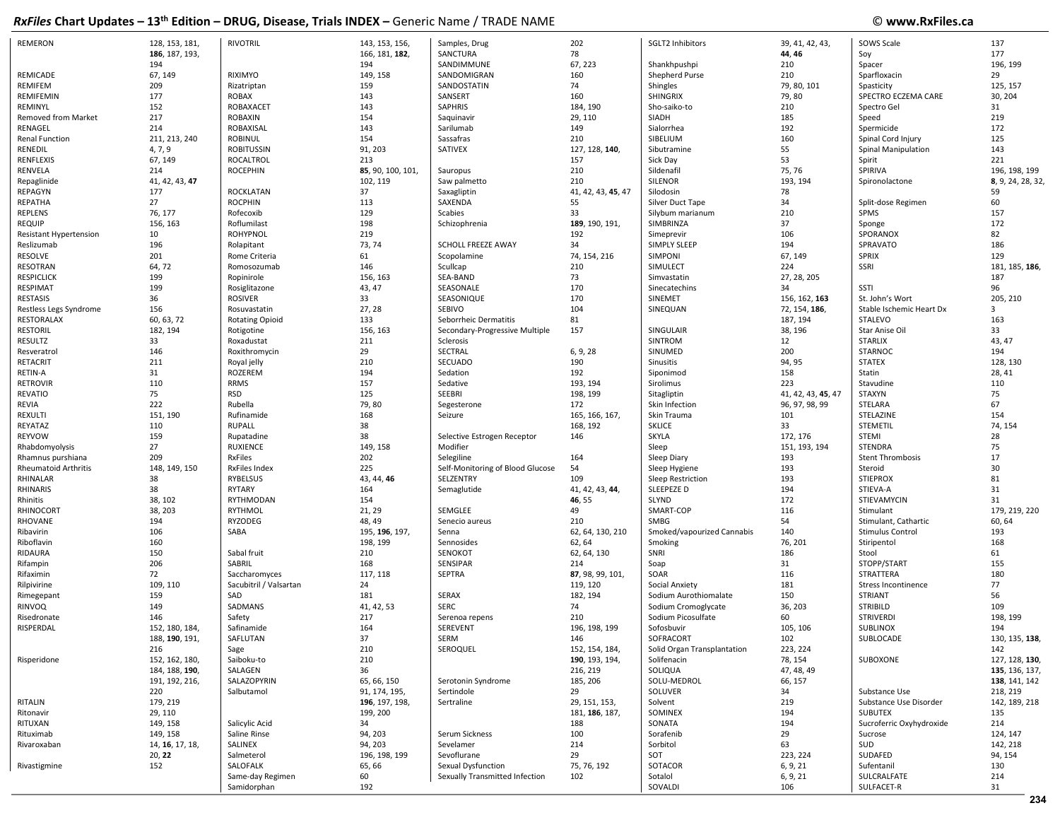| <b>REMERON</b>                | 128, 153, 181,  | <b>RIVOTRIL</b>        | 143, 153, 156,    | Samples, Drug                    | 202                | SGLT2 Inhibitors            | 39, 41, 42, 43,    | SOWS Scale               | 137               |
|-------------------------------|-----------------|------------------------|-------------------|----------------------------------|--------------------|-----------------------------|--------------------|--------------------------|-------------------|
|                               | 186, 187, 193,  |                        | 166, 181, 182,    | SANCTURA                         | 78                 |                             | 44, 46             | Soy                      | 177               |
|                               | 194             |                        | 194               | SANDIMMUNE                       | 67, 223            | Shankhpushpi                | 210                | Spacer                   | 196, 199          |
| REMICADE                      | 67, 149         | RIXIMYO                | 149, 158          | SANDOMIGRAN                      | 160                | Shepherd Purse              | 210                | Sparfloxacin             | 29                |
| REMIFEM                       | 209             | Rizatriptan            | 159               | SANDOSTATIN                      | 74                 | Shingles                    | 79, 80, 101        | Spasticity               | 125, 157          |
| REMIFEMIN                     | 177             | <b>ROBAX</b>           | 143               | SANSERT                          | 160                | <b>SHINGRIX</b>             | 79,80              | SPECTRO ECZEMA CARE      | 30, 204           |
| REMINYL                       | 152             | ROBAXACET              | 143               | <b>SAPHRIS</b>                   | 184, 190           | Sho-saiko-to                | 210                | Spectro Gel              | 31                |
| <b>Removed from Market</b>    | 217             | <b>ROBAXIN</b>         | 154               | Saquinavir                       | 29, 110            | SIADH                       | 185                | Speed                    | 219               |
| RENAGEL                       | 214             | ROBAXISAL              | 143               | Sarilumab                        | 149                | Sialorrhea                  | 192                | Spermicide               | 172               |
| Renal Function                | 211, 213, 240   | <b>ROBINUL</b>         | 154               | Sassafras                        | 210                | SIBELIUM                    | 160                | Spinal Cord Injury       | 125               |
| RENEDIL                       | 4, 7, 9         | <b>ROBITUSSIN</b>      | 91, 203           | SATIVEX                          | 127, 128, 140,     | Sibutramine                 | 55                 | Spinal Manipulation      | 143               |
| <b>RENFLEXIS</b>              | 67, 149         | ROCALTROL              | 213               |                                  | 157                | Sick Day                    | 53                 | Spirit                   | 221               |
| RENVELA                       | 214             | <b>ROCEPHIN</b>        | 85, 90, 100, 101, | Sauropus                         | 210                | Sildenafil                  | 75, 76             | SPIRIVA                  | 196, 198, 199     |
| Repaglinide                   | 41, 42, 43, 47  |                        | 102, 119          | Saw palmetto                     | 210                | SILENOR                     | 193, 194           | Spironolactone           | 8, 9, 24, 28, 32, |
| REPAGYN                       | 177             | <b>ROCKLATAN</b>       | 37                | Saxagliptin                      | 41, 42, 43, 45, 47 | Silodosin                   | 78                 |                          | 59                |
| REPATHA                       | 27              | <b>ROCPHIN</b>         | 113               | SAXENDA                          | 55                 | Silver Duct Tape            | 34                 | Split-dose Regimen       | 60                |
| <b>REPLENS</b>                | 76, 177         | Rofecoxib              | 129               | Scabies                          | 33                 | Silybum marianum            | 210                | SPMS                     | 157               |
| <b>REQUIP</b>                 | 156, 163        | Roflumilast            | 198               | Schizophrenia                    | 189, 190, 191,     | SIMBRINZA                   | 37                 | Sponge                   | 172               |
| <b>Resistant Hypertension</b> | 10              | <b>ROHYPNOL</b>        | 219               |                                  | 192                | Simeprevir                  | 106                | SPORANOX                 | 82                |
| Reslizumab                    | 196             | Rolapitant             | 73, 74            | SCHOLL FREEZE AWAY               | 34                 | <b>SIMPLY SLEEP</b>         | 194                | SPRAVATO                 | 186               |
| RESOLVE                       | 201             | Rome Criteria          | 61                | Scopolamine                      | 74, 154, 216       | <b>SIMPONI</b>              | 67, 149            | <b>SPRIX</b>             | 129               |
| <b>RESOTRAN</b>               | 64,72           | Romosozumab            | 146               | Scullcap                         | 210                | SIMULECT                    | 224                | SSRI                     | 181, 185, 186,    |
| <b>RESPICLICK</b>             | 199             | Ropinirole             | 156, 163          | SEA-BAND                         | 73                 | Simvastatin                 | 27, 28, 205        |                          | 187               |
| <b>RESPIMAT</b>               | 199             | Rosiglitazone          | 43, 47            | SEASONALE                        | 170                | Sinecatechins               | 34                 | SSTI                     | 96                |
| RESTASIS                      | 36              | ROSIVER                | 33                | SEASONIQUE                       | 170                | SINEMET                     | 156, 162, 163      | St. John's Wort          | 205, 210          |
| Restless Legs Syndrome        | 156             | Rosuvastatin           | 27, 28            | SEBIVO                           | 104                | SINEQUAN                    | 72, 154, 186,      | Stable Ischemic Heart Dx | 3                 |
| <b>RESTORALAX</b>             | 60, 63, 72      | <b>Rotating Opioid</b> | 133               | Seborrheic Dermatitis            | 81                 |                             | 187, 194           | STALEVO                  | 163               |
| <b>RESTORIL</b>               | 182, 194        | Rotigotine             | 156, 163          | Secondary-Progressive Multiple   | 157                | SINGULAIR                   | 38, 196            | Star Anise Oil           | 33                |
| RESULTZ                       | 33              | Roxadustat             | 211               | Sclerosis                        |                    | SINTROM                     | 12                 | <b>STARLIX</b>           | 43, 47            |
| Resveratrol                   | 146             | Roxithromycin          | 29                | SECTRAL                          | 6, 9, 28           | SINUMED                     | 200                | STARNOC                  | 194               |
| <b>RETACRIT</b>               | 211             | Royal jelly            | 210               | SECUADO                          | 190                | Sinusitis                   | 94, 95             | <b>STATEX</b>            | 128, 130          |
| RETIN-A                       | 31              | <b>ROZEREM</b>         | 194               | Sedation                         | 192                | Siponimod                   | 158                | Statin                   | 28, 41            |
| <b>RETROVIR</b>               | 110             | <b>RRMS</b>            | 157               | Sedative                         | 193, 194           | Sirolimus                   | 223                | Stavudine                | 110               |
| <b>REVATIO</b>                | 75              | <b>RSD</b>             | 125               | SEEBRI                           | 198, 199           | Sitagliptin                 | 41, 42, 43, 45, 47 | <b>STAXYN</b>            | 75                |
| REVIA                         | 222             | Rubella                | 79,80             | Segesterone                      | 172                | Skin Infection              | 96, 97, 98, 99     | STELARA                  | 67                |
| REXULTI                       | 151, 190        | Rufinamide             | 168               | Seizure                          | 165, 166, 167,     | Skin Trauma                 | 101                | STELAZINE                | 154               |
| REYATAZ                       | 110             | <b>RUPALL</b>          | 38                |                                  | 168, 192           | <b>SKLICE</b>               | 33                 | STEMETIL                 | 74, 154           |
| <b>REYVOW</b>                 | 159             | Rupatadine             | 38                | Selective Estrogen Receptor      | 146                | <b>SKYLA</b>                | 172, 176           | STEMI                    | 28                |
| Rhabdomyolysis                | 27              | <b>RUXIENCE</b>        | 149, 158          | Modifier                         |                    | Sleep                       | 151, 193, 194      | <b>STENDRA</b>           | 75                |
| Rhamnus purshiana             | 209             | <b>RxFiles</b>         | 202               | Selegiline                       | 164                | Sleep Diary                 | 193                | <b>Stent Thrombosis</b>  | 17                |
| <b>Rheumatoid Arthritis</b>   | 148, 149, 150   | <b>RxFiles Index</b>   | 225               | Self-Monitoring of Blood Glucose | 54                 | Sleep Hygiene               | 193                | Steroid                  | 30                |
| RHINALAR                      | 38              | RYBELSUS               | 43, 44, 46        | SELZENTRY                        | 109                | Sleep Restriction           | 193                | <b>STIEPROX</b>          | 81                |
| <b>RHINARIS</b>               | 38              | RYTARY                 | 164               | Semaglutide                      | 41, 42, 43, 44,    | SLEEPEZE D                  | 194                | STIEVA-A                 | 31                |
| Rhinitis                      | 38, 102         | RYTHMODAN              | 154               |                                  | 46, 55             | SLYND                       | 172                | STIEVAMYCIN              | 31                |
| RHINOCORT                     | 38, 203         | <b>RYTHMOL</b>         | 21, 29            | SEMGLEE                          | 49                 | SMART-COP                   | 116                | Stimulant                | 179, 219, 220     |
| RHOVANE                       | 194             | RYZODEG                | 48, 49            | Senecio aureus                   | 210                | SMBG                        | 54                 | Stimulant, Cathartic     | 60, 64            |
| Ribavirin                     | 106             | SABA                   | 195, 196, 197,    | Senna                            | 62, 64, 130, 210   | Smoked/vapourized Cannabis  | 140                | <b>Stimulus Control</b>  | 193               |
| Riboflavin                    | 160             |                        | 198, 199          | Sennosides                       | 62, 64             | Smoking                     | 76, 201            | Stiripentol              | 168               |
| RIDAURA                       | 150             | Sabal fruit            | 210               | SENOKOT                          | 62, 64, 130        | SNRI                        | 186                | Stool                    | 61                |
| Rifampin                      | 206             | SABRIL                 | 168               | SENSIPAR                         | 214                | Soap                        | 31                 | STOPP/START              | 155               |
| Rifaximin                     | 72              | Saccharomyces          | 117, 118          | <b>SEPTRA</b>                    | 87, 98, 99, 101,   | SOAR                        | 116                | STRATTERA                | 180               |
| Rilpivirine                   | 109, 110        | Sacubitril / Valsartan | 24                |                                  | 119, 120           | Social Anxiety              | 181                | Stress Incontinence      | 77                |
| Rimegepant                    | 159             | SAD                    | 181               | SERAX                            | 182, 194           | Sodium Aurothiomalate       | 150                | <b>STRIANT</b>           | 56                |
| RINVOQ                        | 149             | SADMANS                | 41, 42, 53        | <b>SERC</b>                      | 74                 | Sodium Cromoglycate         | 36, 203            | <b>STRIBILD</b>          | 109               |
| Risedronate                   | 146             | Safety                 | 217               | Serenoa repens                   | 210                | Sodium Picosulfate          | 60                 | <b>STRIVERDI</b>         | 198, 199          |
| RISPERDAL                     | 152, 180, 184,  | Safinamide             | 164               | SEREVENT                         | 196, 198, 199      | Sofosbuvir                  | 105, 106           | <b>SUBLINOX</b>          | 194               |
|                               | 188, 190, 191,  | SAFLUTAN               | 37                | SERM                             | 146                | SOFRACORT                   | 102                | SUBLOCADE                | 130, 135, 138,    |
|                               | 216             | Sage                   | 210               | SEROQUEL                         | 152, 154, 184,     | Solid Organ Transplantation | 223, 224           |                          | 142               |
| Risperidone                   | 152, 162, 180,  | Saiboku-to             | 210               |                                  | 190, 193, 194,     | Solifenacin                 | 78, 154            | SUBOXONE                 | 127, 128, 130,    |
|                               | 184, 188, 190,  | SALAGEN                | 36                |                                  | 216, 219           | SOLIQUA                     | 47, 48, 49         |                          | 135, 136, 137,    |
|                               | 191, 192, 216,  | SALAZOPYRIN            | 65, 66, 150       | Serotonin Syndrome               | 185, 206           | SOLU-MEDROL                 | 66, 157            |                          | 138, 141, 142     |
|                               | 220             | Salbutamol             | 91, 174, 195,     | Sertindole                       | 29                 | SOLUVER                     | 34                 | Substance Use            | 218, 219          |
| RITALIN                       | 179, 219        |                        | 196, 197, 198,    | Sertraline                       | 29, 151, 153,      | Solvent                     | 219                | Substance Use Disorder   | 142, 189, 218     |
| Ritonavir                     | 29, 110         |                        | 199, 200          |                                  | 181, 186, 187,     | SOMINEX                     | 194                | SUBUTEX                  | 135               |
| RITUXAN                       | 149, 158        | Salicylic Acid         | 34                |                                  | 188                | SONATA                      | 194                | Sucroferric Oxyhydroxide | 214               |
| Rituximab                     | 149, 158        | Saline Rinse           | 94, 203           | Serum Sickness                   | 100                | Sorafenib                   | 29                 | Sucrose                  | 124, 147          |
| Rivaroxaban                   | 14, 16, 17, 18, | SALINEX                | 94, 203           | Sevelamer                        | 214                | Sorbitol                    | 63                 | SUD                      | 142, 218          |
|                               | 20, 22          | Salmeterol             | 196, 198, 199     | Sevoflurane                      | 29                 | SOT                         | 223, 224           | SUDAFED                  | 94, 154           |
| Rivastigmine                  | 152             | SALOFALK               | 65, 66            | Sexual Dysfunction               | 75, 76, 192        | SOTACOR                     | 6, 9, 21           | Sufentanil               | 130               |
|                               |                 | Same-day Regimen       | 60                | Sexually Transmitted Infection   | 102                | Sotalol                     | 6, 9, 21           | SULCRALFATE              | 214               |
|                               |                 | Samidorphan            | 192               |                                  |                    | SOVALDI                     | 106                | SULFACET-R               | 31                |
|                               |                 |                        |                   |                                  |                    |                             |                    |                          |                   |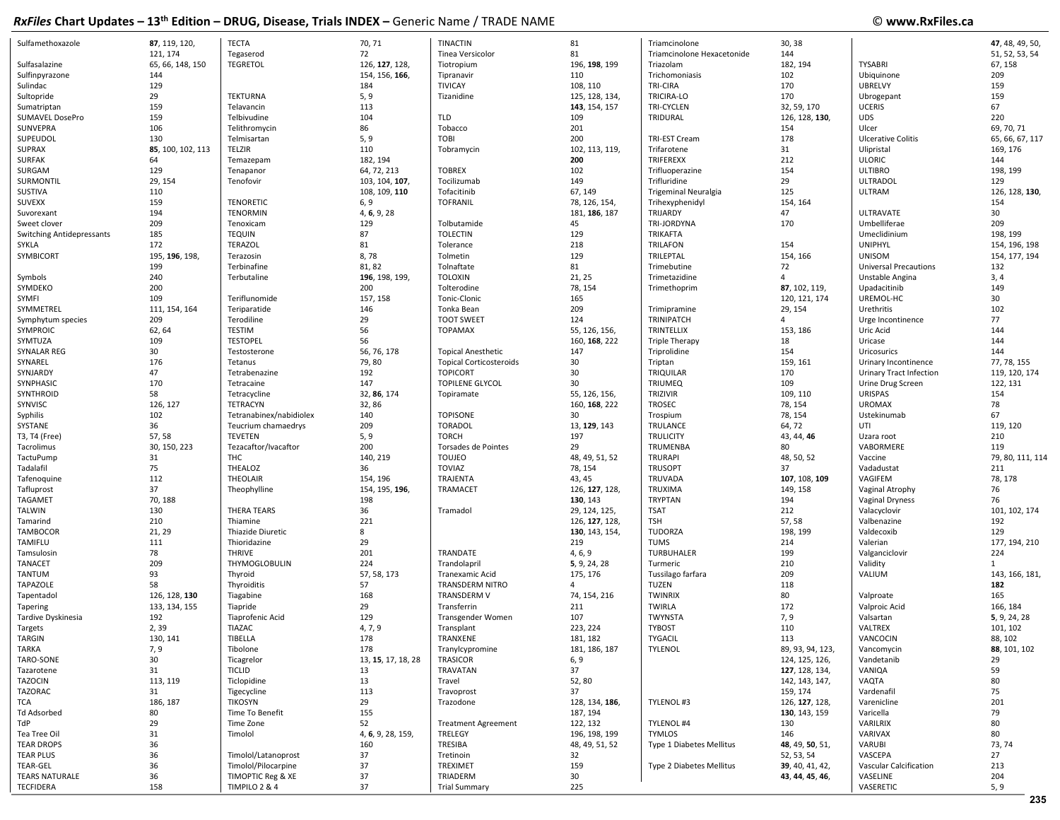## © www.RxFiles.ca

| Sulfamethoxazole                 | 87, 119, 120,     | <b>TECTA</b>            | 70, 71             | <b>TINACTIN</b>                | 81              | Triamcinolone               | 30, 38                        |                              | 47, 48, 49, 50,  |
|----------------------------------|-------------------|-------------------------|--------------------|--------------------------------|-----------------|-----------------------------|-------------------------------|------------------------------|------------------|
|                                  | 121, 174          | Tegaserod               | 72                 | Tinea Versicolor               | 81              | Triamcinolone Hexacetonide  | 144                           |                              | 51, 52, 53, 54   |
| Sulfasalazine                    | 65, 66, 148, 150  | <b>TEGRETOL</b>         | 126, 127, 128,     | Tiotropium                     | 196, 198, 199   | Triazolam                   | 182, 194                      | <b>TYSABRI</b>               | 67, 158          |
| Sulfinpyrazone                   | 144               |                         | 154, 156, 166,     | Tipranavir                     | 110             | Trichomoniasis              | 102                           | Ubiquinone                   | 209              |
| Sulindac                         | 129               |                         | 184                | <b>TIVICAY</b>                 | 108, 110        | <b>TRI-CIRA</b>             | 170                           | <b>UBRELVY</b>               | 159              |
| Sultopride                       | 29                | <b>TEKTURNA</b>         | 5, 9               | Tizanidine                     | 125, 128, 134,  | TRICIRA-LO                  | 170                           | Ubrogepant                   | 159              |
| Sumatriptan                      | 159               | Telavancin              | 113                |                                | 143, 154, 157   | <b>TRI-CYCLEN</b>           | 32, 59, 170                   | <b>UCERIS</b>                | 67               |
| SUMAVEL DosePro                  | 159               | Telbivudine             | 104                | <b>TLD</b>                     | 109             | TRIDURAL                    | 126, 128, 130,                | <b>UDS</b>                   | 220              |
| SUNVEPRA                         | 106               | Telithromycin           | 86                 | Tobacco                        | 201             |                             | 154                           | Ulcer                        | 69, 70, 71       |
| SUPEUDOL                         | 130               | Telmisartan             | 5, 9               | <b>TOBI</b>                    | 200             | TRI-EST Cream               | 178                           | <b>Ulcerative Colitis</b>    | 65, 66, 67, 117  |
| <b>SUPRAX</b>                    | 85, 100, 102, 113 | TELZIR                  | 110                | Tobramycin                     | 102, 113, 119,  | Trifarotene                 | 31                            | Ulipristal                   | 169, 176         |
| <b>SURFAK</b>                    | 64                | Temazepam               | 182, 194           |                                | 200             | TRIFEREXX                   | 212                           | <b>ULORIC</b>                | 144              |
| SURGAM                           | 129               | Tenapanor               | 64, 72, 213        | <b>TOBREX</b>                  | 102             | Trifluoperazine             | 154                           | <b>ULTIBRO</b>               | 198, 199         |
| SURMONTIL                        | 29, 154           | Tenofovir               | 103, 104, 107,     | Tocilizumab                    | 149             | Trifluridine                | 29                            | <b>ULTRADOL</b>              | 129              |
| SUSTIVA                          | 110               |                         | 108, 109, 110      | Tofacitinib                    | 67, 149         | <b>Trigeminal Neuralgia</b> | 125                           | <b>ULTRAM</b>                | 126, 128, 130,   |
| SUVEXX                           | 159               | <b>TENORETIC</b>        | 6, 9               | <b>TOFRANIL</b>                | 78, 126, 154,   | Trihexyphenidyl             | 154, 164                      |                              | 154              |
| Suvorexant                       | 194               | <b>TENORMIN</b>         | 4, 6, 9, 28        |                                | 181, 186, 187   | TRIJARDY                    | 47                            | ULTRAVATE                    | 30               |
| Sweet clover                     | 209               | Tenoxicam               | 129                | Tolbutamide                    | 45              | TRI-JORDYNA                 | 170                           | Umbelliferae                 | 209              |
| <b>Switching Antidepressants</b> | 185               | <b>TEQUIN</b>           | 87                 | <b>TOLECTIN</b>                | 129             | <b>TRIKAFTA</b>             |                               | Umeclidinium                 | 198, 199         |
| <b>SYKLA</b>                     | 172               | <b>TERAZOL</b>          | 81                 | Tolerance                      | 218             | <b>TRILAFON</b>             | 154                           | <b>UNIPHYL</b>               | 154, 196, 198    |
|                                  |                   |                         | 8,78               |                                | 129             | TRILEPTAL                   |                               | <b>UNISOM</b>                |                  |
| SYMBICORT                        | 195, 196, 198,    | Terazosin               |                    | Tolmetin                       |                 |                             | 154, 166                      |                              | 154, 177, 194    |
|                                  | 199               | Terbinafine             | 81, 82             | Tolnaftate                     | 81              | Trimebutine                 | 72<br>$\overline{\mathbf{A}}$ | <b>Universal Precautions</b> | 132              |
| Symbols                          | 240               | Terbutaline             | 196, 198, 199,     | <b>TOLOXIN</b>                 | 21, 25          | Trimetazidine               |                               | Unstable Angina              | 3, 4             |
| SYMDEKO                          | 200               |                         | 200                | Tolterodine                    | 78, 154         | Trimethoprim                | 87, 102, 119,                 | Upadacitinib                 | 149              |
| SYMFI                            | 109               | Teriflunomide           | 157, 158           | Tonic-Clonic                   | 165             |                             | 120, 121, 174                 | UREMOL-HC                    | 30               |
| SYMMETREL                        | 111, 154, 164     | Teriparatide            | 146                | Tonka Bean                     | 209             | Trimipramine                | 29, 154                       | Urethritis                   | 102              |
| Symphytum species                | 209               | Terodiline              | 29                 | <b>TOOT SWEET</b>              | 124             | TRINIPATCH                  | $\overline{4}$                | Urge Incontinence            | 77               |
| SYMPROIC                         | 62, 64            | <b>TESTIM</b>           | 56                 | <b>TOPAMAX</b>                 | 55, 126, 156,   | TRINTELLIX                  | 153, 186                      | Uric Acid                    | 144              |
| SYMTUZA                          | 109               | <b>TESTOPEL</b>         | 56                 |                                | 160, 168, 222   | <b>Triple Therapy</b>       | 18                            | Uricase                      | 144              |
| SYNALAR REG                      | 30                | Testosterone            | 56, 76, 178        | <b>Topical Anesthetic</b>      | 147             | Triprolidine                | 154                           | Uricosurics                  | 144              |
| SYNAREL                          | 176               | Tetanus                 | 79,80              | <b>Topical Corticosteroids</b> | 30              | Triptan                     | 159, 161                      | Urinary Incontinence         | 77, 78, 155      |
| SYNJARDY                         | 47                | Tetrabenazine           | 192                | <b>TOPICORT</b>                | 30              | TRIQUILAR                   | 170                           | Urinary Tract Infection      | 119, 120, 174    |
| SYNPHASIC                        | 170               | Tetracaine              | 147                | <b>TOPILENE GLYCOL</b>         | 30              | <b>TRIUMEQ</b>              | 109                           | Urine Drug Screen            | 122, 131         |
| SYNTHROID                        | 58                | Tetracycline            | 32, 86, 174        | Topiramate                     | 55, 126, 156,   | TRIZIVIR                    | 109, 110                      | <b>URISPAS</b>               | 154              |
| SYNVISC                          | 126, 127          | TETRACYN                | 32,86              |                                | 160, 168, 222   | <b>TROSEC</b>               | 78, 154                       | <b>UROMAX</b>                | 78               |
| Syphilis                         | 102               | Tetranabinex/nabidiolex | 140                | <b>TOPISONE</b>                | 30              | Trospium                    | 78, 154                       | Ustekinumab                  | 67               |
| SYSTANE                          | 36                | Teucrium chamaedrys     | 209                | <b>TORADOL</b>                 | 13, 129, 143    | TRULANCE                    | 64, 72                        | UTI                          | 119, 120         |
| T3, T4 (Free)                    | 57,58             | <b>TEVETEN</b>          | 5, 9               | <b>TORCH</b>                   | 197             | <b>TRULICITY</b>            | 43, 44, 46                    | Uzara root                   | 210              |
| Tacrolimus                       | 30, 150, 223      | Tezacaftor/Ivacaftor    | 200                | Torsades de Pointes            | 29              | TRUMENBA                    | 80                            | VABORMERE                    | 119              |
| TactuPump                        | 31                | THC                     | 140, 219           | <b>TOUJEO</b>                  | 48, 49, 51, 52  | <b>TRURAPI</b>              | 48, 50, 52                    | Vaccine                      | 79, 80, 111, 114 |
| Tadalafil                        | 75                | THEALOZ                 | 36                 | <b>TOVIAZ</b>                  | 78, 154         | <b>TRUSOPT</b>              | 37                            | Vadadustat                   | 211              |
| Tafenoquine                      | 112               | THEOLAIR                | 154, 196           | TRAJENTA                       | 43, 45          | TRUVADA                     | 107, 108, 109                 | VAGIFEM                      | 78, 178          |
| Tafluprost                       | 37                | Theophylline            | 154, 195, 196,     | TRAMACET                       | 126, 127, 128,  | TRUXIMA                     | 149, 158                      | Vaginal Atrophy              | 76               |
| TAGAMET                          | 70, 188           |                         | 198                |                                | 130, 143        | <b>TRYPTAN</b>              | 194                           | Vaginal Dryness              | 76               |
| TALWIN                           | 130               | <b>THERA TEARS</b>      | 36                 | Tramadol                       | 29, 124, 125,   | <b>TSAT</b>                 | 212                           | Valacyclovir                 | 101, 102, 174    |
| Tamarind                         | 210               | Thiamine                | 221                |                                | 126, 127, 128,  | <b>TSH</b>                  | 57, 58                        | Valbenazine                  | 192              |
| TAMBOCOR                         | 21, 29            | Thiazide Diuretic       | 8                  |                                | 130, 143, 154,  | TUDORZA                     | 198, 199                      | Valdecoxib                   | 129              |
| TAMIFLU                          | 111               | Thioridazine            | 29                 |                                | 219             | <b>TUMS</b>                 | 214                           | Valerian                     | 177, 194, 210    |
| Tamsulosin                       | 78                | <b>THRIVE</b>           | 201                | TRANDATE                       | 4, 6, 9         | TURBUHALER                  | 199                           | Valganciclovir               | 224              |
| <b>TANACET</b>                   | 209               | THYMOGLOBULIN           | 224                | Trandolapril                   | 5, 9, 24, 28    | Turmeric                    | 210                           | Validity                     | 1                |
| TANTUM                           | 93                | Thyroid                 | 57, 58, 173        | Tranexamic Acid                | 175, 176        | Tussilago farfara           | 209                           | VALIUM                       | 143, 166, 181,   |
| TAPAZOLE                         | 58                | Thyroiditis             | 57                 | TRANSDERM NITRO                | 4               | <b>TUZEN</b>                | 118                           |                              | 182              |
| Tapentadol                       | 126, 128, 130     | Tiagabine               | 168                | TRANSDERM V                    | 74, 154, 216    | <b>TWINRIX</b>              | 80                            | Valproate                    | 165              |
| Tapering                         | 133, 134, 155     | Tiapride                | 29                 | Transferrin                    | 211             | <b>TWIRLA</b>               | 172                           | Valproic Acid                | 166, 184         |
| Tardive Dyskinesia               | 192               | Tiaprofenic Acid        | 129                | Transgender Women              | 107             | TWYNSTA                     | 7,9                           | Valsartan                    | 5, 9, 24, 28     |
| Targets                          | 2,39              | <b>TIAZAC</b>           | 4, 7, 9            | Transplant                     | 223, 224        | <b>TYBOST</b>               | 110                           | VALTREX                      | 101, 102         |
| TARGIN                           | 130, 141          | TIBELLA                 | 178                | TRANXENE                       | 181, 182        | TYGACIL                     | 113                           | VANCOCIN                     | 88, 102          |
| TARKA                            | 7, 9              | Tibolone                | 178                | Tranylcypromine                | 181, 186, 187   | TYLENOL                     | 89, 93, 94, 123,              | Vancomycin                   | 88, 101, 102     |
| TARO-SONE                        | 30                | Ticagrelor              | 13, 15, 17, 18, 28 | <b>TRASICOR</b>                | 6, 9            |                             | 124, 125, 126,                | Vandetanib                   | 29               |
| Tazarotene                       | 31                | <b>TICLID</b>           | 13                 | TRAVATAN                       | 37              |                             | 127, 128, 134,                | VANIQA                       | 59               |
| TAZOCIN                          | 113, 119          | Ticlopidine             | 13                 | Travel                         | 52,80           |                             | 142, 143, 147,                | VAQTA                        | 80               |
| TAZORAC                          | 31                | Tigecycline             | 113                | Travoprost                     | 37              |                             | 159, 174                      | Vardenafil                   | 75               |
| TCA                              | 186, 187          | <b>TIKOSYN</b>          | 29                 | Trazodone                      | 128, 134, 186,  | TYLENOL #3                  | 126, 127, 128,                | Varenicline                  | 201              |
| Td Adsorbed                      | 80                | Time To Benefit         | 155                |                                | 187, 194        |                             | 130, 143, 159                 | Varicella                    | 79               |
| TdP                              | 29                | Time Zone               | 52                 | <b>Treatment Agreement</b>     | 122, 132        | TYLENOL #4                  | 130                           | VARILRIX                     | 80               |
| Tea Tree Oil                     |                   |                         |                    | TRELEGY                        | 196, 198, 199   | TYMLOS                      | 146                           | VARIVAX                      | 80               |
|                                  | 31                | Timolol                 | 4, 6, 9, 28, 159,  |                                |                 |                             |                               |                              |                  |
| <b>TEAR DROPS</b>                | 36                |                         | 160                | TRESIBA                        | 48, 49, 51, 52  | Type 1 Diabetes Mellitus    | 48, 49, 50, 51,               | VARUBI                       | 73, 74           |
| TEAR PLUS                        | 36                | Timolol/Latanoprost     | 37                 | Tretinoin                      | 32              |                             | 52, 53, 54                    | VASCEPA                      | 27               |
| TEAR-GEL                         | 36                | Timolol/Pilocarpine     | 37                 | TREXIMET                       | 159             | Type 2 Diabetes Mellitus    | 39, 40, 41, 42,               | Vascular Calcification       | 213              |
| <b>TEARS NATURALE</b>            | 36                | TIMOPTIC Reg & XE       | 37                 | TRIADERM                       | 30 <sup>°</sup> |                             | 43, 44, 45, 46,               | VASELINE                     | 204              |
| <b>TECFIDERA</b>                 | 158               | TIMPILO 2 & 4           | 37                 | <b>Trial Summary</b>           | 225             |                             |                               | VASERETIC                    | 5, 9             |